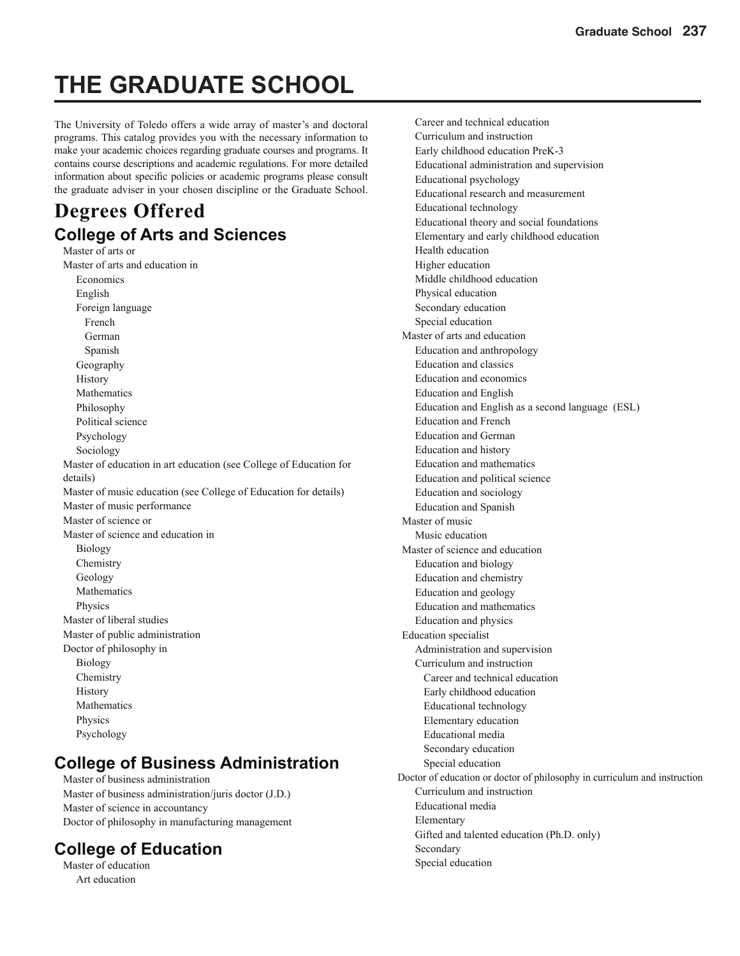# **THE GRADUATE SCHOOL**

The University of Toledo offers a wide array of master's and doctoral programs. This catalog provides you with the necessary information to make your academic choices regarding graduate courses and programs. It contains course descriptions and academic regulations. For more detailed information about specific policies or academic programs please consult the graduate adviser in your chosen discipline or the Graduate School.

### **Degrees Offered College of Arts and Sciences**

Master of arts or Master of arts and education in Economics English Foreign language French German Spanish Geography History Mathematics Philosophy Political science Psychology Sociology Master of education in art education (see College of Education for details) Master of music education (see College of Education for details) Master of music performance Master of science or Master of science and education in Biology Chemistry Geology Mathematics Physics Master of liberal studies Master of public administration Doctor of philosophy in Biology Chemistry History Mathematics Physics Psychology

### **College of Business Administration**

Master of business administration Master of business administration/juris doctor (J.D.) Master of science in accountancy Doctor of philosophy in manufacturing management

### **College of Education**

Master of education Art education

Career and technical education Curriculum and instruction Early childhood education PreK-3 Educational administration and supervision Educational psychology Educational research and measurement Educational technology Educational theory and social foundations Elementary and early childhood education Health education Higher education Middle childhood education Physical education Secondary education Special education Master of arts and education Education and anthropology Education and classics Education and economics Education and English Education and English as a second language (ESL) Education and French Education and German Education and history Education and mathematics Education and political science Education and sociology Education and Spanish Master of music Music education Master of science and education Education and biology Education and chemistry Education and geology Education and mathematics Education and physics Education specialist Administration and supervision Curriculum and instruction Career and technical education Early childhood education Educational technology Elementary education Educational media Secondary education Special education Doctor of education or doctor of philosophy in curriculum and instruction Curriculum and instruction Educational media Elementary Gifted and talented education (Ph.D. only) Secondary Special education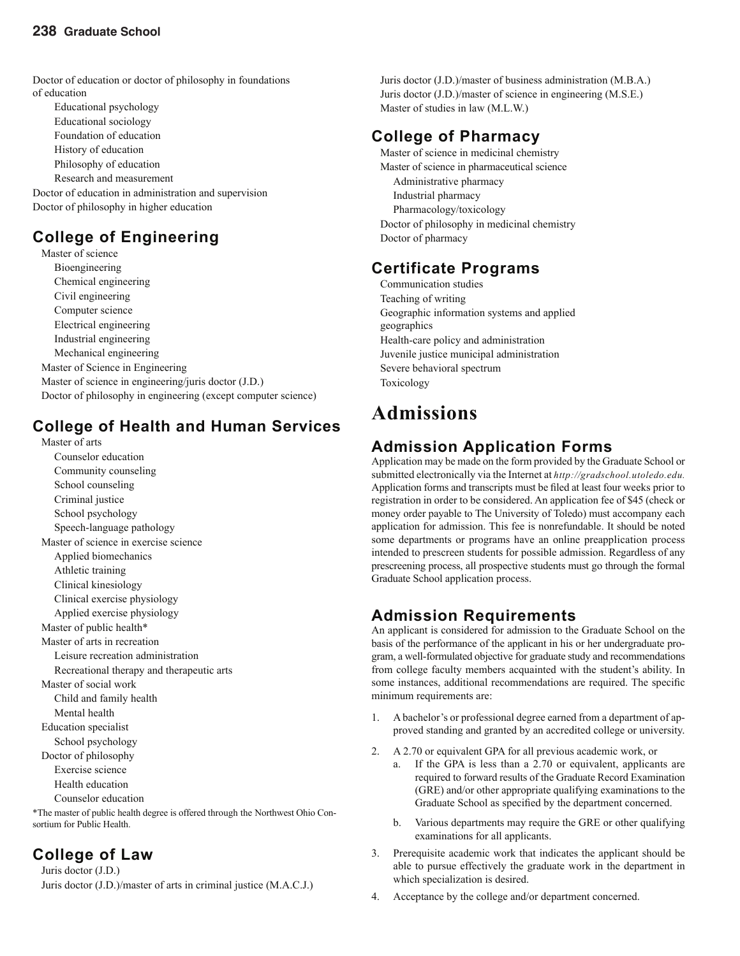Doctor of education or doctor of philosophy in foundations of education

Educational psychology Educational sociology Foundation of education History of education Philosophy of education Research and measurement Doctor of education in administration and supervision Doctor of philosophy in higher education

### **College of Engineering**

Master of science Bioengineering Chemical engineering Civil engineering Computer science Electrical engineering Industrial engineering Mechanical engineering Master of Science in Engineering Master of science in engineering/juris doctor (J.D.) Doctor of philosophy in engineering (except computer science)

### **College of Health and Human Services**

Master of arts Counselor education Community counseling School counseling Criminal justice School psychology Speech-language pathology Master of science in exercise science Applied biomechanics Athletic training Clinical kinesiology Clinical exercise physiology Applied exercise physiology Master of public health\* Master of arts in recreation Leisure recreation administration Recreational therapy and therapeutic arts Master of social work Child and family health Mental health Education specialist School psychology Doctor of philosophy Exercise science Health education Counselor education

\*The master of public health degree is offered through the Northwest Ohio Consortium for Public Health.

### **College of Law**

Juris doctor (J.D.) Juris doctor (J.D.)/master of arts in criminal justice (M.A.C.J.) Juris doctor (J.D.)/master of business administration (M.B.A.) Juris doctor (J.D.)/master of science in engineering (M.S.E.) Master of studies in law (M.L.W.)

### **College of Pharmacy**

Master of science in medicinal chemistry Master of science in pharmaceutical science Administrative pharmacy Industrial pharmacy Pharmacology/toxicology Doctor of philosophy in medicinal chemistry Doctor of pharmacy

### **Certificate Programs**

Communication studies Teaching of writing Geographic information systems and applied geographics Health-care policy and administration Juvenile justice municipal administration Severe behavioral spectrum Toxicology

# **Admissions**

### **Admission Application Forms**

Application may be made on the form provided by the Graduate School or submitted electronically via the Internet at *http://gradschool.utoledo.edu.*  Application forms and transcripts must be filed at least four weeks prior to registration in order to be considered. An application fee of \$45 (check or money order payable to The University of Toledo) must accompany each application for admission. This fee is nonrefundable. It should be noted some departments or programs have an online preapplication process intended to prescreen students for possible admission. Regardless of any prescreening process, all prospective students must go through the formal Graduate School application process.

### **Admission Requirements**

An applicant is considered for admission to the Graduate School on the basis of the performance of the applicant in his or her undergraduate program, a well-formulated objective for graduate study and recommendations from college faculty members acquainted with the student's ability. In some instances, additional recommendations are required. The specific minimum requirements are:

- 1. A bachelor's or professional degree earned from a department of approved standing and granted by an accredited college or university.
- 2. A 2.70 or equivalent GPA for all previous academic work, or
	- If the GPA is less than a 2.70 or equivalent, applicants are required to forward results of the Graduate Record Examination (GRE) and/or other appropriate qualifying examinations to the Graduate School as specified by the department concerned.
	- b. Various departments may require the GRE or other qualifying examinations for all applicants.
- 3. Prerequisite academic work that indicates the applicant should be able to pursue effectively the graduate work in the department in which specialization is desired.
- 4. Acceptance by the college and/or department concerned.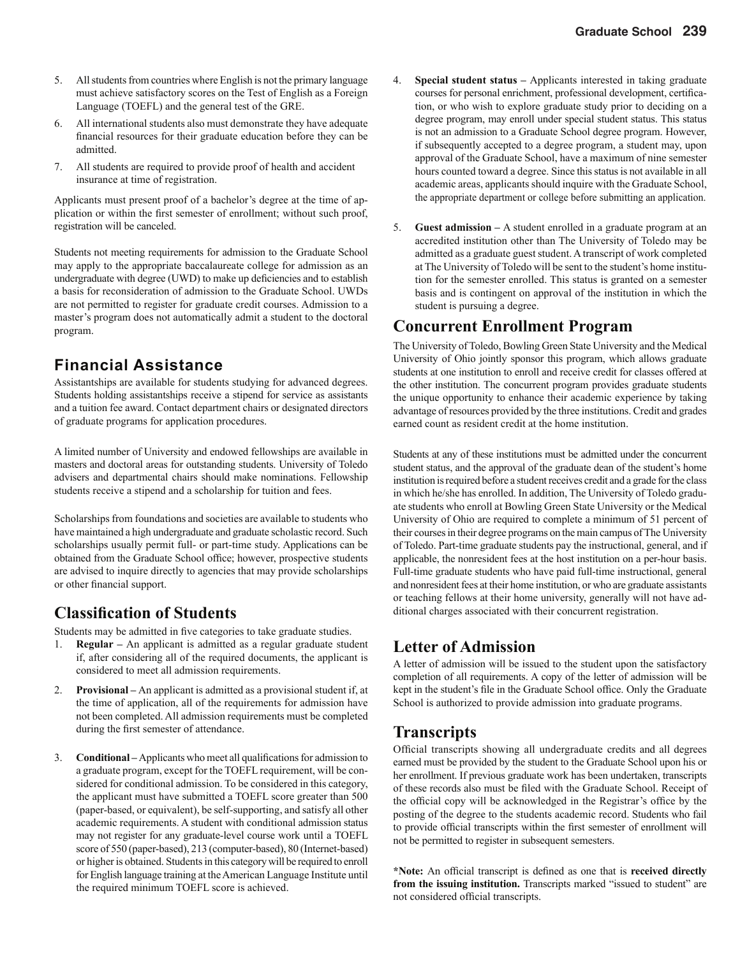- 5. All students from countries where English is not the primary language must achieve satisfactory scores on the Test of English as a Foreign Language (TOEFL) and the general test of the GRE.
- 6. All international students also must demonstrate they have adequate financial resources for their graduate education before they can be admitted.
- 7. All students are required to provide proof of health and accident insurance at time of registration.

Applicants must present proof of a bachelor's degree at the time of application or within the first semester of enrollment; without such proof, registration will be canceled.

Students not meeting requirements for admission to the Graduate School may apply to the appropriate baccalaureate college for admission as an undergraduate with degree (UWD) to make up deficiencies and to establish a basis for reconsideration of admission to the Graduate School. UWDs are not permitted to register for graduate credit courses. Admission to a master's program does not automatically admit a student to the doctoral program.

### **Financial Assistance**

Assistantships are available for students studying for advanced degrees. Students holding assistantships receive a stipend for service as assistants and a tuition fee award. Contact department chairs or designated directors of graduate programs for application procedures.

A limited number of University and endowed fellowships are available in masters and doctoral areas for outstanding students. University of Toledo advisers and departmental chairs should make nominations. Fellowship students receive a stipend and a scholarship for tuition and fees.

Scholarships from foundations and societies are available to students who have maintained a high undergraduate and graduate scholastic record. Such scholarships usually permit full- or part-time study. Applications can be obtained from the Graduate School office; however, prospective students are advised to inquire directly to agencies that may provide scholarships or other financial support.

### **Classifi cation of Students**

Students may be admitted in five categories to take graduate studies.

- 1. **Regular** An applicant is admitted as a regular graduate student if, after considering all of the required documents, the applicant is considered to meet all admission requirements.
- 2. **Provisional** An applicant is admitted as a provisional student if, at the time of application, all of the requirements for admission have not been completed. All admission requirements must be completed during the first semester of attendance.
- 3. **Conditional** Applicants who meet all qualifications for admission to a graduate program, except for the TOEFL requirement, will be considered for conditional admission. To be considered in this category, the applicant must have submitted a TOEFL score greater than 500 (paper-based, or equivalent), be self-supporting, and satisfy all other academic requirements. A student with conditional admission status may not register for any graduate-level course work until a TOEFL score of 550 (paper-based), 213 (computer-based), 80 (Internet-based) or higher is obtained. Students in this category will be required to enroll for English language training at the American Language Institute until the required minimum TOEFL score is achieved.
- 4. **Special student status** Applicants interested in taking graduate courses for personal enrichment, professional development, certification, or who wish to explore graduate study prior to deciding on a degree program, may enroll under special student status. This status is not an admission to a Graduate School degree program. However, if subsequently accepted to a degree program, a student may, upon approval of the Graduate School, have a maximum of nine semester hours counted toward a degree. Since this status is not available in all academic areas, applicants should inquire with the Graduate School, the appropriate department or college before submitting an application.
- 5. **Guest admission** A student enrolled in a graduate program at an accredited institution other than The University of Toledo may be admitted as a graduate guest student. A transcript of work completed at The University of Toledo will be sent to the student's home institution for the semester enrolled. This status is granted on a semester basis and is contingent on approval of the institution in which the student is pursuing a degree.

### **Concurrent Enrollment Program**

The University of Toledo, Bowling Green State University and the Medical University of Ohio jointly sponsor this program, which allows graduate students at one institution to enroll and receive credit for classes offered at the other institution. The concurrent program provides graduate students the unique opportunity to enhance their academic experience by taking advantage of resources provided by the three institutions. Credit and grades earned count as resident credit at the home institution.

Students at any of these institutions must be admitted under the concurrent student status, and the approval of the graduate dean of the student's home institution is required before a student receives credit and a grade for the class in which he/she has enrolled. In addition, The University of Toledo graduate students who enroll at Bowling Green State University or the Medical University of Ohio are required to complete a minimum of 51 percent of their courses in their degree programs on the main campus of The University of Toledo. Part-time graduate students pay the instructional, general, and if applicable, the nonresident fees at the host institution on a per-hour basis. Full-time graduate students who have paid full-time instructional, general and nonresident fees at their home institution, or who are graduate assistants or teaching fellows at their home university, generally will not have additional charges associated with their concurrent registration.

### **Letter of Admission**

A letter of admission will be issued to the student upon the satisfactory completion of all requirements. A copy of the letter of admission will be kept in the student's file in the Graduate School office. Only the Graduate School is authorized to provide admission into graduate programs.

### **Transcripts**

Official transcripts showing all undergraduate credits and all degrees earned must be provided by the student to the Graduate School upon his or her enrollment. If previous graduate work has been undertaken, transcripts of these records also must be filed with the Graduate School. Receipt of the official copy will be acknowledged in the Registrar's office by the posting of the degree to the students academic record. Students who fail to provide official transcripts within the first semester of enrollment will not be permitted to register in subsequent semesters.

\*Note: An official transcript is defined as one that is **received directly** from the issuing institution. Transcripts marked "issued to student" are not considered official transcripts.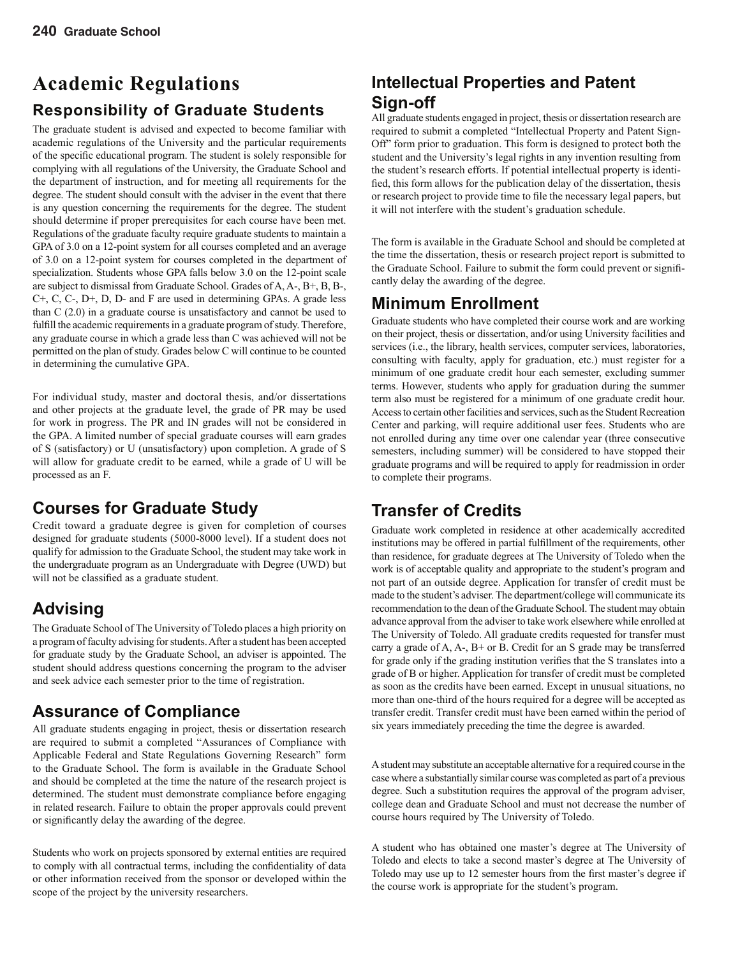# **Academic Regulations Responsibility of Graduate Students**

The graduate student is advised and expected to become familiar with academic regulations of the University and the particular requirements of the specific educational program. The student is solely responsible for complying with all regulations of the University, the Graduate School and the department of instruction, and for meeting all requirements for the degree. The student should consult with the adviser in the event that there is any question concerning the requirements for the degree. The student should determine if proper prerequisites for each course have been met. Regulations of the graduate faculty require graduate students to maintain a GPA of 3.0 on a 12-point system for all courses completed and an average of 3.0 on a 12-point system for courses completed in the department of specialization. Students whose GPA falls below 3.0 on the 12-point scale are subject to dismissal from Graduate School. Grades of A, A-, B+, B, B-, C+, C, C-, D+, D, D- and F are used in determining GPAs. A grade less than C (2.0) in a graduate course is unsatisfactory and cannot be used to fulfill the academic requirements in a graduate program of study. Therefore, any graduate course in which a grade less than C was achieved will not be permitted on the plan of study. Grades below C will continue to be counted in determining the cumulative GPA.

For individual study, master and doctoral thesis, and/or dissertations and other projects at the graduate level, the grade of PR may be used for work in progress. The PR and IN grades will not be considered in the GPA. A limited number of special graduate courses will earn grades of S (satisfactory) or U (unsatisfactory) upon completion. A grade of S will allow for graduate credit to be earned, while a grade of U will be processed as an F.

### **Courses for Graduate Study**

Credit toward a graduate degree is given for completion of courses designed for graduate students (5000-8000 level). If a student does not qualify for admission to the Graduate School, the student may take work in the undergraduate program as an Undergraduate with Degree (UWD) but will not be classified as a graduate student.

### **Advising**

The Graduate School of The University of Toledo places a high priority on a program of faculty advising for students. After a student has been accepted for graduate study by the Graduate School, an adviser is appointed. The student should address questions concerning the program to the adviser and seek advice each semester prior to the time of registration.

### **Assurance of Compliance**

All graduate students engaging in project, thesis or dissertation research are required to submit a completed "Assurances of Compliance with Applicable Federal and State Regulations Governing Research" form to the Graduate School. The form is available in the Graduate School and should be completed at the time the nature of the research project is determined. The student must demonstrate compliance before engaging in related research. Failure to obtain the proper approvals could prevent or significantly delay the awarding of the degree.

Students who work on projects sponsored by external entities are required to comply with all contractual terms, including the confidentiality of data or other information received from the sponsor or developed within the scope of the project by the university researchers.

### **Intellectual Properties and Patent Sign-off**

All graduate students engaged in project, thesis or dissertation research are required to submit a completed "Intellectual Property and Patent Sign-Off" form prior to graduation. This form is designed to protect both the student and the University's legal rights in any invention resulting from the student's research efforts. If potential intellectual property is identified, this form allows for the publication delay of the dissertation, thesis or research project to provide time to file the necessary legal papers, but it will not interfere with the student's graduation schedule.

The form is available in the Graduate School and should be completed at the time the dissertation, thesis or research project report is submitted to the Graduate School. Failure to submit the form could prevent or signifi cantly delay the awarding of the degree.

### **Minimum Enrollment**

Graduate students who have completed their course work and are working on their project, thesis or dissertation, and/or using University facilities and services (i.e., the library, health services, computer services, laboratories, consulting with faculty, apply for graduation, etc.) must register for a minimum of one graduate credit hour each semester, excluding summer terms. However, students who apply for graduation during the summer term also must be registered for a minimum of one graduate credit hour. Access to certain other facilities and services, such as the Student Recreation Center and parking, will require additional user fees. Students who are not enrolled during any time over one calendar year (three consecutive semesters, including summer) will be considered to have stopped their graduate programs and will be required to apply for readmission in order to complete their programs.

### **Transfer of Credits**

Graduate work completed in residence at other academically accredited institutions may be offered in partial fulfillment of the requirements, other than residence, for graduate degrees at The University of Toledo when the work is of acceptable quality and appropriate to the student's program and not part of an outside degree. Application for transfer of credit must be made to the student's adviser. The department/college will communicate its recommendation to the dean of the Graduate School. The student may obtain advance approval from the adviser to take work elsewhere while enrolled at The University of Toledo. All graduate credits requested for transfer must carry a grade of  $A$ ,  $A$ -,  $B$ + or  $B$ . Credit for an S grade may be transferred for grade only if the grading institution verifies that the S translates into a grade of B or higher. Application for transfer of credit must be completed as soon as the credits have been earned. Except in unusual situations, no more than one-third of the hours required for a degree will be accepted as transfer credit. Transfer credit must have been earned within the period of six years immediately preceding the time the degree is awarded.

A student may substitute an acceptable alternative for a required course in the case where a substantially similar course was completed as part of a previous degree. Such a substitution requires the approval of the program adviser, college dean and Graduate School and must not decrease the number of course hours required by The University of Toledo.

A student who has obtained one master's degree at The University of Toledo and elects to take a second master's degree at The University of Toledo may use up to 12 semester hours from the first master's degree if the course work is appropriate for the student's program.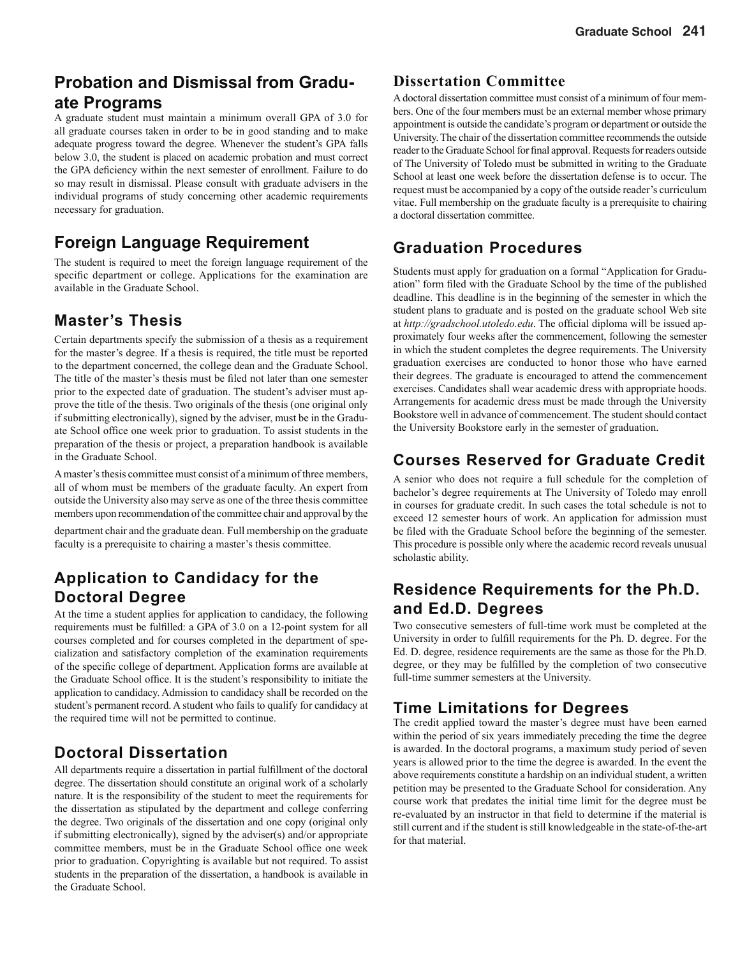### **Probation and Dismissal from Graduate Programs**

A graduate student must maintain a minimum overall GPA of 3.0 for all graduate courses taken in order to be in good standing and to make adequate progress toward the degree. Whenever the student's GPA falls below 3.0, the student is placed on academic probation and must correct the GPA deficiency within the next semester of enrollment. Failure to do so may result in dismissal. Please consult with graduate advisers in the individual programs of study concerning other academic requirements necessary for graduation.

### **Foreign Language Requirement**

The student is required to meet the foreign language requirement of the specific department or college. Applications for the examination are available in the Graduate School.

### **Master's Thesis**

Certain departments specify the submission of a thesis as a requirement for the master's degree. If a thesis is required, the title must be reported to the department concerned, the college dean and the Graduate School. The title of the master's thesis must be filed not later than one semester prior to the expected date of graduation. The student's adviser must approve the title of the thesis. Two originals of the thesis (one original only if submitting electronically), signed by the adviser, must be in the Graduate School office one week prior to graduation. To assist students in the preparation of the thesis or project, a preparation handbook is available in the Graduate School.

A master's thesis committee must consist of a minimum of three members, all of whom must be members of the graduate faculty. An expert from outside the University also may serve as one of the three thesis committee members upon recommendation of the committee chair and approval by the

department chair and the graduate dean. Full membership on the graduate faculty is a prerequisite to chairing a master's thesis committee.

### **Application to Candidacy for the Doctoral Degree**

At the time a student applies for application to candidacy, the following requirements must be fulfilled: a GPA of 3.0 on a 12-point system for all courses completed and for courses completed in the department of specialization and satisfactory completion of the examination requirements of the specific college of department. Application forms are available at the Graduate School office. It is the student's responsibility to initiate the application to candidacy. Admission to candidacy shall be recorded on the student's permanent record. A student who fails to qualify for candidacy at the required time will not be permitted to continue.

### **Doctoral Dissertation**

All departments require a dissertation in partial fulfillment of the doctoral degree. The dissertation should constitute an original work of a scholarly nature. It is the responsibility of the student to meet the requirements for the dissertation as stipulated by the department and college conferring the degree. Two originals of the dissertation and one copy (original only if submitting electronically), signed by the adviser(s) and/or appropriate committee members, must be in the Graduate School office one week prior to graduation. Copyrighting is available but not required. To assist students in the preparation of the dissertation, a handbook is available in the Graduate School.

### **Dissertation Committee**

A doctoral dissertation committee must consist of a minimum of four members. One of the four members must be an external member whose primary appointment is outside the candidate's program or department or outside the University. The chair of the dissertation committee recommends the outside reader to the Graduate School for final approval. Requests for readers outside of The University of Toledo must be submitted in writing to the Graduate School at least one week before the dissertation defense is to occur. The request must be accompanied by a copy of the outside reader's curriculum vitae. Full membership on the graduate faculty is a prerequisite to chairing a doctoral dissertation committee.

### **Graduation Procedures**

Students must apply for graduation on a formal "Application for Graduation" form filed with the Graduate School by the time of the published deadline. This deadline is in the beginning of the semester in which the student plans to graduate and is posted on the graduate school Web site at http://gradschool.utoledo.edu. The official diploma will be issued approximately four weeks after the commencement, following the semester in which the student completes the degree requirements. The University graduation exercises are conducted to honor those who have earned their degrees. The graduate is encouraged to attend the commencement exercises. Candidates shall wear academic dress with appropriate hoods. Arrangements for academic dress must be made through the University Bookstore well in advance of commencement. The student should contact the University Bookstore early in the semester of graduation.

### **Courses Reserved for Graduate Credit**

A senior who does not require a full schedule for the completion of bachelor's degree requirements at The University of Toledo may enroll in courses for graduate credit. In such cases the total schedule is not to exceed 12 semester hours of work. An application for admission must be filed with the Graduate School before the beginning of the semester. This procedure is possible only where the academic record reveals unusual scholastic ability.

### **Residence Requirements for the Ph.D. and Ed.D. Degrees**

Two consecutive semesters of full-time work must be completed at the University in order to fulfill requirements for the Ph. D. degree. For the Ed. D. degree, residence requirements are the same as those for the Ph.D. degree, or they may be fulfilled by the completion of two consecutive full-time summer semesters at the University.

### **Time Limitations for Degrees**

The credit applied toward the master's degree must have been earned within the period of six years immediately preceding the time the degree is awarded. In the doctoral programs, a maximum study period of seven years is allowed prior to the time the degree is awarded. In the event the above requirements constitute a hardship on an individual student, a written petition may be presented to the Graduate School for consideration. Any course work that predates the initial time limit for the degree must be re-evaluated by an instructor in that field to determine if the material is still current and if the student is still knowledgeable in the state-of-the-art for that material.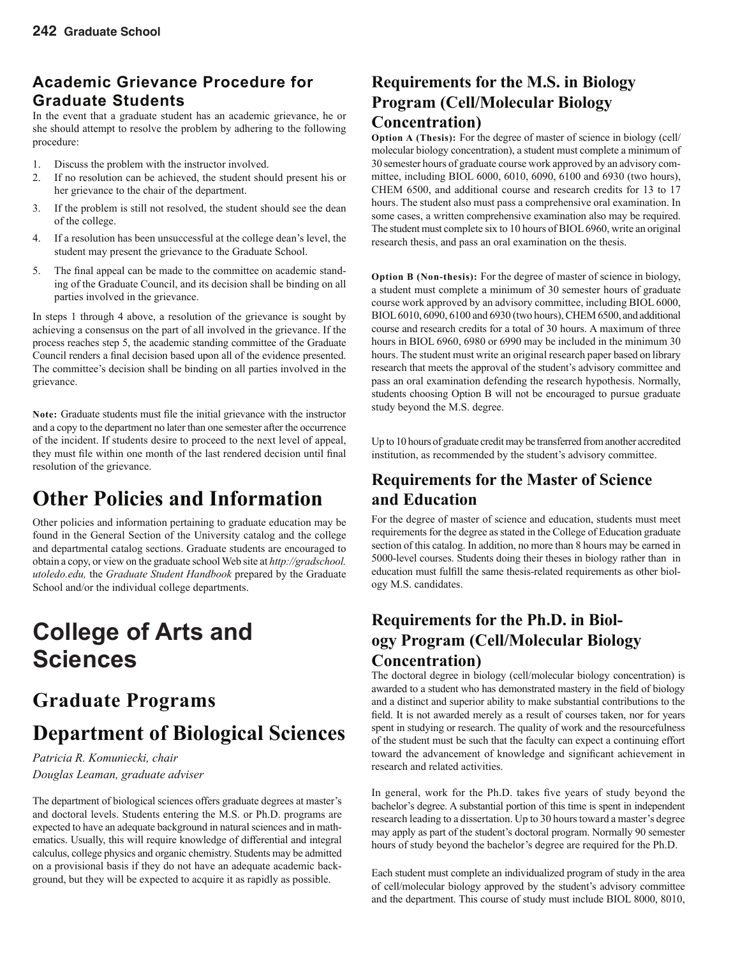### **Academic Grievance Procedure for Graduate Students**

In the event that a graduate student has an academic grievance, he or she should attempt to resolve the problem by adhering to the following procedure:

- 1. Discuss the problem with the instructor involved.
- 2. If no resolution can be achieved, the student should present his or her grievance to the chair of the department.
- 3. If the problem is still not resolved, the student should see the dean of the college.
- 4. If a resolution has been unsuccessful at the college dean's level, the student may present the grievance to the Graduate School.
- 5. The final appeal can be made to the committee on academic standing of the Graduate Council, and its decision shall be binding on all parties involved in the grievance.

In steps 1 through 4 above, a resolution of the grievance is sought by achieving a consensus on the part of all involved in the grievance. If the process reaches step 5, the academic standing committee of the Graduate Council renders a final decision based upon all of the evidence presented. The committee's decision shall be binding on all parties involved in the grievance.

Note: Graduate students must file the initial grievance with the instructor and a copy to the department no later than one semester after the occurrence of the incident. If students desire to proceed to the next level of appeal, they must file within one month of the last rendered decision until final resolution of the grievance.

# **Other Policies and Information**

Other policies and information pertaining to graduate education may be found in the General Section of the University catalog and the college and departmental catalog sections. Graduate students are encouraged to obtain a copy, or view on the graduate school Web site at *http://gradschool. utoledo.edu,* the *Graduate Student Handbook* prepared by the Graduate School and/or the individual college departments.

# **College of Arts and Sciences**

# **Graduate Programs**

# **Department of Biological Sciences**

*Patricia R. Komuniecki, chair Douglas Leaman, graduate adviser*

The department of biological sciences offers graduate degrees at master's and doctoral levels. Students entering the M.S. or Ph.D. programs are expected to have an adequate background in natural sciences and in mathematics. Usually, this will require knowledge of differential and integral calculus, college physics and organic chemistry. Students may be admitted on a provisional basis if they do not have an adequate academic background, but they will be expected to acquire it as rapidly as possible.

### **Requirements for the M.S. in Biology Program (Cell/Molecular Biology Concentration)**

**Option A (Thesis):** For the degree of master of science in biology (cell/ molecular biology concentration), a student must complete a minimum of 30 semester hours of graduate course work approved by an advisory committee, including BIOL 6000, 6010, 6090, 6100 and 6930 (two hours), CHEM 6500, and additional course and research credits for 13 to 17 hours. The student also must pass a comprehensive oral examination. In some cases, a written comprehensive examination also may be required. The student must complete six to 10 hours of BIOL 6960, write an original research thesis, and pass an oral examination on the thesis.

**Option B (Non-thesis):** For the degree of master of science in biology, a student must complete a minimum of 30 semester hours of graduate course work approved by an advisory committee, including BIOL 6000, BIOL 6010, 6090, 6100 and 6930 (two hours), CHEM 6500, and additional course and research credits for a total of 30 hours. A maximum of three hours in BIOL 6960, 6980 or 6990 may be included in the minimum 30 hours. The student must write an original research paper based on library research that meets the approval of the student's advisory committee and pass an oral examination defending the research hypothesis. Normally, students choosing Option B will not be encouraged to pursue graduate study beyond the M.S. degree.

Up to 10 hours of graduate credit may be transferred from another accredited institution, as recommended by the student's advisory committee.

### **Requirements for the Master of Science and Education**

For the degree of master of science and education, students must meet requirements for the degree as stated in the College of Education graduate section of this catalog. In addition, no more than 8 hours may be earned in 5000-level courses. Students doing their theses in biology rather than in education must fulfill the same thesis-related requirements as other biology M.S. candidates.

### **Requirements for the Ph.D. in Biology Program (Cell/Molecular Biology Concentration)**

The doctoral degree in biology (cell/molecular biology concentration) is awarded to a student who has demonstrated mastery in the field of biology and a distinct and superior ability to make substantial contributions to the field. It is not awarded merely as a result of courses taken, nor for years spent in studying or research. The quality of work and the resourcefulness of the student must be such that the faculty can expect a continuing effort toward the advancement of knowledge and significant achievement in research and related activities.

In general, work for the Ph.D. takes five years of study beyond the bachelor's degree. A substantial portion of this time is spent in independent research leading to a dissertation. Up to 30 hours toward a master's degree may apply as part of the student's doctoral program. Normally 90 semester hours of study beyond the bachelor's degree are required for the Ph.D.

Each student must complete an individualized program of study in the area of cell/molecular biology approved by the student's advisory committee and the department. This course of study must include BIOL 8000, 8010,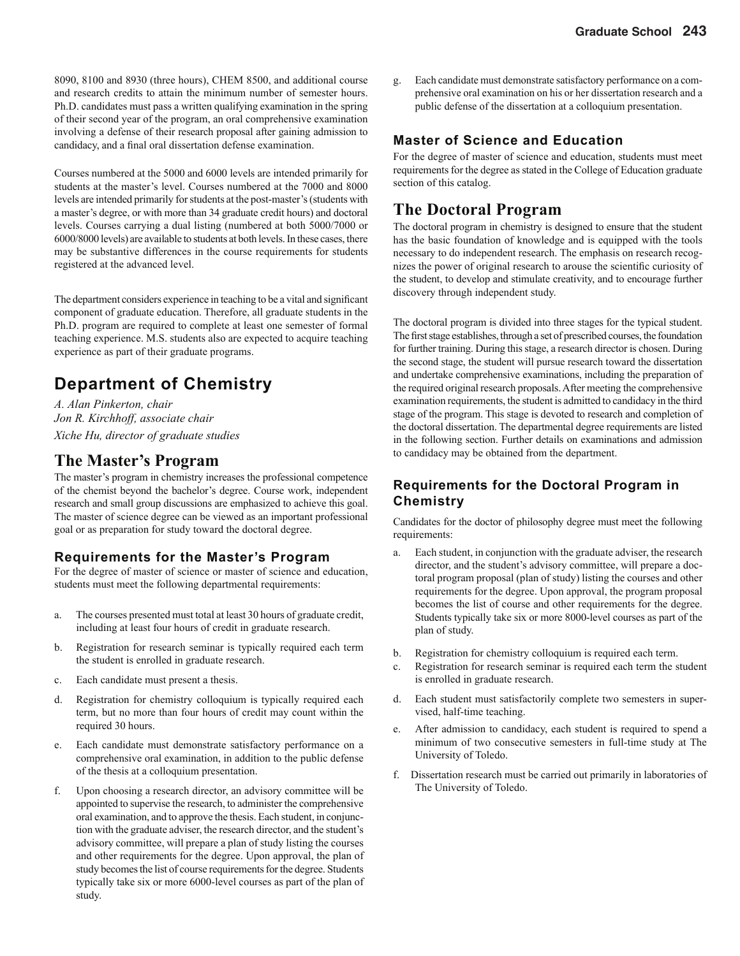8090, 8100 and 8930 (three hours), CHEM 8500, and additional course and research credits to attain the minimum number of semester hours. Ph.D. candidates must pass a written qualifying examination in the spring of their second year of the program, an oral comprehensive examination involving a defense of their research proposal after gaining admission to candidacy, and a final oral dissertation defense examination.

Courses numbered at the 5000 and 6000 levels are intended primarily for students at the master's level. Courses numbered at the 7000 and 8000 levels are intended primarily for students at the post-master's (students with a master's degree, or with more than 34 graduate credit hours) and doctoral levels. Courses carrying a dual listing (numbered at both 5000/7000 or 6000/8000 levels) are available to students at both levels. In these cases, there may be substantive differences in the course requirements for students registered at the advanced level.

The department considers experience in teaching to be a vital and significant component of graduate education. Therefore, all graduate students in the Ph.D. program are required to complete at least one semester of formal teaching experience. M.S. students also are expected to acquire teaching experience as part of their graduate programs.

### **Department of Chemistry**

*A. Alan Pinkerton, chair Jon R. Kirchhoff, associate chair Xiche Hu, director of graduate studies*

### **The Master's Program**

The master's program in chemistry increases the professional competence of the chemist beyond the bachelor's degree. Course work, independent research and small group discussions are emphasized to achieve this goal. The master of science degree can be viewed as an important professional goal or as preparation for study toward the doctoral degree.

#### **Requirements for the Master's Program**

For the degree of master of science or master of science and education, students must meet the following departmental requirements:

- a. The courses presented must total at least 30 hours of graduate credit, including at least four hours of credit in graduate research.
- b. Registration for research seminar is typically required each term the student is enrolled in graduate research.
- c. Each candidate must present a thesis.
- d. Registration for chemistry colloquium is typically required each term, but no more than four hours of credit may count within the required 30 hours.
- e. Each candidate must demonstrate satisfactory performance on a comprehensive oral examination, in addition to the public defense of the thesis at a colloquium presentation.
- f. Upon choosing a research director, an advisory committee will be appointed to supervise the research, to administer the comprehensive oral examination, and to approve the thesis. Each student, in conjunction with the graduate adviser, the research director, and the student's advisory committee, will prepare a plan of study listing the courses and other requirements for the degree. Upon approval, the plan of study becomes the list of course requirements for the degree. Students typically take six or more 6000-level courses as part of the plan of study.

g. Each candidate must demonstrate satisfactory performance on a comprehensive oral examination on his or her dissertation research and a public defense of the dissertation at a colloquium presentation.

#### **Master of Science and Education**

For the degree of master of science and education, students must meet requirements for the degree as stated in the College of Education graduate section of this catalog.

### **The Doctoral Program**

The doctoral program in chemistry is designed to ensure that the student has the basic foundation of knowledge and is equipped with the tools necessary to do independent research. The emphasis on research recognizes the power of original research to arouse the scientific curiosity of the student, to develop and stimulate creativity, and to encourage further discovery through independent study.

The doctoral program is divided into three stages for the typical student. The first stage establishes, through a set of prescribed courses, the foundation for further training. During this stage, a research director is chosen. During the second stage, the student will pursue research toward the dissertation and undertake comprehensive examinations, including the preparation of the required original research proposals. After meeting the comprehensive examination requirements, the student is admitted to candidacy in the third stage of the program. This stage is devoted to research and completion of the doctoral dissertation. The departmental degree requirements are listed in the following section. Further details on examinations and admission to candidacy may be obtained from the department.

#### **Requirements for the Doctoral Program in Chemistry**

Candidates for the doctor of philosophy degree must meet the following requirements:

- a. Each student, in conjunction with the graduate adviser, the research director, and the student's advisory committee, will prepare a doctoral program proposal (plan of study) listing the courses and other requirements for the degree. Upon approval, the program proposal becomes the list of course and other requirements for the degree. Students typically take six or more 8000-level courses as part of the plan of study.
- b. Registration for chemistry colloquium is required each term.
- c. Registration for research seminar is required each term the student is enrolled in graduate research.
- d. Each student must satisfactorily complete two semesters in supervised, half-time teaching.
- e. After admission to candidacy, each student is required to spend a minimum of two consecutive semesters in full-time study at The University of Toledo.
- f. Dissertation research must be carried out primarily in laboratories of The University of Toledo.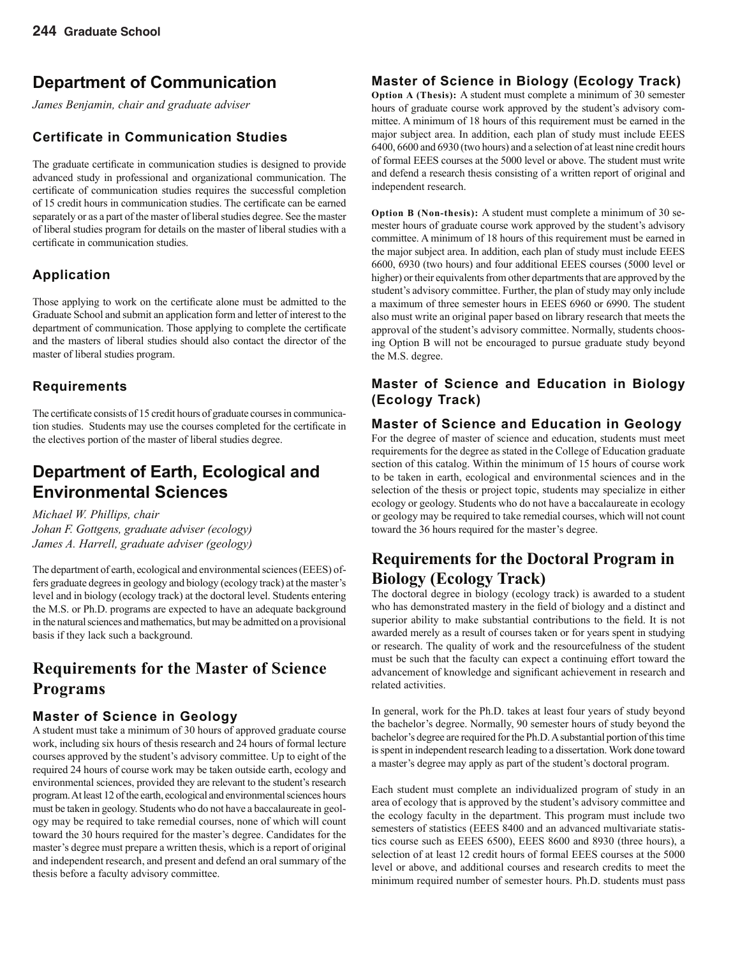### **Department of Communication**

*James Benjamin, chair and graduate adviser* 

#### **Certificate in Communication Studies**

The graduate certificate in communication studies is designed to provide advanced study in professional and organizational communication. The certificate of communication studies requires the successful completion of 15 credit hours in communication studies. The certificate can be earned separately or as a part of the master of liberal studies degree. See the master of liberal studies program for details on the master of liberal studies with a certificate in communication studies.

### **Application**

Those applying to work on the certificate alone must be admitted to the Graduate School and submit an application form and letter of interest to the department of communication. Those applying to complete the certificate and the masters of liberal studies should also contact the director of the master of liberal studies program.

#### **Requirements**

The certificate consists of 15 credit hours of graduate courses in communication studies. Students may use the courses completed for the certificate in the electives portion of the master of liberal studies degree.

### **Department of Earth, Ecological and Environmental Sciences**

*Michael W. Phillips, chair Johan F. Gottgens, graduate adviser (ecology) James A. Harrell, graduate adviser (geology)*

The department of earth, ecological and environmental sciences (EEES) offers graduate degrees in geology and biology (ecology track) at the master's level and in biology (ecology track) at the doctoral level. Students entering the M.S. or Ph.D. programs are expected to have an adequate background in the natural sciences and mathematics, but may be admitted on a provisional basis if they lack such a background.

### **Requirements for the Master of Science Programs**

#### **Master of Science in Geology**

A student must take a minimum of 30 hours of approved graduate course work, including six hours of thesis research and 24 hours of formal lecture courses approved by the student's advisory committee. Up to eight of the required 24 hours of course work may be taken outside earth, ecology and environmental sciences, provided they are relevant to the student's research program. At least 12 of the earth, ecological and environmental sciences hours must be taken in geology. Students who do not have a baccalaureate in geology may be required to take remedial courses, none of which will count toward the 30 hours required for the master's degree. Candidates for the master's degree must prepare a written thesis, which is a report of original and independent research, and present and defend an oral summary of the thesis before a faculty advisory committee.

#### **Master of Science in Biology (Ecology Track)**

**Option A (Thesis):** A student must complete a minimum of 30 semester hours of graduate course work approved by the student's advisory committee. A minimum of 18 hours of this requirement must be earned in the major subject area. In addition, each plan of study must include EEES 6400, 6600 and 6930 (two hours) and a selection of at least nine credit hours of formal EEES courses at the 5000 level or above. The student must write and defend a research thesis consisting of a written report of original and independent research.

**Option B (Non-thesis):** A student must complete a minimum of 30 semester hours of graduate course work approved by the student's advisory committee. A minimum of 18 hours of this requirement must be earned in the major subject area. In addition, each plan of study must include EEES 6600, 6930 (two hours) and four additional EEES courses (5000 level or higher) or their equivalents from other departments that are approved by the student's advisory committee. Further, the plan of study may only include a maximum of three semester hours in EEES 6960 or 6990. The student also must write an original paper based on library research that meets the approval of the student's advisory committee. Normally, students choosing Option B will not be encouraged to pursue graduate study beyond the M.S. degree.

#### **Master of Science and Education in Biology (Ecology Track)**

#### **Master of Science and Education in Geology**

For the degree of master of science and education, students must meet requirements for the degree as stated in the College of Education graduate section of this catalog. Within the minimum of 15 hours of course work to be taken in earth, ecological and environmental sciences and in the selection of the thesis or project topic, students may specialize in either ecology or geology. Students who do not have a baccalaureate in ecology or geology may be required to take remedial courses, which will not count toward the 36 hours required for the master's degree.

### **Requirements for the Doctoral Program in Biology (Ecology Track)**

The doctoral degree in biology (ecology track) is awarded to a student who has demonstrated mastery in the field of biology and a distinct and superior ability to make substantial contributions to the field. It is not awarded merely as a result of courses taken or for years spent in studying or research. The quality of work and the resourcefulness of the student must be such that the faculty can expect a continuing effort toward the advancement of knowledge and significant achievement in research and related activities.

In general, work for the Ph.D. takes at least four years of study beyond the bachelor's degree. Normally, 90 semester hours of study beyond the bachelor's degree are required for the Ph.D. A substantial portion of this time is spent in independent research leading to a dissertation. Work done toward a master's degree may apply as part of the student's doctoral program.

Each student must complete an individualized program of study in an area of ecology that is approved by the student's advisory committee and the ecology faculty in the department. This program must include two semesters of statistics (EEES 8400 and an advanced multivariate statistics course such as EEES 6500), EEES 8600 and 8930 (three hours), a selection of at least 12 credit hours of formal EEES courses at the 5000 level or above, and additional courses and research credits to meet the minimum required number of semester hours. Ph.D. students must pass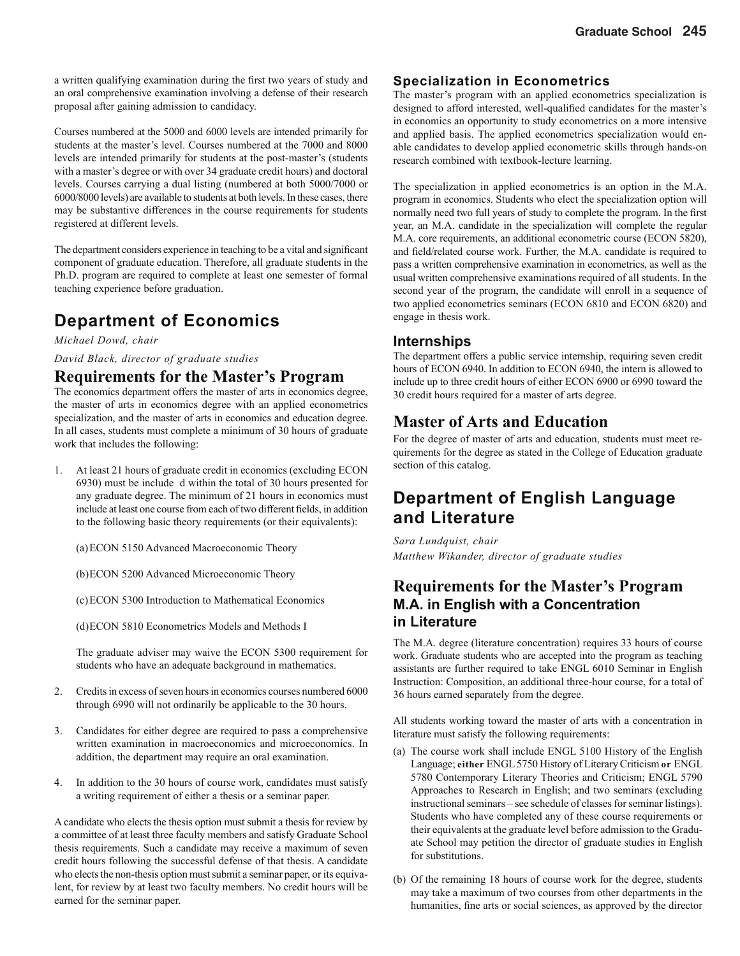a written qualifying examination during the first two years of study and an oral comprehensive examination involving a defense of their research proposal after gaining admission to candidacy.

Courses numbered at the 5000 and 6000 levels are intended primarily for students at the master's level. Courses numbered at the 7000 and 8000 levels are intended primarily for students at the post-master's (students with a master's degree or with over 34 graduate credit hours) and doctoral levels. Courses carrying a dual listing (numbered at both 5000/7000 or 6000/8000 levels) are available to students at both levels. In these cases, there may be substantive differences in the course requirements for students registered at different levels.

The department considers experience in teaching to be a vital and significant component of graduate education. Therefore, all graduate students in the Ph.D. program are required to complete at least one semester of formal teaching experience before graduation.

### **Department of Economics**

*Michael Dowd, chair*

*David Black, director of graduate studies*

#### **Requirements for the Master's Program**

The economics department offers the master of arts in economics degree, the master of arts in economics degree with an applied econometrics specialization, and the master of arts in economics and education degree. In all cases, students must complete a minimum of 30 hours of graduate work that includes the following:

1. At least 21 hours of graduate credit in economics (excluding ECON 6930) must be include d within the total of 30 hours presented for any graduate degree. The minimum of 21 hours in economics must include at least one course from each of two different fields, in addition to the following basic theory requirements (or their equivalents):

(a) ECON 5150 Advanced Macroeconomic Theory

(b) ECON 5200 Advanced Microeconomic Theory

(c) ECON 5300 Introduction to Mathematical Economics

(d) ECON 5810 Econometrics Models and Methods I

The graduate adviser may waive the ECON 5300 requirement for students who have an adequate background in mathematics.

- 2. Credits in excess of seven hours in economics courses numbered 6000 through 6990 will not ordinarily be applicable to the 30 hours.
- 3. Candidates for either degree are required to pass a comprehensive written examination in macroeconomics and microeconomics. In addition, the department may require an oral examination.
- 4. In addition to the 30 hours of course work, candidates must satisfy a writing requirement of either a thesis or a seminar paper.

A candidate who elects the thesis option must submit a thesis for review by a committee of at least three faculty members and satisfy Graduate School thesis requirements. Such a candidate may receive a maximum of seven credit hours following the successful defense of that thesis. A candidate who elects the non-thesis option must submit a seminar paper, or its equivalent, for review by at least two faculty members. No credit hours will be earned for the seminar paper.

#### **Specialization in Econometrics**

The master's program with an applied econometrics specialization is designed to afford interested, well-qualified candidates for the master's in economics an opportunity to study econometrics on a more intensive and applied basis. The applied econometrics specialization would enable candidates to develop applied econometric skills through hands-on research combined with textbook-lecture learning.

The specialization in applied econometrics is an option in the M.A. program in economics. Students who elect the specialization option will normally need two full years of study to complete the program. In the first year, an M.A. candidate in the specialization will complete the regular M.A. core requirements, an additional econometric course (ECON 5820), and field/related course work. Further, the M.A. candidate is required to pass a written comprehensive examination in econometrics, as well as the usual written comprehensive examinations required of all students. In the second year of the program, the candidate will enroll in a sequence of two applied econometrics seminars (ECON 6810 and ECON 6820) and engage in thesis work.

#### **Internships**

The department offers a public service internship, requiring seven credit hours of ECON 6940. In addition to ECON 6940, the intern is allowed to include up to three credit hours of either ECON 6900 or 6990 toward the 30 credit hours required for a master of arts degree.

### **Master of Arts and Education**

For the degree of master of arts and education, students must meet requirements for the degree as stated in the College of Education graduate section of this catalog.

### **Department of English Language and Literature**

*Sara Lundquist, chair Matthew Wikander, director of graduate studies*

### **Requirements for the Master's Program M.A. in English with a Concentration in Literature**

The M.A. degree (literature concentration) requires 33 hours of course work. Graduate students who are accepted into the program as teaching assistants are further required to take ENGL 6010 Seminar in English Instruction: Composition, an additional three-hour course, for a total of 36 hours earned separately from the degree.

All students working toward the master of arts with a concentration in literature must satisfy the following requirements:

- (a) The course work shall include ENGL  $5100$  History of the English Language; **either** ENGL 5750 History of Literary Criticism **or** ENGL 5780 Contemporary Literary Theories and Criticism; ENGL 5790 Approaches to Research in English; and two seminars (excluding instructional seminars – see schedule of classes for seminar listings). Students who have completed any of these course requirements or their equivalents at the graduate level before admission to the Graduate School may petition the director of graduate studies in English for substitutions.
- (b) Of the remaining 18 hours of course work for the degree, students may take a maximum of two courses from other departments in the humanities, fine arts or social sciences, as approved by the director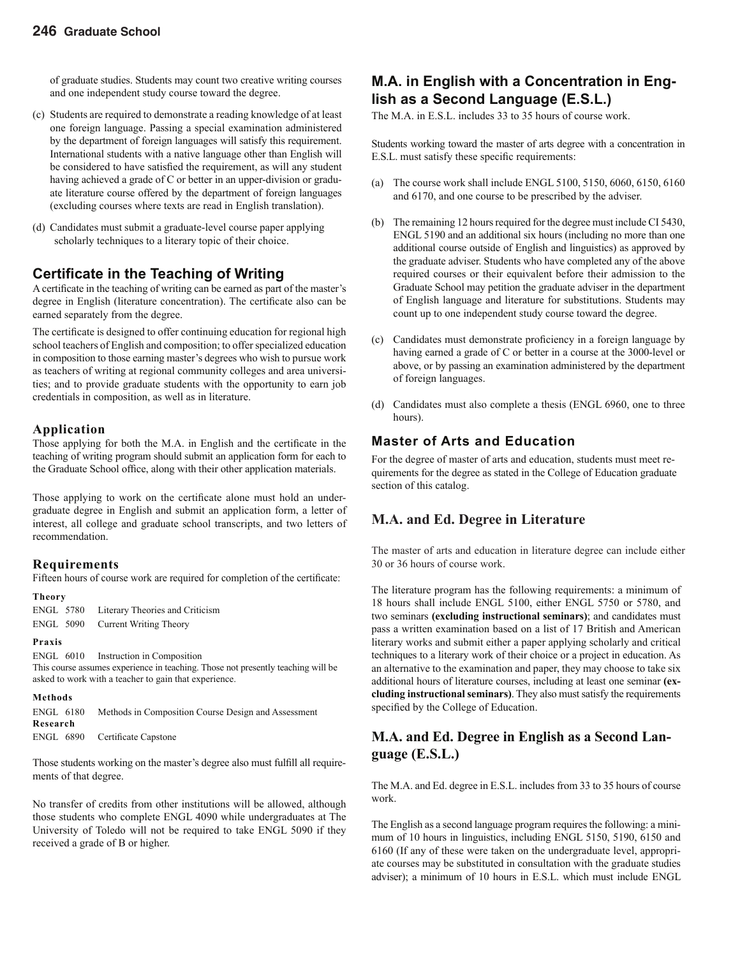of graduate studies. Students may count two creative writing courses and one independent study course toward the degree.

- (c) Students are required to demonstrate a reading knowledge of at least one foreign language. Passing a special examination administered by the department of foreign languages will satisfy this requirement. International students with a native language other than English will be considered to have satisfied the requirement, as will any student having achieved a grade of C or better in an upper-division or graduate literature course offered by the department of foreign languages (excluding courses where texts are read in English translation).
- (d) Candidates must submit a graduate-level course paper applying scholarly techniques to a literary topic of their choice.

#### **Certifi cate in the Teaching of Writing**

A certificate in the teaching of writing can be earned as part of the master's degree in English (literature concentration). The certificate also can be earned separately from the degree.

The certificate is designed to offer continuing education for regional high school teachers of English and composition; to offer specialized education in composition to those earning master's degrees who wish to pursue work as teachers of writing at regional community colleges and area universities; and to provide graduate students with the opportunity to earn job credentials in composition, as well as in literature.

#### **Application**

Those applying for both the M.A. in English and the certificate in the teaching of writing program should submit an application form for each to the Graduate School office, along with their other application materials.

Those applying to work on the certificate alone must hold an undergraduate degree in English and submit an application form, a letter of interest, all college and graduate school transcripts, and two letters of recommendation.

#### **Requirements**

Fifteen hours of course work are required for completion of the certificate:

| п<br>=<br>۰.<br>×<br>× |  |
|------------------------|--|
|------------------------|--|

| ENGL 5780 | Literary Theories and Criticism  |
|-----------|----------------------------------|
|           | ENGL 5090 Current Writing Theory |

#### **Praxis**

ENGL 6010 Instruction in Composition This course assumes experience in teaching. Those not presently teaching will be asked to work with a teacher to gain that experience.

#### **Methods**

ENGL 6180 Methods in Composition Course Design and Assessment **Research** ENGL 6890 Certificate Capstone

Those students working on the master's degree also must fulfill all requirements of that degree.

No transfer of credits from other institutions will be allowed, although those students who complete ENGL 4090 while undergraduates at The University of Toledo will not be required to take ENGL 5090 if they received a grade of B or higher.

### **M.A. in English with a Concentration in English as a Second Language (E.S.L.)**

The M.A. in E.S.L. includes 33 to 35 hours of course work.

Students working toward the master of arts degree with a concentration in E.S.L. must satisfy these specific requirements:

- (a) The course work shall include ENGL 5100, 5150, 6060, 6150, 6160 and 6170, and one course to be prescribed by the adviser.
- (b) The remaining 12 hours required for the degree must include CI 5430, ENGL 5190 and an additional six hours (including no more than one additional course outside of English and linguistics) as approved by the graduate adviser. Students who have completed any of the above required courses or their equivalent before their admission to the Graduate School may petition the graduate adviser in the department of English language and literature for substitutions. Students may count up to one independent study course toward the degree.
- (c) Candidates must demonstrate proficiency in a foreign language by having earned a grade of C or better in a course at the 3000-level or above, or by passing an examination administered by the department of foreign languages.
- (d) Candidates must also complete a thesis (ENGL 6960, one to three hours).

### **Master of Arts and Education**

For the degree of master of arts and education, students must meet requirements for the degree as stated in the College of Education graduate section of this catalog.

### **M.A. and Ed. Degree in Literature**

The master of arts and education in literature degree can include either 30 or 36 hours of course work.

The literature program has the following requirements: a minimum of 18 hours shall include ENGL 5100, either ENGL 5750 or 5780, and two seminars **(excluding instructional seminars)**; and candidates must pass a written examination based on a list of 17 British and American literary works and submit either a paper applying scholarly and critical techniques to a literary work of their choice or a project in education. As an alternative to the examination and paper, they may choose to take six additional hours of literature courses, including at least one seminar **(excluding instructional seminars)**. They also must satisfy the requirements specified by the College of Education.

#### **M.A. and Ed. Degree in English as a Second Language (E.S.L.)**

The M.A. and Ed. degree in E.S.L. includes from 33 to 35 hours of course work.

The English as a second language program requires the following: a minimum of 10 hours in linguistics, including ENGL 5150, 5190, 6150 and 6160 (If any of these were taken on the undergraduate level, appropriate courses may be substituted in consultation with the graduate studies adviser); a minimum of 10 hours in E.S.L. which must include ENGL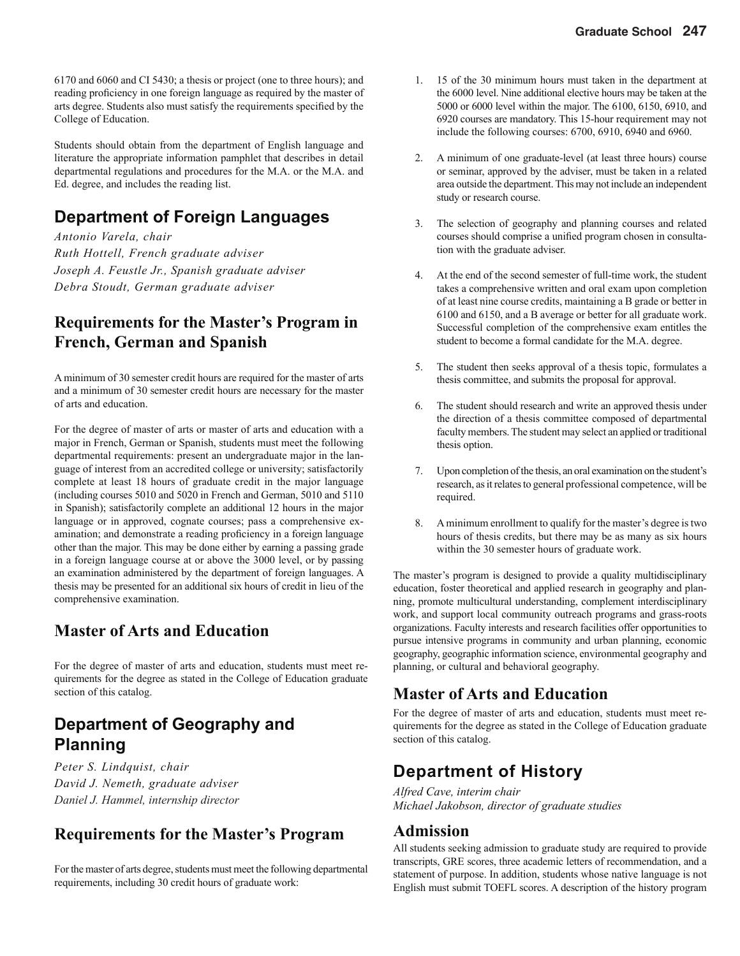6170 and 6060 and CI 5430; a thesis or project (one to three hours); and reading proficiency in one foreign language as required by the master of arts degree. Students also must satisfy the requirements specified by the College of Education.

Students should obtain from the department of English language and literature the appropriate information pamphlet that describes in detail departmental regulations and procedures for the M.A. or the M.A. and Ed. degree, and includes the reading list.

### **Department of Foreign Languages**

*Antonio Varela, chair Ruth Hottell, French graduate adviser Joseph A. Feustle Jr., Spanish graduate adviser Debra Stoudt, German graduate adviser*

### **Requirements for the Master's Program in French, German and Spanish**

A minimum of 30 semester credit hours are required for the master of arts and a minimum of 30 semester credit hours are necessary for the master of arts and education.

For the degree of master of arts or master of arts and education with a major in French, German or Spanish, students must meet the following departmental requirements: present an undergraduate major in the language of interest from an accredited college or university; satisfactorily complete at least 18 hours of graduate credit in the major language (including courses 5010 and 5020 in French and German, 5010 and 5110 in Spanish); satisfactorily complete an additional 12 hours in the major language or in approved, cognate courses; pass a comprehensive examination; and demonstrate a reading proficiency in a foreign language other than the major. This may be done either by earning a passing grade in a foreign language course at or above the 3000 level, or by passing an examination administered by the department of foreign languages. A thesis may be presented for an additional six hours of credit in lieu of the comprehensive examination.

### **Master of Arts and Education**

For the degree of master of arts and education, students must meet requirements for the degree as stated in the College of Education graduate section of this catalog.

### **Department of Geography and Planning**

*Peter S. Lindquist, chair David J. Nemeth, graduate adviser Daniel J. Hammel, internship director*

### **Requirements for the Master's Program**

For the master of arts degree, students must meet the following departmental requirements, including 30 credit hours of graduate work:

- 1. 15 of the 30 minimum hours must taken in the department at the 6000 level. Nine additional elective hours may be taken at the 5000 or 6000 level within the major. The 6100, 6150, 6910, and 6920 courses are mandatory. This 15-hour requirement may not include the following courses: 6700, 6910, 6940 and 6960.
- 2. A minimum of one graduate-level (at least three hours) course or seminar, approved by the adviser, must be taken in a related area outside the department. This may not include an independent study or research course.
- 3. The selection of geography and planning courses and related courses should comprise a unified program chosen in consultation with the graduate adviser.
- 4. At the end of the second semester of full-time work, the student takes a comprehensive written and oral exam upon completion of at least nine course credits, maintaining a B grade or better in 6100 and 6150, and a B average or better for all graduate work. Successful completion of the comprehensive exam entitles the student to become a formal candidate for the M.A. degree.
- 5. The student then seeks approval of a thesis topic, formulates a thesis committee, and submits the proposal for approval.
- 6. The student should research and write an approved thesis under the direction of a thesis committee composed of departmental faculty members. The student may select an applied or traditional thesis option.
- 7. Upon completion of the thesis, an oral examination on the student's research, as it relates to general professional competence, will be required.
- 8. A minimum enrollment to qualify for the master's degree is two hours of thesis credits, but there may be as many as six hours within the 30 semester hours of graduate work.

The master's program is designed to provide a quality multidisciplinary education, foster theoretical and applied research in geography and planning, promote multicultural understanding, complement interdisciplinary work, and support local community outreach programs and grass-roots organizations. Faculty interests and research facilities offer opportunities to pursue intensive programs in community and urban planning, economic geography, geographic information science, environmental geography and planning, or cultural and behavioral geography.

### **Master of Arts and Education**

For the degree of master of arts and education, students must meet requirements for the degree as stated in the College of Education graduate section of this catalog.

### **Department of History**

*Alfred Cave, interim chair Michael Jakobson, director of graduate studies*

### **Admission**

All students seeking admission to graduate study are required to provide transcripts, GRE scores, three academic letters of recommendation, and a statement of purpose. In addition, students whose native language is not English must submit TOEFL scores. A description of the history program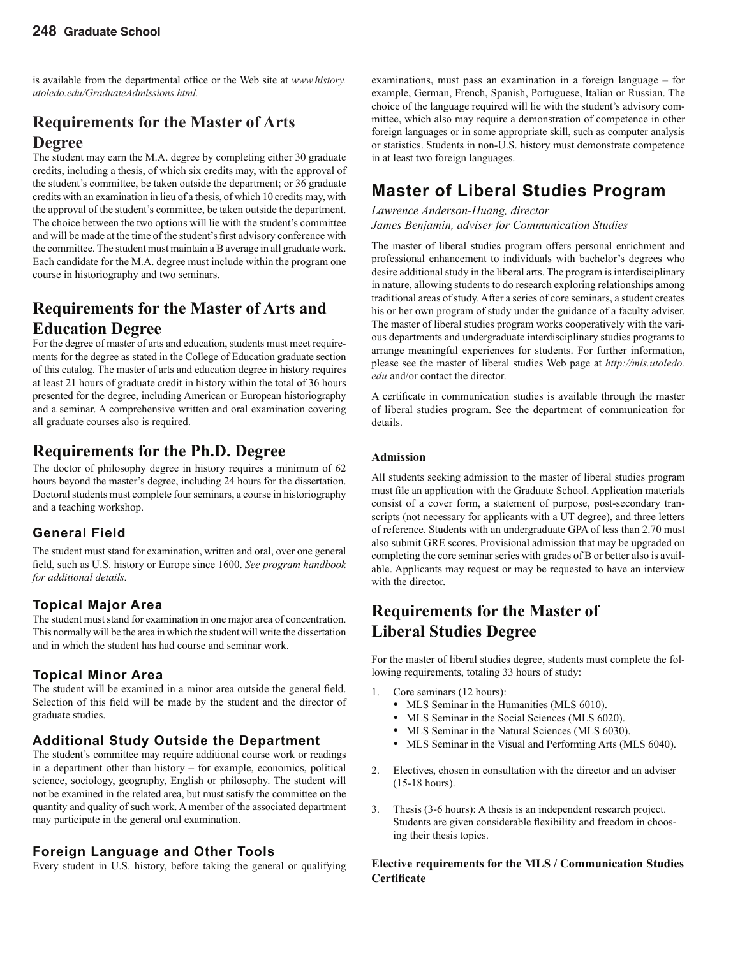is available from the departmental office or the Web site at *www.history. utoledo.edu/GraduateAdmissions.html.*

### **Requirements for the Master of Arts Degree**

The student may earn the M.A. degree by completing either 30 graduate credits, including a thesis, of which six credits may, with the approval of the student's committee, be taken outside the department; or 36 graduate credits with an examination in lieu of a thesis, of which 10 credits may, with the approval of the student's committee, be taken outside the department. The choice between the two options will lie with the student's committee and will be made at the time of the student's first advisory conference with the committee. The student must maintain a B average in all graduate work. Each candidate for the M.A. degree must include within the program one course in historiography and two seminars.

### **Requirements for the Master of Arts and Education Degree**

For the degree of master of arts and education, students must meet requirements for the degree as stated in the College of Education graduate section of this catalog. The master of arts and education degree in history requires at least 21 hours of graduate credit in history within the total of 36 hours presented for the degree, including American or European historiography and a seminar. A comprehensive written and oral examination covering all graduate courses also is required.

### **Requirements for the Ph.D. Degree**

The doctor of philosophy degree in history requires a minimum of 62 hours beyond the master's degree, including 24 hours for the dissertation. Doctoral students must complete four seminars, a course in historiography and a teaching workshop.

#### **General Field**

The student must stand for examination, written and oral, over one general field, such as U.S. history or Europe since 1600. See program handbook *for additional details.*

#### **Topical Major Area**

The student must stand for examination in one major area of concentration. This normally will be the area in which the student will write the dissertation and in which the student has had course and seminar work.

#### **Topical Minor Area**

The student will be examined in a minor area outside the general field. Selection of this field will be made by the student and the director of graduate studies.

#### **Additional Study Outside the Department**

The student's committee may require additional course work or readings in a department other than history – for example, economics, political science, sociology, geography, English or philosophy. The student will not be examined in the related area, but must satisfy the committee on the quantity and quality of such work. A member of the associated department may participate in the general oral examination.

#### **Foreign Language and Other Tools**

Every student in U.S. history, before taking the general or qualifying

examinations, must pass an examination in a foreign language – for example, German, French, Spanish, Portuguese, Italian or Russian. The choice of the language required will lie with the student's advisory committee, which also may require a demonstration of competence in other foreign languages or in some appropriate skill, such as computer analysis or statistics. Students in non-U.S. history must demonstrate competence in at least two foreign languages.

### **Master of Liberal Studies Program**

*Lawrence Anderson-Huang, director James Benjamin, adviser for Communication Studies*

The master of liberal studies program offers personal enrichment and professional enhancement to individuals with bachelor's degrees who desire additional study in the liberal arts. The program is interdisciplinary in nature, allowing students to do research exploring relationships among traditional areas of study. After a series of core seminars, a student creates his or her own program of study under the guidance of a faculty adviser. The master of liberal studies program works cooperatively with the various departments and undergraduate interdisciplinary studies programs to arrange meaningful experiences for students. For further information, please see the master of liberal studies Web page at *http://mls.utoledo. edu* and/or contact the director.

A certificate in communication studies is available through the master of liberal studies program. See the department of communication for details.

#### **Admission**

All students seeking admission to the master of liberal studies program must file an application with the Graduate School. Application materials consist of a cover form, a statement of purpose, post-secondary transcripts (not necessary for applicants with a UT degree), and three letters of reference. Students with an undergraduate GPA of less than 2.70 must also submit GRE scores. Provisional admission that may be upgraded on completing the core seminar series with grades of B or better also is available. Applicants may request or may be requested to have an interview with the director.

### **Requirements for the Master of Liberal Studies Degree**

For the master of liberal studies degree, students must complete the following requirements, totaling 33 hours of study:

- 1. Core seminars (12 hours):
	- MLS Seminar in the Humanities (MLS 6010).
	- MLS Seminar in the Social Sciences (MLS 6020).
	- MLS Seminar in the Natural Sciences (MLS 6030).
	- MLS Seminar in the Visual and Performing Arts (MLS 6040).
- 2. Electives, chosen in consultation with the director and an adviser (15-18 hours).
- 3. Thesis (3-6 hours): A thesis is an independent research project. Students are given considerable flexibility and freedom in choosing their thesis topics.

#### **Elective requirements for the MLS / Communication Studies Certificate**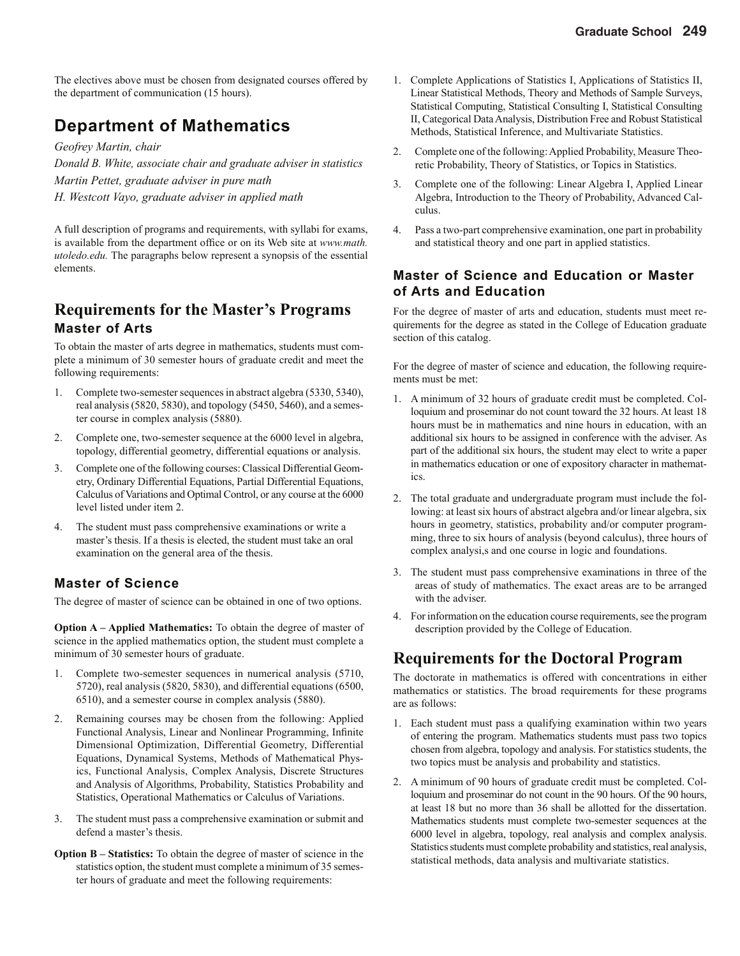The electives above must be chosen from designated courses offered by the department of communication (15 hours).

### **Department of Mathematics**

*Geofrey Martin, chair*

*Donald B. White, associate chair and graduate adviser in statistics Martin Pettet, graduate adviser in pure math H. Westcott Vayo, graduate adviser in applied math*

A full description of programs and requirements, with syllabi for exams, is available from the department office or on its Web site at *www.math. utoledo.edu.* The paragraphs below represent a synopsis of the essential elements.

### **Requirements for the Master's Programs Master of Arts**

To obtain the master of arts degree in mathematics, students must complete a minimum of 30 semester hours of graduate credit and meet the following requirements:

- 1. Complete two-semester sequences in abstract algebra (5330, 5340), real analysis (5820, 5830), and topology (5450, 5460), and a semester course in complex analysis (5880).
- 2. Complete one, two-semester sequence at the 6000 level in algebra, topology, differential geometry, differential equations or analysis.
- 3. Complete one of the following courses: Classical Differential Geometry, Ordinary Differential Equations, Partial Differential Equations, Calculus of Variations and Optimal Control, or any course at the 6000 level listed under item 2.
- 4. The student must pass comprehensive examinations or write a master's thesis. If a thesis is elected, the student must take an oral examination on the general area of the thesis.

#### **Master of Science**

The degree of master of science can be obtained in one of two options.

**Option A – Applied Mathematics:** To obtain the degree of master of science in the applied mathematics option, the student must complete a minimum of 30 semester hours of graduate.

- 1. Complete two-semester sequences in numerical analysis (5710, 5720), real analysis (5820, 5830), and differential equations (6500, 6510), and a semester course in complex analysis (5880).
- 2. Remaining courses may be chosen from the following: Applied Functional Analysis, Linear and Nonlinear Programming, Infinite Dimensional Optimization, Differential Geometry, Differential Equations, Dynamical Systems, Methods of Mathematical Physics, Functional Analysis, Complex Analysis, Discrete Structures and Analysis of Algorithms, Probability, Statistics Probability and Statistics, Operational Mathematics or Calculus of Variations.
- 3. The student must pass a comprehensive examination or submit and defend a master's thesis.
- **Option B Statistics:** To obtain the degree of master of science in the statistics option, the student must complete a minimum of 35 semester hours of graduate and meet the following requirements:
- 1. Complete Applications of Statistics I, Applications of Statistics II, Linear Statistical Methods, Theory and Methods of Sample Surveys, Statistical Computing, Statistical Consulting I, Statistical Consulting II, Categorical Data Analysis, Distribution Free and Robust Statistical Methods, Statistical Inference, and Multivariate Statistics.
- 2. Complete one of the following: Applied Probability, Measure Theoretic Probability, Theory of Statistics, or Topics in Statistics.
- 3. Complete one of the following: Linear Algebra I, Applied Linear Algebra, Introduction to the Theory of Probability, Advanced Calculus.
- 4. Pass a two-part comprehensive examination, one part in probability and statistical theory and one part in applied statistics.

#### **Master of Science and Education or Master of Arts and Education**

For the degree of master of arts and education, students must meet requirements for the degree as stated in the College of Education graduate section of this catalog.

For the degree of master of science and education, the following requirements must be met:

- 1. A minimum of 32 hours of graduate credit must be completed. Colloquium and proseminar do not count toward the 32 hours. At least 18 hours must be in mathematics and nine hours in education, with an additional six hours to be assigned in conference with the adviser. As part of the additional six hours, the student may elect to write a paper in mathematics education or one of expository character in mathematics.
- 2. The total graduate and undergraduate program must include the following: at least six hours of abstract algebra and/or linear algebra, six hours in geometry, statistics, probability and/or computer programming, three to six hours of analysis (beyond calculus), three hours of complex analysi,s and one course in logic and foundations.
- 3. The student must pass comprehensive examinations in three of the areas of study of mathematics. The exact areas are to be arranged with the adviser.
- 4. For information on the education course requirements, see the program description provided by the College of Education.

### **Requirements for the Doctoral Program**

The doctorate in mathematics is offered with concentrations in either mathematics or statistics. The broad requirements for these programs are as follows:

- 1. Each student must pass a qualifying examination within two years of entering the program. Mathematics students must pass two topics chosen from algebra, topology and analysis. For statistics students, the two topics must be analysis and probability and statistics.
- 2. A minimum of 90 hours of graduate credit must be completed. Colloquium and proseminar do not count in the 90 hours. Of the 90 hours, at least 18 but no more than 36 shall be allotted for the dissertation. Mathematics students must complete two-semester sequences at the 6000 level in algebra, topology, real analysis and complex analysis. Statistics students must complete probability and statistics, real analysis, statistical methods, data analysis and multivariate statistics.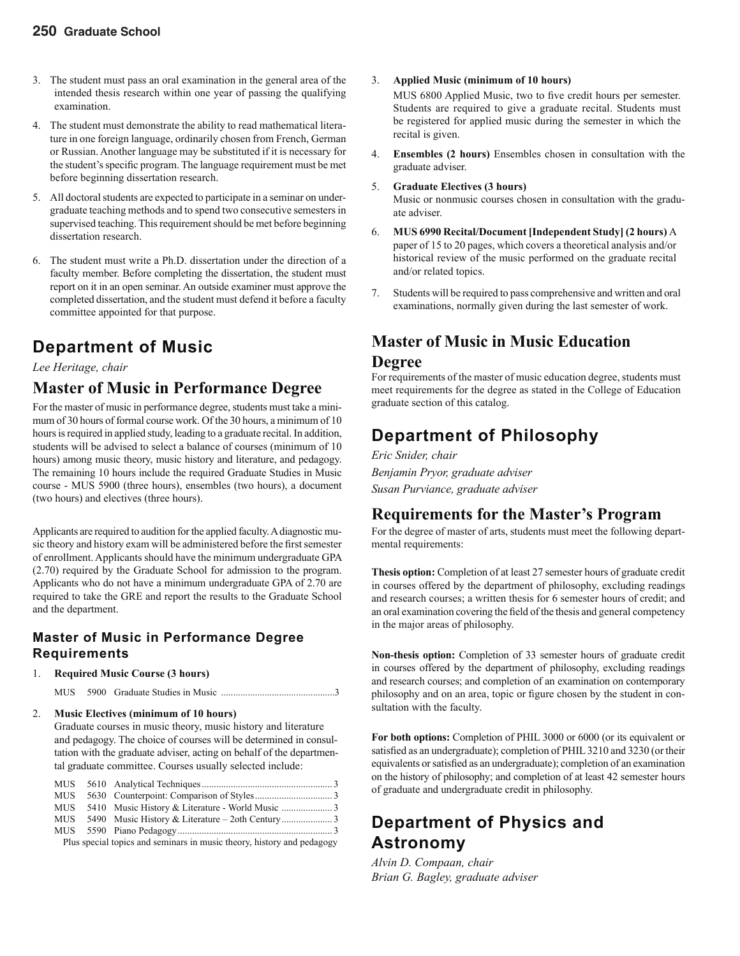- 3. The student must pass an oral examination in the general area of the intended thesis research within one year of passing the qualifying examination.
- 4. The student must demonstrate the ability to read mathematical literature in one foreign language, ordinarily chosen from French, German or Russian. Another language may be substituted if it is necessary for the student's specific program. The language requirement must be met before beginning dissertation research.
- 5. All doctoral students are expected to participate in a seminar on undergraduate teaching methods and to spend two consecutive semesters in supervised teaching. This requirement should be met before beginning dissertation research.
- 6. The student must write a Ph.D. dissertation under the direction of a faculty member. Before completing the dissertation, the student must report on it in an open seminar. An outside examiner must approve the completed dissertation, and the student must defend it before a faculty committee appointed for that purpose.

### **Department of Music**

#### *Lee Heritage, chair*

### **Master of Music in Performance Degree**

For the master of music in performance degree, students must take a minimum of 30 hours of formal course work. Of the 30 hours, a minimum of 10 hours is required in applied study, leading to a graduate recital. In addition, students will be advised to select a balance of courses (minimum of 10 hours) among music theory, music history and literature, and pedagogy. The remaining 10 hours include the required Graduate Studies in Music course - MUS 5900 (three hours), ensembles (two hours), a document (two hours) and electives (three hours).

Applicants are required to audition for the applied faculty. A diagnostic music theory and history exam will be administered before the first semester of enrollment. Applicants should have the minimum undergraduate GPA (2.70) required by the Graduate School for admission to the program. Applicants who do not have a minimum undergraduate GPA of 2.70 are required to take the GRE and report the results to the Graduate School and the department.

#### **Master of Music in Performance Degree Requirements**

#### 1. **Required Music Course (3 hours)**

MUS 5900 Graduate Studies in Music ...............................................3

#### 2. **Music Electives (minimum of 10 hours)**

Graduate courses in music theory, music history and literature and pedagogy. The choice of courses will be determined in consultation with the graduate adviser, acting on behalf of the departmental graduate committee. Courses usually selected include:

Plus special topics and seminars in music theory, history and pedagogy

- 3. **Applied Music (minimum of 10 hours)**
	- MUS 6800 Applied Music, two to five credit hours per semester. Students are required to give a graduate recital. Students must be registered for applied music during the semester in which the recital is given.
- 4. **Ensembles (2 hours)** Ensembles chosen in consultation with the graduate adviser.
- 5. **Graduate Electives (3 hours)**

Music or nonmusic courses chosen in consultation with the graduate adviser.

- 6. **MUS 6990 Recital/Document [Independent Study] (2 hours)** A paper of 15 to 20 pages, which covers a theoretical analysis and/or historical review of the music performed on the graduate recital and/or related topics.
- 7. Students will be required to pass comprehensive and written and oral examinations, normally given during the last semester of work.

### **Master of Music in Music Education**

#### **Degree**

For requirements of the master of music education degree, students must meet requirements for the degree as stated in the College of Education graduate section of this catalog.

### **Department of Philosophy**

*Eric Snider, chair Benjamin Pryor, graduate adviser Susan Purviance, graduate adviser*

### **Requirements for the Master's Program**

For the degree of master of arts, students must meet the following departmental requirements:

**Thesis option:** Completion of at least 27 semester hours of graduate credit in courses offered by the department of philosophy, excluding readings and research courses; a written thesis for 6 semester hours of credit; and an oral examination covering the field of the thesis and general competency in the major areas of philosophy.

**Non-thesis option:** Completion of 33 semester hours of graduate credit in courses offered by the department of philosophy, excluding readings and research courses; and completion of an examination on contemporary philosophy and on an area, topic or figure chosen by the student in consultation with the faculty.

**For both options:** Completion of PHIL 3000 or 6000 (or its equivalent or satisfied as an undergraduate); completion of PHIL 3210 and 3230 (or their equivalents or satisfied as an undergraduate); completion of an examination on the history of philosophy; and completion of at least 42 semester hours of graduate and undergraduate credit in philosophy.

### **Department of Physics and Astronomy**

*Alvin D. Compaan, chair Brian G. Bagley, graduate adviser*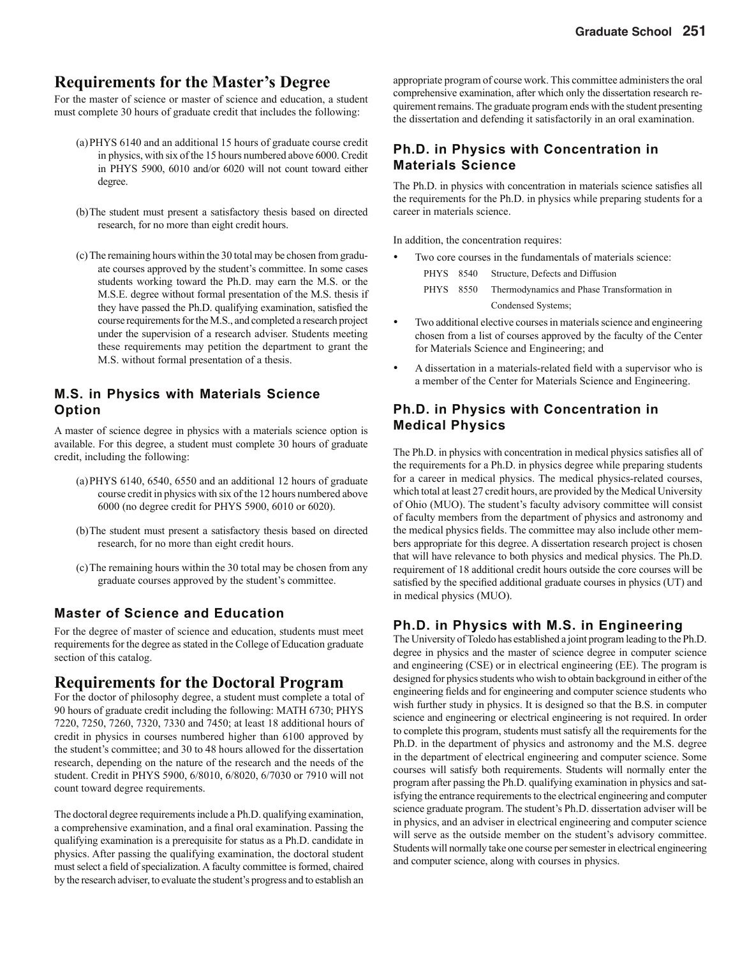#### **Requirements for the Master's Degree**

For the master of science or master of science and education, a student must complete 30 hours of graduate credit that includes the following:

- (a) PHYS 6140 and an additional 15 hours of graduate course credit in physics, with six of the 15 hours numbered above 6000. Credit in PHYS 5900, 6010 and/or 6020 will not count toward either degree.
- (b) The student must present a satisfactory thesis based on directed research, for no more than eight credit hours.
- (c) The remaining hours within the 30 total may be chosen from graduate courses approved by the student's committee. In some cases students working toward the Ph.D. may earn the M.S. or the M.S.E. degree without formal presentation of the M.S. thesis if they have passed the Ph.D. qualifying examination, satisfied the course requirements for the M.S., and completed a research project under the supervision of a research adviser. Students meeting these requirements may petition the department to grant the M.S. without formal presentation of a thesis.

#### **M.S. in Physics with Materials Science Option**

A master of science degree in physics with a materials science option is available. For this degree, a student must complete 30 hours of graduate credit, including the following:

- (a) PHYS 6140, 6540, 6550 and an additional 12 hours of graduate course credit in physics with six of the 12 hours numbered above 6000 (no degree credit for PHYS 5900, 6010 or 6020).
- (b) The student must present a satisfactory thesis based on directed research, for no more than eight credit hours.
- (c) The remaining hours within the 30 total may be chosen from any graduate courses approved by the student's committee.

#### **Master of Science and Education**

For the degree of master of science and education, students must meet requirements for the degree as stated in the College of Education graduate section of this catalog.

#### **Requirements for the Doctoral Program**

For the doctor of philosophy degree, a student must complete a total of 90 hours of graduate credit including the following: MATH 6730; PHYS 7220, 7250, 7260, 7320, 7330 and 7450; at least 18 additional hours of credit in physics in courses numbered higher than 6100 approved by the student's committee; and 30 to 48 hours allowed for the dissertation research, depending on the nature of the research and the needs of the student. Credit in PHYS 5900, 6/8010, 6/8020, 6/7030 or 7910 will not count toward degree requirements.

The doctoral degree requirements include a Ph.D. qualifying examination, a comprehensive examination, and a final oral examination. Passing the qualifying examination is a prerequisite for status as a Ph.D. candidate in physics. After passing the qualifying examination, the doctoral student must select a field of specialization. A faculty committee is formed, chaired by the research adviser, to evaluate the student's progress and to establish an

appropriate program of course work. This committee administers the oral comprehensive examination, after which only the dissertation research requirement remains. The graduate program ends with the student presenting the dissertation and defending it satisfactorily in an oral examination.

#### **Ph.D. in Physics with Concentration in Materials Science**

The Ph.D. in physics with concentration in materials science satisfies all the requirements for the Ph.D. in physics while preparing students for a career in materials science.

In addition, the concentration requires:

- Two core courses in the fundamentals of materials science:
	- PHYS 8540 Structure, Defects and Diffusion
	- PHYS 8550 Thermodynamics and Phase Transformation in Condensed Systems;
- Two additional elective courses in materials science and engineering chosen from a list of courses approved by the faculty of the Center for Materials Science and Engineering; and
- A dissertation in a materials-related field with a supervisor who is a member of the Center for Materials Science and Engineering.

#### **Ph.D. in Physics with Concentration in Medical Physics**

The Ph.D. in physics with concentration in medical physics satisfies all of the requirements for a Ph.D. in physics degree while preparing students for a career in medical physics. The medical physics-related courses, which total at least 27 credit hours, are provided by the Medical University of Ohio (MUO). The student's faculty advisory committee will consist of faculty members from the department of physics and astronomy and the medical physics fields. The committee may also include other members appropriate for this degree. A dissertation research project is chosen that will have relevance to both physics and medical physics. The Ph.D. requirement of 18 additional credit hours outside the core courses will be satisfied by the specified additional graduate courses in physics (UT) and in medical physics (MUO).

#### **Ph.D. in Physics with M.S. in Engineering**

The University of Toledo has established a joint program leading to the Ph.D. degree in physics and the master of science degree in computer science and engineering (CSE) or in electrical engineering (EE). The program is designed for physics students who wish to obtain background in either of the engineering fields and for engineering and computer science students who wish further study in physics. It is designed so that the B.S. in computer science and engineering or electrical engineering is not required. In order to complete this program, students must satisfy all the requirements for the Ph.D. in the department of physics and astronomy and the M.S. degree in the department of electrical engineering and computer science. Some courses will satisfy both requirements. Students will normally enter the program after passing the Ph.D. qualifying examination in physics and satisfying the entrance requirements to the electrical engineering and computer science graduate program. The student's Ph.D. dissertation adviser will be in physics, and an adviser in electrical engineering and computer science will serve as the outside member on the student's advisory committee. Students will normally take one course per semester in electrical engineering and computer science, along with courses in physics.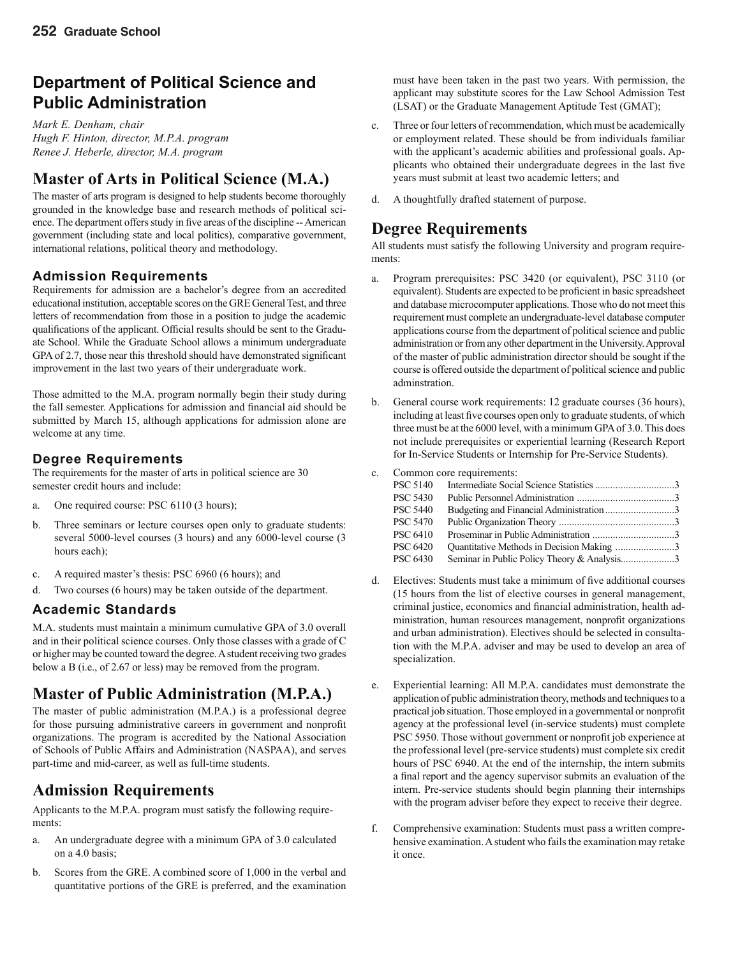### **Department of Political Science and Public Administration**

*Mark E. Denham, chair Hugh F. Hinton, director, M.P.A. program Renee J. Heberle, director, M.A. program*

### **Master of Arts in Political Science (M.A.)**

The master of arts program is designed to help students become thoroughly grounded in the knowledge base and research methods of political science. The department offers study in five areas of the discipline -- American government (including state and local politics), comparative government, international relations, political theory and methodology.

#### **Admission Requirements**

Requirements for admission are a bachelor's degree from an accredited educational institution, acceptable scores on the GRE General Test, and three letters of recommendation from those in a position to judge the academic qualifications of the applicant. Official results should be sent to the Graduate School. While the Graduate School allows a minimum undergraduate GPA of 2.7, those near this threshold should have demonstrated significant improvement in the last two years of their undergraduate work.

Those admitted to the M.A. program normally begin their study during the fall semester. Applications for admission and financial aid should be submitted by March 15, although applications for admission alone are welcome at any time.

#### **Degree Requirements**

The requirements for the master of arts in political science are 30 semester credit hours and include:

- a. One required course: PSC 6110 (3 hours);
- b. Three seminars or lecture courses open only to graduate students: several 5000-level courses (3 hours) and any 6000-level course (3 hours each);
- c. A required master's thesis: PSC 6960 (6 hours); and
- d. Two courses (6 hours) may be taken outside of the department.

#### **Academic Standards**

M.A. students must maintain a minimum cumulative GPA of 3.0 overall and in their political science courses. Only those classes with a grade of C or higher may be counted toward the degree. A student receiving two grades below a B (i.e., of 2.67 or less) may be removed from the program.

### **Master of Public Administration (M.P.A.)**

The master of public administration (M.P.A.) is a professional degree for those pursuing administrative careers in government and nonprofit organizations. The program is accredited by the National Association of Schools of Public Affairs and Administration (NASPAA), and serves part-time and mid-career, as well as full-time students.

### **Admission Requirements**

Applicants to the M.P.A. program must satisfy the following requirements:

- a. An undergraduate degree with a minimum GPA of 3.0 calculated on a 4.0 basis;
- b. Scores from the GRE. A combined score of 1,000 in the verbal and quantitative portions of the GRE is preferred, and the examination

must have been taken in the past two years. With permission, the applicant may substitute scores for the Law School Admission Test (LSAT) or the Graduate Management Aptitude Test (GMAT);

- c. Three or four letters of recommendation, which must be academically or employment related. These should be from individuals familiar with the applicant's academic abilities and professional goals. Applicants who obtained their undergraduate degrees in the last five years must submit at least two academic letters; and
- d. A thoughtfully drafted statement of purpose.

### **Degree Requirements**

All students must satisfy the following University and program requirements:

- a. Program prerequisites: PSC 3420 (or equivalent), PSC 3110 (or equivalent). Students are expected to be proficient in basic spreadsheet and database microcomputer applications. Those who do not meet this requirement must complete an undergraduate-level database computer applications course from the department of political science and public administration or from any other department in the University. Approval of the master of public administration director should be sought if the course is offered outside the department of political science and public adminstration.
- b. General course work requirements: 12 graduate courses (36 hours), including at least five courses open only to graduate students, of which three must be at the 6000 level, with a minimum GPA of 3.0. This does not include prerequisites or experiential learning (Research Report for In-Service Students or Internship for Pre-Service Students).
- c. Common core requirements:

| <b>PSC 5140</b> |                                             |  |
|-----------------|---------------------------------------------|--|
| <b>PSC 5430</b> |                                             |  |
| <b>PSC 5440</b> |                                             |  |
| <b>PSC 5470</b> |                                             |  |
| <b>PSC 6410</b> |                                             |  |
| <b>PSC 6420</b> | Quantitative Methods in Decision Making 3   |  |
| <b>PSC 6430</b> | Seminar in Public Policy Theory & Analysis3 |  |
|                 |                                             |  |

- d. Electives: Students must take a minimum of five additional courses (15 hours from the list of elective courses in general management, criminal justice, economics and financial administration, health administration, human resources management, nonprofit organizations and urban administration). Electives should be selected in consultation with the M.P.A. adviser and may be used to develop an area of specialization.
- e. Experiential learning: All M.P.A. candidates must demonstrate the application of public administration theory, methods and techniques to a practical job situation. Those employed in a governmental or nonprofit agency at the professional level (in-service students) must complete PSC 5950. Those without government or nonprofit job experience at the professional level (pre-service students) must complete six credit hours of PSC 6940. At the end of the internship, the intern submits a final report and the agency supervisor submits an evaluation of the intern. Pre-service students should begin planning their internships with the program adviser before they expect to receive their degree.
- f. Comprehensive examination: Students must pass a written comprehensive examination. A student who fails the examination may retake it once.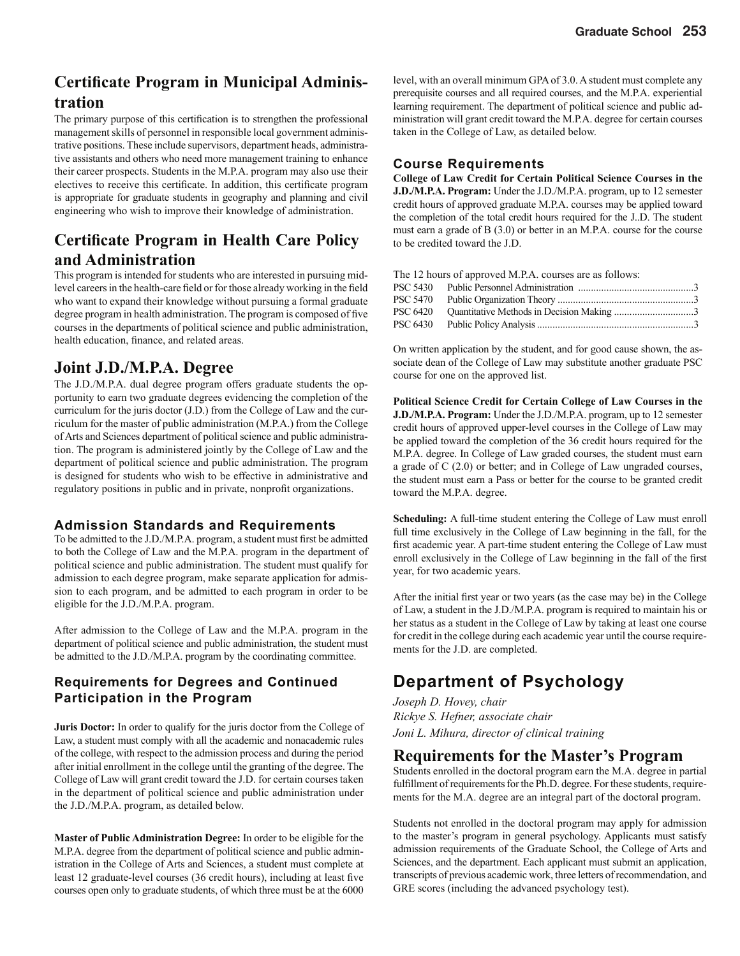### **Certificate Program in Municipal Administration**

The primary purpose of this certification is to strengthen the professional management skills of personnel in responsible local government administrative positions. These include supervisors, department heads, administrative assistants and others who need more management training to enhance their career prospects. Students in the M.P.A. program may also use their electives to receive this certificate. In addition, this certificate program is appropriate for graduate students in geography and planning and civil engineering who wish to improve their knowledge of administration.

### **Certificate Program in Health Care Policy and Administration**

This program is intended for students who are interested in pursuing midlevel careers in the health-care field or for those already working in the field who want to expand their knowledge without pursuing a formal graduate degree program in health administration. The program is composed of five courses in the departments of political science and public administration, health education, finance, and related areas.

### **Joint J.D./M.P.A. Degree**

The J.D./M.P.A. dual degree program offers graduate students the opportunity to earn two graduate degrees evidencing the completion of the curriculum for the juris doctor (J.D.) from the College of Law and the curriculum for the master of public administration (M.P.A.) from the College of Arts and Sciences department of political science and public administration. The program is administered jointly by the College of Law and the department of political science and public administration. The program is designed for students who wish to be effective in administrative and regulatory positions in public and in private, nonprofit organizations.

#### **Admission Standards and Requirements**

To be admitted to the J.D./M.P.A. program, a student must first be admitted to both the College of Law and the M.P.A. program in the department of political science and public administration. The student must qualify for admission to each degree program, make separate application for admission to each program, and be admitted to each program in order to be eligible for the J.D./M.P.A. program.

After admission to the College of Law and the M.P.A. program in the department of political science and public administration, the student must be admitted to the J.D./M.P.A. program by the coordinating committee.

#### **Requirements for Degrees and Continued Participation in the Program**

**Juris Doctor:** In order to qualify for the juris doctor from the College of Law, a student must comply with all the academic and nonacademic rules of the college, with respect to the admission process and during the period after initial enrollment in the college until the granting of the degree. The College of Law will grant credit toward the J.D. for certain courses taken in the department of political science and public administration under the J.D./M.P.A. program, as detailed below.

**Master of Public Administration Degree:** In order to be eligible for the M.P.A. degree from the department of political science and public administration in the College of Arts and Sciences, a student must complete at least 12 graduate-level courses (36 credit hours), including at least five courses open only to graduate students, of which three must be at the 6000

level, with an overall minimum GPA of 3.0. A student must complete any prerequisite courses and all required courses, and the M.P.A. experiential learning requirement. The department of political science and public administration will grant credit toward the M.P.A. degree for certain courses taken in the College of Law, as detailed below.

#### **Course Requirements**

**College of Law Credit for Certain Political Science Courses in the J.D./M.P.A. Program:** Under the J.D./M.P.A. program, up to 12 semester credit hours of approved graduate M.P.A. courses may be applied toward the completion of the total credit hours required for the J..D. The student must earn a grade of B (3.0) or better in an M.P.A. course for the course to be credited toward the J.D.

The 12 hours of approved M.P.A. courses are as follows: PSC 5430 Public Personnel Administration .............................................3 PSC 5470 Public Organization Theory .....................................................3 PSC 6420 Quantitative Methods in Decision Making ................................3 PSC 6430 Public Policy Analysis .............................................................3

On written application by the student, and for good cause shown, the associate dean of the College of Law may substitute another graduate PSC course for one on the approved list.

**Political Science Credit for Certain College of Law Courses in the J.D./M.P.A. Program:** Under the J.D./M.P.A. program, up to 12 semester credit hours of approved upper-level courses in the College of Law may be applied toward the completion of the 36 credit hours required for the M.P.A. degree. In College of Law graded courses, the student must earn a grade of C (2.0) or better; and in College of Law ungraded courses, the student must earn a Pass or better for the course to be granted credit toward the M.P.A. degree.

**Scheduling:** A full-time student entering the College of Law must enroll full time exclusively in the College of Law beginning in the fall, for the first academic year. A part-time student entering the College of Law must enroll exclusively in the College of Law beginning in the fall of the first year, for two academic years.

After the initial first year or two years (as the case may be) in the College of Law, a student in the J.D./M.P.A. program is required to maintain his or her status as a student in the College of Law by taking at least one course for credit in the college during each academic year until the course requirements for the J.D. are completed.

### **Department of Psychology**

*Joseph D. Hovey, chair Rickye S. Hefner, associate chair Joni L. Mihura, director of clinical training*

#### **Requirements for the Master's Program**

Students enrolled in the doctoral program earn the M.A. degree in partial fulfillment of requirements for the Ph.D. degree. For these students, requirements for the M.A. degree are an integral part of the doctoral program.

Students not enrolled in the doctoral program may apply for admission to the master's program in general psychology. Applicants must satisfy admission requirements of the Graduate School, the College of Arts and Sciences, and the department. Each applicant must submit an application, transcripts of previous academic work, three letters of recommendation, and GRE scores (including the advanced psychology test).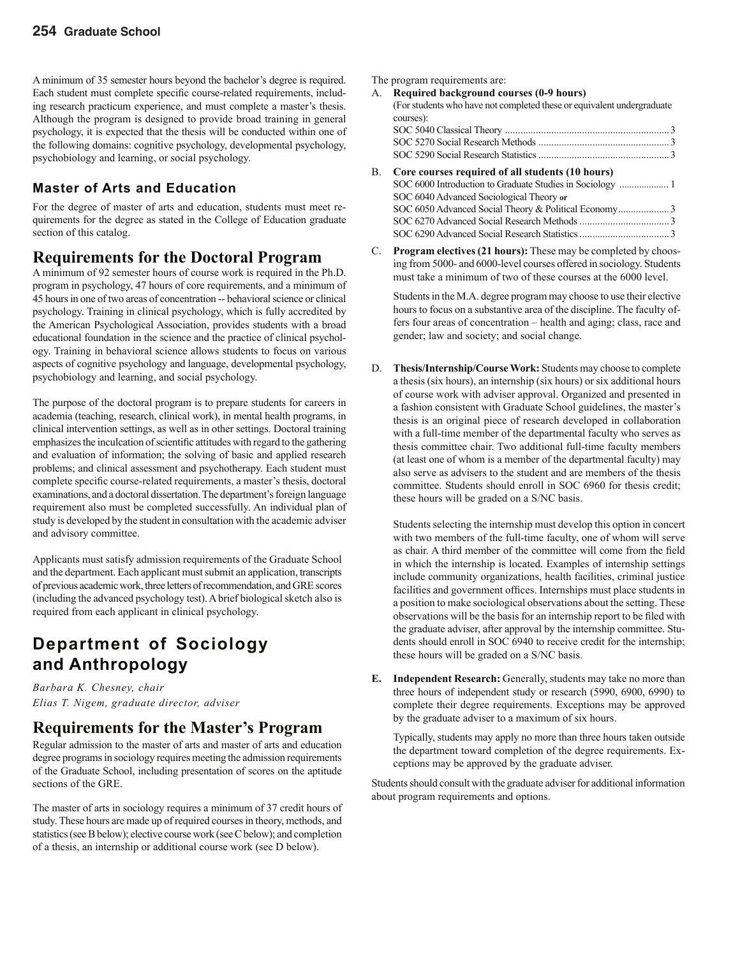A minimum of 35 semester hours beyond the bachelor's degree is required. Each student must complete specific course-related requirements, including research practicum experience, and must complete a master's thesis. Although the program is designed to provide broad training in general psychology, it is expected that the thesis will be conducted within one of the following domains: cognitive psychology, developmental psychology, psychobiology and learning, or social psychology.

### **Master of Arts and Education**

For the degree of master of arts and education, students must meet requirements for the degree as stated in the College of Education graduate section of this catalog.

### **Requirements for the Doctoral Program**

A minimum of 92 semester hours of course work is required in the Ph.D. program in psychology, 47 hours of core requirements, and a minimum of 45 hours in one of two areas of concentration -- behavioral science or clinical psychology. Training in clinical psychology, which is fully accredited by the American Psychological Association, provides students with a broad educational foundation in the science and the practice of clinical psychology. Training in behavioral science allows students to focus on various aspects of cognitive psychology and language, developmental psychology, psychobiology and learning, and social psychology.

The purpose of the doctoral program is to prepare students for careers in academia (teaching, research, clinical work), in mental health programs, in clinical intervention settings, as well as in other settings. Doctoral training emphasizes the inculcation of scientific attitudes with regard to the gathering and evaluation of information; the solving of basic and applied research problems; and clinical assessment and psychotherapy. Each student must complete specific course-related requirements, a master's thesis, doctoral examinations, and a doctoral dissertation. The department's foreign language requirement also must be completed successfully. An individual plan of study is developed by the student in consultation with the academic adviser and advisory committee.

Applicants must satisfy admission requirements of the Graduate School and the department. Each applicant must submit an application, transcripts of previous academic work, three letters of recommendation, and GRE scores (including the advanced psychology test). A brief biological sketch also is required from each applicant in clinical psychology.

### **Department of Sociology and Anthropology**

*Barbara K. Chesney, chair Elias T. Nigem, graduate director, adviser*

### **Requirements for the Master's Program**

Regular admission to the master of arts and master of arts and education degree programs in sociology requires meeting the admission requirements of the Graduate School, including presentation of scores on the aptitude sections of the GRE.

The master of arts in sociology requires a minimum of 37 credit hours of study. These hours are made up of required courses in theory, methods, and statistics (see B below); elective course work (see C below); and completion of a thesis, an internship or additional course work (see D below).

The program requirements are:

- A. **Required background courses (0-9 hours)** (For students who have not completed these or equivalent undergraduate courses): SOC 5040 Classical Theory ................................................................3 SOC 5270 Social Research Methods ...................................................3 SOC 5290 Social Research Statistics ...................................................3 B. **Core courses required of all students (10 hours)**
- SOC 6000 Introduction to Graduate Studies in Sociology .................... 1 SOC 6040 Advanced Sociological Theory **or** SOC 6050 Advanced Social Theory & Political Economy ....................3 SOC 6270 Advanced Social Research Methods ...................................3 SOC 6290 Advanced Social Research Statistics ...................................3
- C. **Program electives (21 hours):** These may be completed by choosing from 5000- and 6000-level courses offered in sociology. Students must take a minimum of two of these courses at the 6000 level.

Students in the M.A. degree program may choose to use their elective hours to focus on a substantive area of the discipline. The faculty offers four areas of concentration – health and aging; class, race and gender; law and society; and social change.

D. **Thesis/Internship/Course Work:** Students may choose to complete a thesis (six hours), an internship (six hours) or six additional hours of course work with adviser approval. Organized and presented in a fashion consistent with Graduate School guidelines, the master's thesis is an original piece of research developed in collaboration with a full-time member of the departmental faculty who serves as thesis committee chair. Two additional full-time faculty members (at least one of whom is a member of the departmental faculty) may also serve as advisers to the student and are members of the thesis committee. Students should enroll in SOC 6960 for thesis credit; these hours will be graded on a S/NC basis.

Students selecting the internship must develop this option in concert with two members of the full-time faculty, one of whom will serve as chair. A third member of the committee will come from the field in which the internship is located. Examples of internship settings include community organizations, health facilities, criminal justice facilities and government offices. Internships must place students in a position to make sociological observations about the setting. These observations will be the basis for an internship report to be filed with the graduate adviser, after approval by the internship committee. Students should enroll in SOC 6940 to receive credit for the internship; these hours will be graded on a S/NC basis.

**Independent Research:** Generally, students may take no more than three hours of independent study or research (5990, 6900, 6990) to complete their degree requirements. Exceptions may be approved by the graduate adviser to a maximum of six hours.

Typically, students may apply no more than three hours taken outside the department toward completion of the degree requirements. Exceptions may be approved by the graduate adviser.

Students should consult with the graduate adviser for additional information about program requirements and options.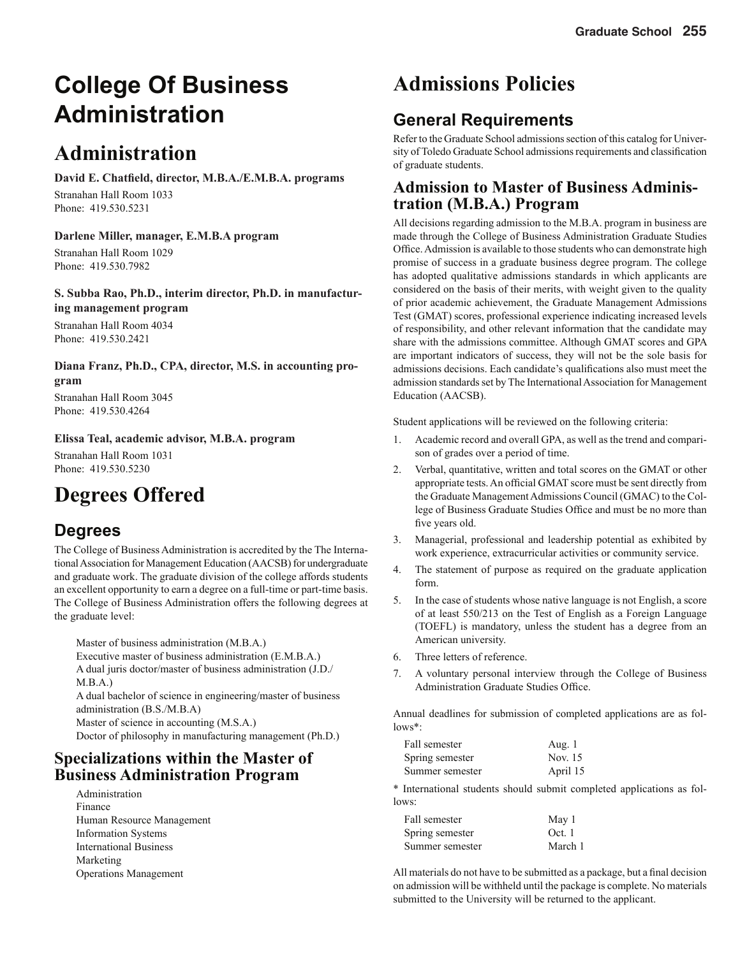# **College Of Business Administration**

# **Administration**

David E. Chatfield, director, M.B.A./E.M.B.A. programs Stranahan Hall Room 1033 Phone: 419.530.5231

**Darlene Miller, manager, E.M.B.A program** Stranahan Hall Room 1029 Phone: 419.530.7982

**S. Subba Rao, Ph.D., interim director, Ph.D. in manufacturing management program** Stranahan Hall Room 4034 Phone: 419.530.2421

**Diana Franz, Ph.D., CPA, director, M.S. in accounting program**

Stranahan Hall Room 3045 Phone: 419.530.4264

**Elissa Teal, academic advisor, M.B.A. program**

Stranahan Hall Room 1031 Phone: 419.530.5230

# **Degrees Offered**

### **Degrees**

The College of Business Administration is accredited by the The International Association for Management Education (AACSB) for undergraduate and graduate work. The graduate division of the college affords students an excellent opportunity to earn a degree on a full-time or part-time basis. The College of Business Administration offers the following degrees at the graduate level:

 Master of business administration (M.B.A.) Executive master of business administration (E.M.B.A.) A dual juris doctor/master of business administration (J.D./ M.B.A.) A dual bachelor of science in engineering/master of business administration (B.S./M.B.A) Master of science in accounting (M.S.A.) Doctor of philosophy in manufacturing management (Ph.D.)

### **Specializations within the Master of Business Administration Program**

 Administration Finance Human Resource Management Information Systems International Business Marketing Operations Management

# **Admissions Policies**

### **General Requirements**

Refer to the Graduate School admissions section of this catalog for University of Toledo Graduate School admissions requirements and classification of graduate students.

### **Admission to Master of Business Administration (M.B.A.) Program**

All decisions regarding admission to the M.B.A. program in business are made through the College of Business Administration Graduate Studies Office. Admission is available to those students who can demonstrate high promise of success in a graduate business degree program. The college has adopted qualitative admissions standards in which applicants are considered on the basis of their merits, with weight given to the quality of prior academic achievement, the Graduate Management Admissions Test (GMAT) scores, professional experience indicating increased levels of responsibility, and other relevant information that the candidate may share with the admissions committee. Although GMAT scores and GPA are important indicators of success, they will not be the sole basis for admissions decisions. Each candidate's qualifications also must meet the admission standards set by The International Association for Management Education (AACSB).

Student applications will be reviewed on the following criteria:

- 1. Academic record and overall GPA, as well as the trend and comparison of grades over a period of time.
- 2. Verbal, quantitative, written and total scores on the GMAT or other appropriate tests. An official GMAT score must be sent directly from the Graduate Management Admissions Council (GMAC) to the College of Business Graduate Studies Office and must be no more than five years old.
- 3. Managerial, professional and leadership potential as exhibited by work experience, extracurricular activities or community service.
- 4. The statement of purpose as required on the graduate application form.
- 5. In the case of students whose native language is not English, a score of at least 550/213 on the Test of English as a Foreign Language (TOEFL) is mandatory, unless the student has a degree from an American university.
- 6. Three letters of reference.
- 7. A voluntary personal interview through the College of Business Administration Graduate Studies Office.

Annual deadlines for submission of completed applications are as follows\*:

| Fall semester   | Aug. 1   |
|-----------------|----------|
| Spring semester | Nov. 15  |
| Summer semester | April 15 |

\* International students should submit completed applications as follows:

| Fall semester   | May 1   |
|-----------------|---------|
| Spring semester | Oct. 1  |
| Summer semester | March 1 |

All materials do not have to be submitted as a package, but a final decision on admission will be withheld until the package is complete. No materials submitted to the University will be returned to the applicant.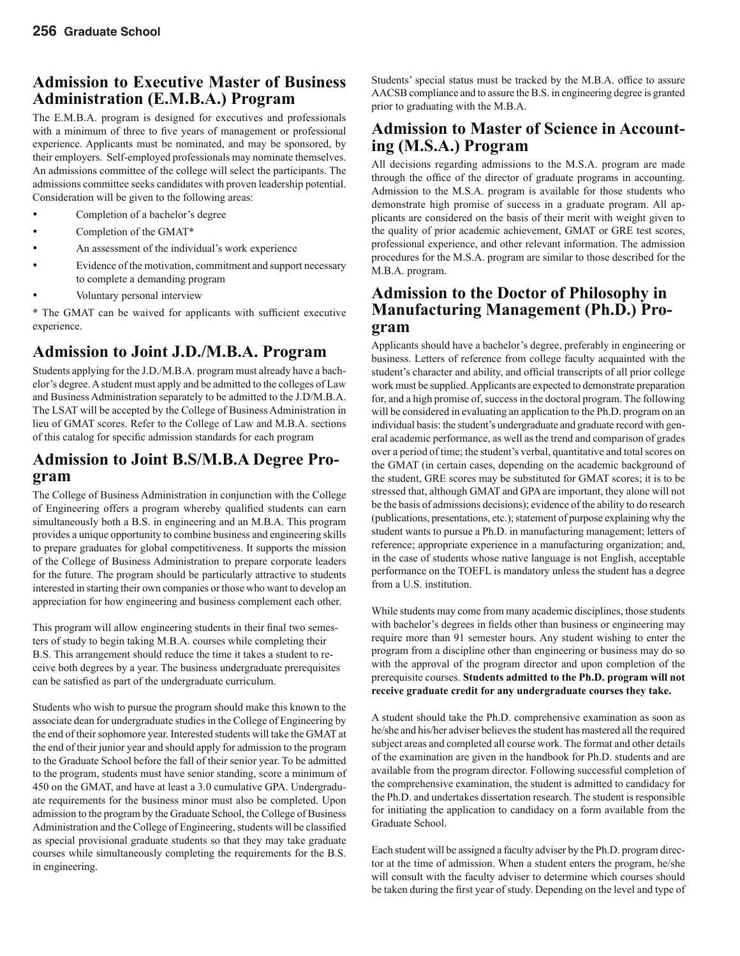### **Admission to Executive Master of Business Administration (E.M.B.A.) Program**

The E.M.B.A. program is designed for executives and professionals with a minimum of three to five years of management or professional experience. Applicants must be nominated, and may be sponsored, by their employers. Self-employed professionals may nominate themselves. An admissions committee of the college will select the participants. The admissions committee seeks candidates with proven leadership potential. Consideration will be given to the following areas:

- Completion of a bachelor's degree
- Completion of the GMAT\*
- An assessment of the individual's work experience
- Evidence of the motivation, commitment and support necessary to complete a demanding program
- Voluntary personal interview

\* The GMAT can be waived for applicants with sufficient executive experience.

### **Admission to Joint J.D./M.B.A. Program**

Students applying for the J.D./M.B.A. program must already have a bachelor's degree. A student must apply and be admitted to the colleges of Law and Business Administration separately to be admitted to the J.D/M.B.A. The LSAT will be accepted by the College of Business Administration in lieu of GMAT scores. Refer to the College of Law and M.B.A. sections of this catalog for specific admission standards for each program

### **Admission to Joint B.S/M.B.A Degree Program**

The College of Business Administration in conjunction with the College of Engineering offers a program whereby qualified students can earn simultaneously both a B.S. in engineering and an M.B.A. This program provides a unique opportunity to combine business and engineering skills to prepare graduates for global competitiveness. It supports the mission of the College of Business Administration to prepare corporate leaders for the future. The program should be particularly attractive to students interested in starting their own companies or those who want to develop an appreciation for how engineering and business complement each other.

This program will allow engineering students in their final two semesters of study to begin taking M.B.A. courses while completing their B.S. This arrangement should reduce the time it takes a student to receive both degrees by a year. The business undergraduate prerequisites can be satisfied as part of the undergraduate curriculum.

Students who wish to pursue the program should make this known to the associate dean for undergraduate studies in the College of Engineering by the end of their sophomore year. Interested students will take the GMAT at the end of their junior year and should apply for admission to the program to the Graduate School before the fall of their senior year. To be admitted to the program, students must have senior standing, score a minimum of 450 on the GMAT, and have at least a 3.0 cumulative GPA. Undergraduate requirements for the business minor must also be completed. Upon admission to the program by the Graduate School, the College of Business Administration and the College of Engineering, students will be classified as special provisional graduate students so that they may take graduate courses while simultaneously completing the requirements for the B.S. in engineering.

Students' special status must be tracked by the M.B.A. office to assure AACSB compliance and to assure the B.S. in engineering degree is granted prior to graduating with the M.B.A.

### **Admission to Master of Science in Accounting (M.S.A.) Program**

All decisions regarding admissions to the M.S.A. program are made through the office of the director of graduate programs in accounting. Admission to the M.S.A. program is available for those students who demonstrate high promise of success in a graduate program. All applicants are considered on the basis of their merit with weight given to the quality of prior academic achievement, GMAT or GRE test scores, professional experience, and other relevant information. The admission procedures for the M.S.A. program are similar to those described for the M.B.A. program.

### **Admission to the Doctor of Philosophy in Manufacturing Management (Ph.D.) Program**

Applicants should have a bachelor's degree, preferably in engineering or business. Letters of reference from college faculty acquainted with the student's character and ability, and official transcripts of all prior college work must be supplied. Applicants are expected to demonstrate preparation for, and a high promise of, success in the doctoral program. The following will be considered in evaluating an application to the Ph.D. program on an individual basis: the student's undergraduate and graduate record with general academic performance, as well as the trend and comparison of grades over a period of time; the student's verbal, quantitative and total scores on the GMAT (in certain cases, depending on the academic background of the student, GRE scores may be substituted for GMAT scores; it is to be stressed that, although GMAT and GPA are important, they alone will not be the basis of admissions decisions); evidence of the ability to do research (publications, presentations, etc.); statement of purpose explaining why the student wants to pursue a Ph.D. in manufacturing management; letters of reference; appropriate experience in a manufacturing organization; and, in the case of students whose native language is not English, acceptable performance on the TOEFL is mandatory unless the student has a degree from a U.S. institution.

While students may come from many academic disciplines, those students with bachelor's degrees in fields other than business or engineering may require more than 91 semester hours. Any student wishing to enter the program from a discipline other than engineering or business may do so with the approval of the program director and upon completion of the prerequisite courses. **Students admitted to the Ph.D. program will not receive graduate credit for any undergraduate courses they take.**

A student should take the Ph.D. comprehensive examination as soon as he/she and his/her adviser believes the student has mastered all the required subject areas and completed all course work. The format and other details of the examination are given in the handbook for Ph.D. students and are available from the program director. Following successful completion of the comprehensive examination, the student is admitted to candidacy for the Ph.D. and undertakes dissertation research. The student is responsible for initiating the application to candidacy on a form available from the Graduate School.

Each student will be assigned a faculty adviser by the Ph.D. program director at the time of admission. When a student enters the program, he/she will consult with the faculty adviser to determine which courses should be taken during the first year of study. Depending on the level and type of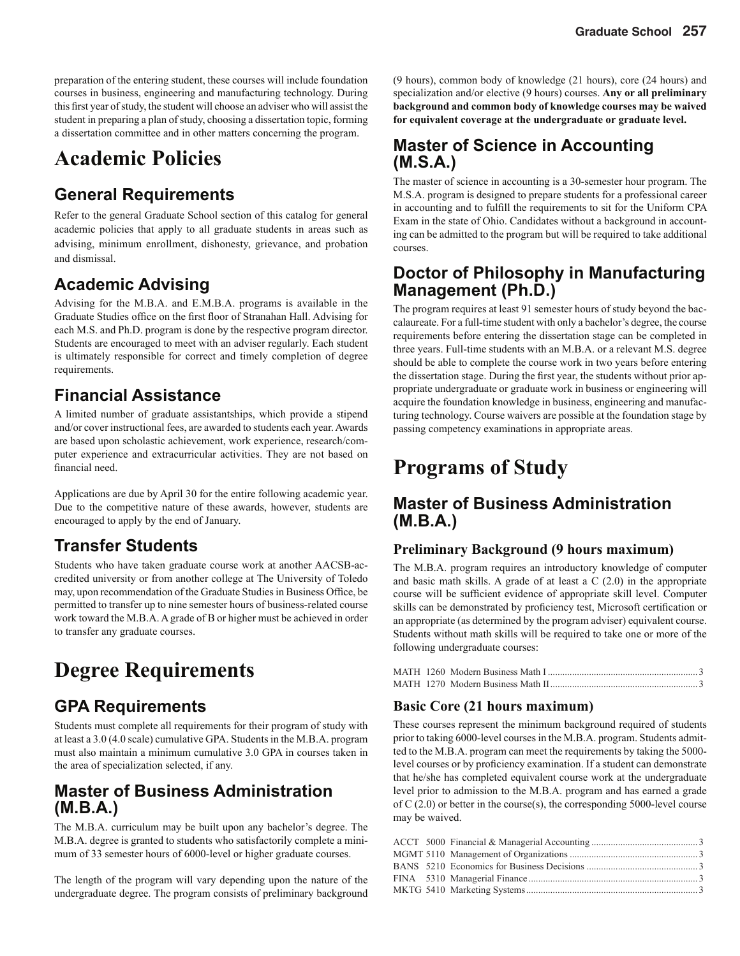preparation of the entering student, these courses will include foundation courses in business, engineering and manufacturing technology. During this first year of study, the student will choose an adviser who will assist the student in preparing a plan of study, choosing a dissertation topic, forming a dissertation committee and in other matters concerning the program.

# **Academic Policies**

### **General Requirements**

Refer to the general Graduate School section of this catalog for general academic policies that apply to all graduate students in areas such as advising, minimum enrollment, dishonesty, grievance, and probation and dismissal.

### **Academic Advising**

Advising for the M.B.A. and E.M.B.A. programs is available in the Graduate Studies office on the first floor of Stranahan Hall. Advising for each M.S. and Ph.D. program is done by the respective program director. Students are encouraged to meet with an adviser regularly. Each student is ultimately responsible for correct and timely completion of degree requirements.

### **Financial Assistance**

A limited number of graduate assistantships, which provide a stipend and/or cover instructional fees, are awarded to students each year. Awards are based upon scholastic achievement, work experience, research/computer experience and extracurricular activities. They are not based on financial need.

Applications are due by April 30 for the entire following academic year. Due to the competitive nature of these awards, however, students are encouraged to apply by the end of January.

### **Transfer Students**

Students who have taken graduate course work at another AACSB-accredited university or from another college at The University of Toledo may, upon recommendation of the Graduate Studies in Business Office, be permitted to transfer up to nine semester hours of business-related course work toward the M.B.A. A grade of B or higher must be achieved in order to transfer any graduate courses.

# **Degree Requirements**

### **GPA Requirements**

Students must complete all requirements for their program of study with at least a 3.0 (4.0 scale) cumulative GPA. Students in the M.B.A. program must also maintain a minimum cumulative 3.0 GPA in courses taken in the area of specialization selected, if any.

### **Master of Business Administration (M.B.A.)**

The M.B.A. curriculum may be built upon any bachelor's degree. The M.B.A. degree is granted to students who satisfactorily complete a minimum of 33 semester hours of 6000-level or higher graduate courses.

The length of the program will vary depending upon the nature of the undergraduate degree. The program consists of preliminary background

(9 hours), common body of knowledge (21 hours), core (24 hours) and specialization and/or elective (9 hours) courses. **Any or all preliminary background and common body of knowledge courses may be waived for equivalent coverage at the undergraduate or graduate level.**

### **Master of Science in Accounting (M.S.A.)**

The master of science in accounting is a 30-semester hour program. The M.S.A. program is designed to prepare students for a professional career in accounting and to fulfill the requirements to sit for the Uniform CPA Exam in the state of Ohio. Candidates without a background in accounting can be admitted to the program but will be required to take additional courses.

### **Doctor of Philosophy in Manufacturing Management (Ph.D.)**

The program requires at least 91 semester hours of study beyond the baccalaureate. For a full-time student with only a bachelor's degree, the course requirements before entering the dissertation stage can be completed in three years. Full-time students with an M.B.A. or a relevant M.S. degree should be able to complete the course work in two years before entering the dissertation stage. During the first year, the students without prior appropriate undergraduate or graduate work in business or engineering will acquire the foundation knowledge in business, engineering and manufacturing technology. Course waivers are possible at the foundation stage by passing competency examinations in appropriate areas.

# **Programs of Study**

### **Master of Business Administration (M.B.A.)**

#### **Preliminary Background (9 hours maximum)**

The M.B.A. program requires an introductory knowledge of computer and basic math skills. A grade of at least a C (2.0) in the appropriate course will be sufficient evidence of appropriate skill level. Computer skills can be demonstrated by proficiency test, Microsoft certification or an appropriate (as determined by the program adviser) equivalent course. Students without math skills will be required to take one or more of the following undergraduate courses:

#### **Basic Core (21 hours maximum)**

These courses represent the minimum background required of students prior to taking 6000-level courses in the M.B.A. program. Students admitted to the M.B.A. program can meet the requirements by taking the 5000 level courses or by proficiency examination. If a student can demonstrate that he/she has completed equivalent course work at the undergraduate level prior to admission to the M.B.A. program and has earned a grade of C (2.0) or better in the course(s), the corresponding 5000-level course may be waived.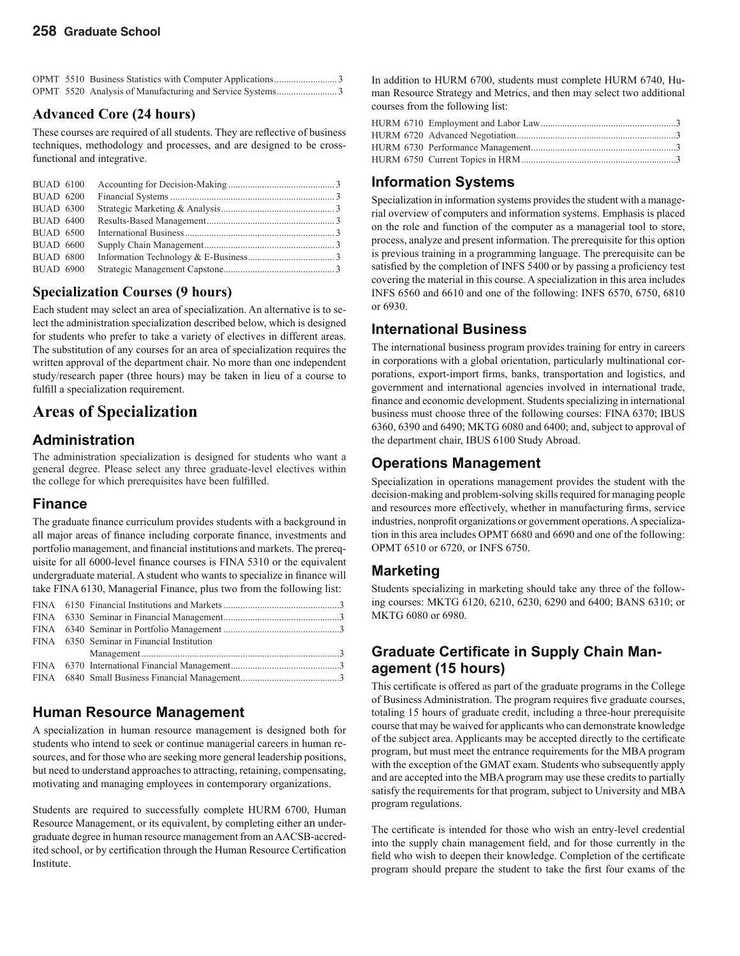#### **Advanced Core (24 hours)**

These courses are required of all students. They are reflective of business techniques, methodology and processes, and are designed to be crossfunctional and integrative.

| <b>BUAD 6100</b> |  |  |
|------------------|--|--|
| <b>BUAD 6200</b> |  |  |
| <b>BUAD 6300</b> |  |  |
| <b>BUAD 6400</b> |  |  |
| <b>BUAD 6500</b> |  |  |
| <b>BUAD 6600</b> |  |  |
| <b>BUAD 6800</b> |  |  |
| <b>BUAD 6900</b> |  |  |

#### **Specialization Courses (9 hours)**

Each student may select an area of specialization. An alternative is to select the administration specialization described below, which is designed for students who prefer to take a variety of electives in different areas. The substitution of any courses for an area of specialization requires the written approval of the department chair. No more than one independent study/research paper (three hours) may be taken in lieu of a course to fulfill a specialization requirement.

### **Areas of Specialization**

#### **Administration**

The administration specialization is designed for students who want a general degree. Please select any three graduate-level electives within the college for which prerequisites have been fulfilled.

#### **Finance**

The graduate finance curriculum provides students with a background in all major areas of finance including corporate finance, investments and portfolio management, and financial institutions and markets. The prerequisite for all 6000-level finance courses is FINA 5310 or the equivalent undergraduate material. A student who wants to specialize in finance will take FINA 6130, Managerial Finance, plus two from the following list:

|  | FINA 6350 Seminar in Financial Institution |
|--|--------------------------------------------|

#### **Human Resource Management**

A specialization in human resource management is designed both for students who intend to seek or continue managerial careers in human resources, and for those who are seeking more general leadership positions, but need to understand approaches to attracting, retaining, compensating, motivating and managing employees in contemporary organizations.

Students are required to successfully complete HURM 6700, Human Resource Management, or its equivalent, by completing either an undergraduate degree in human resource management from an AACSB-accredited school, or by certification through the Human Resource Certification Institute.

In addition to HURM 6700, students must complete HURM 6740, Human Resource Strategy and Metrics, and then may select two additional courses from the following list:

### **Information Systems**

Specialization in information systems provides the student with a managerial overview of computers and information systems. Emphasis is placed on the role and function of the computer as a managerial tool to store, process, analyze and present information. The prerequisite for this option is previous training in a programming language. The prerequisite can be satisfied by the completion of INFS 5400 or by passing a proficiency test covering the material in this course. A specialization in this area includes INFS 6560 and 6610 and one of the following: INFS 6570, 6750, 6810 or 6930.

### **International Business**

The international business program provides training for entry in careers in corporations with a global orientation, particularly multinational corporations, export-import firms, banks, transportation and logistics, and government and international agencies involved in international trade, finance and economic development. Students specializing in international business must choose three of the following courses: FINA 6370; IBUS 6360, 6390 and 6490; MKTG 6080 and 6400; and, subject to approval of the department chair, IBUS 6100 Study Abroad.

### **Operations Management**

Specialization in operations management provides the student with the decision-making and problem-solving skills required for managing people and resources more effectively, whether in manufacturing firms, service industries, nonprofit organizations or government operations. A specialization in this area includes OPMT 6680 and 6690 and one of the following: OPMT 6510 or 6720, or INFS 6750.

#### **Marketing**

Students specializing in marketing should take any three of the following courses: MKTG 6120, 6210, 6230, 6290 and 6400; BANS 6310; or MKTG 6080 or 6980.

### **Graduate Certificate in Supply Chain Management (15 hours)**

This certificate is offered as part of the graduate programs in the College of Business Administration. The program requires five graduate courses, totaling 15 hours of graduate credit, including a three-hour prerequisite course that may be waived for applicants who can demonstrate knowledge of the subject area. Applicants may be accepted directly to the certificate program, but must meet the entrance requirements for the MBA program with the exception of the GMAT exam. Students who subsequently apply and are accepted into the MBA program may use these credits to partially satisfy the requirements for that program, subject to University and MBA program regulations.

The certificate is intended for those who wish an entry-level credential into the supply chain management field, and for those currently in the field who wish to deepen their knowledge. Completion of the certificate program should prepare the student to take the first four exams of the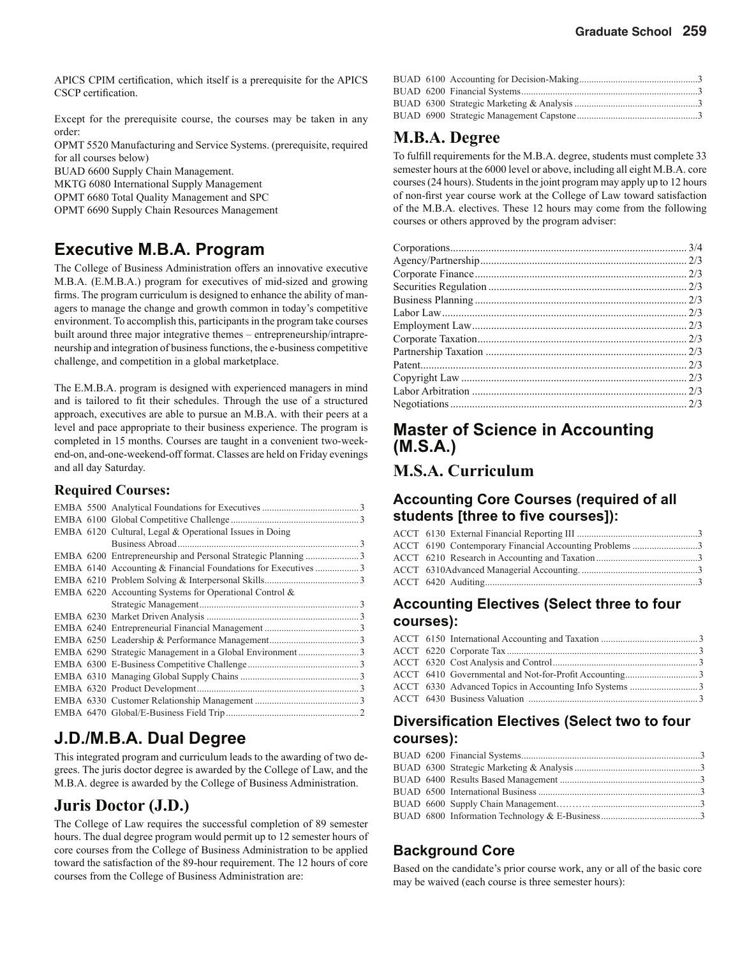APICS CPIM certification, which itself is a prerequisite for the APICS CSCP certification.

Except for the prerequisite course, the courses may be taken in any order:

OPMT 5520 Manufacturing and Service Systems. (prerequisite, required for all courses below)

BUAD 6600 Supply Chain Management.

MKTG 6080 International Supply Management

OPMT 6680 Total Quality Management and SPC

OPMT 6690 Supply Chain Resources Management

### **Executive M.B.A. Program**

The College of Business Administration offers an innovative executive M.B.A. (E.M.B.A.) program for executives of mid-sized and growing firms. The program curriculum is designed to enhance the ability of managers to manage the change and growth common in today's competitive environment. To accomplish this, participants in the program take courses built around three major integrative themes – entrepreneurship/intrapreneurship and integration of business functions, the e-business competitive challenge, and competition in a global marketplace.

The E.M.B.A. program is designed with experienced managers in mind and is tailored to fit their schedules. Through the use of a structured approach, executives are able to pursue an M.B.A. with their peers at a level and pace appropriate to their business experience. The program is completed in 15 months. Courses are taught in a convenient two-weekend-on, and-one-weekend-off format. Classes are held on Friday evenings and all day Saturday.

#### **Required Courses:**

|  | EMBA 6120 Cultural, Legal & Operational Issues in Doing      |  |
|--|--------------------------------------------------------------|--|
|  | Business Abroad.                                             |  |
|  | EMBA 6200 Entrepreneurship and Personal Strategic Planning 3 |  |
|  |                                                              |  |
|  |                                                              |  |
|  | EMBA 6220 Accounting Systems for Operational Control &       |  |
|  |                                                              |  |
|  |                                                              |  |
|  |                                                              |  |
|  |                                                              |  |
|  |                                                              |  |
|  |                                                              |  |
|  |                                                              |  |
|  |                                                              |  |
|  |                                                              |  |
|  |                                                              |  |

### **J.D./M.B.A. Dual Degree**

This integrated program and curriculum leads to the awarding of two degrees. The juris doctor degree is awarded by the College of Law, and the M.B.A. degree is awarded by the College of Business Administration.

### **Juris Doctor (J.D.)**

The College of Law requires the successful completion of 89 semester hours. The dual degree program would permit up to 12 semester hours of core courses from the College of Business Administration to be applied toward the satisfaction of the 89-hour requirement. The 12 hours of core courses from the College of Business Administration are:

### **M.B.A. Degree**

To fulfill requirements for the M.B.A. degree, students must complete 33 semester hours at the 6000 level or above, including all eight M.B.A. core courses (24 hours). Students in the joint program may apply up to 12 hours of non-first year course work at the College of Law toward satisfaction of the M.B.A. electives. These 12 hours may come from the following courses or others approved by the program adviser:

### **Master of Science in Accounting (M.S.A.)**

#### **M.S.A. Curriculum**

#### **Accounting Core Courses (required of all**  students [three to five courses]):

| ACCT 6190 Contemporary Financial Accounting Problems 3 |  |
|--------------------------------------------------------|--|
|                                                        |  |
|                                                        |  |
|                                                        |  |

#### **Accounting Electives (Select three to four courses):**

#### **Diversification Electives (Select two to four courses):**

#### **Background Core**

Based on the candidate's prior course work, any or all of the basic core may be waived (each course is three semester hours):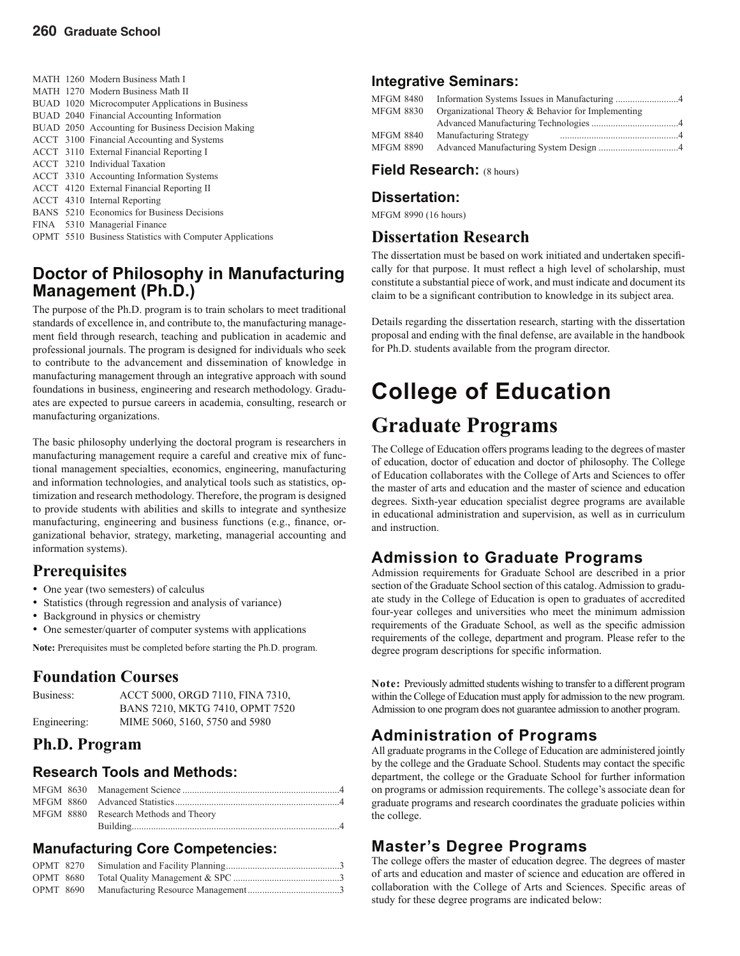MATH 1260 Modern Business Math I MATH 1270 Modern Business Math II BUAD 1020 Microcomputer Applications in Business BUAD 2040 Financial Accounting Information BUAD 2050 Accounting for Business Decision Making ACCT 3100 Financial Accounting and Systems ACCT 3110 External Financial Reporting I ACCT 3210 Individual Taxation ACCT 3310 Accounting Information Systems ACCT 4120 External Financial Reporting II ACCT 4310 Internal Reporting BANS 5210 Economics for Business Decisions FINA 5310 Managerial Finance OPMT 5510 Business Statistics with Computer Applications

### **Doctor of Philosophy in Manufacturing Management (Ph.D.)**

The purpose of the Ph.D. program is to train scholars to meet traditional standards of excellence in, and contribute to, the manufacturing management field through research, teaching and publication in academic and professional journals. The program is designed for individuals who seek to contribute to the advancement and dissemination of knowledge in manufacturing management through an integrative approach with sound foundations in business, engineering and research methodology. Graduates are expected to pursue careers in academia, consulting, research or manufacturing organizations.

The basic philosophy underlying the doctoral program is researchers in manufacturing management require a careful and creative mix of functional management specialties, economics, engineering, manufacturing and information technologies, and analytical tools such as statistics, optimization and research methodology. Therefore, the program is designed to provide students with abilities and skills to integrate and synthesize manufacturing, engineering and business functions (e.g., finance, organizational behavior, strategy, marketing, managerial accounting and information systems).

### **Prerequisites**

- One year (two semesters) of calculus
- Statistics (through regression and analysis of variance)
- Background in physics or chemistry
- One semester/quarter of computer systems with applications

**Note:** Prerequisites must be completed before starting the Ph.D. program.

#### **Foundation Courses**

| Business:    | ACCT 5000, ORGD 7110, FINA 7310, |
|--------------|----------------------------------|
|              | BANS 7210, MKTG 7410, OPMT 7520  |
| Engineering: | MIME 5060, 5160, 5750 and 5980   |

### **Ph.D. Program**

#### **Research Tools and Methods:**

|  | MFGM 8880 Research Methods and Theory |
|--|---------------------------------------|
|  |                                       |

### **Manufacturing Core Competencies:**

#### **Integrative Seminars:**

| MFGM 8480        |                                                   |  |
|------------------|---------------------------------------------------|--|
| <b>MFGM 8830</b> | Organizational Theory & Behavior for Implementing |  |
|                  |                                                   |  |
| <b>MFGM 8840</b> | Manufacturing Strategy                            |  |
| MFGM 8890        |                                                   |  |

#### **Field Research:** (8 hours)

#### **Dissertation:**

MFGM 8990 (16 hours)

### **Dissertation Research**

The dissertation must be based on work initiated and undertaken specifically for that purpose. It must reflect a high level of scholarship, must constitute a substantial piece of work, and must indicate and document its claim to be a significant contribution to knowledge in its subject area.

Details regarding the dissertation research, starting with the dissertation proposal and ending with the final defense, are available in the handbook for Ph.D. students available from the program director.

# **College of Education Graduate Programs**

The College of Education offers programs leading to the degrees of master of education, doctor of education and doctor of philosophy. The College of Education collaborates with the College of Arts and Sciences to offer the master of arts and education and the master of science and education degrees. Sixth-year education specialist degree programs are available in educational administration and supervision, as well as in curriculum and instruction.

### **Admission to Graduate Programs**

Admission requirements for Graduate School are described in a prior section of the Graduate School section of this catalog. Admission to graduate study in the College of Education is open to graduates of accredited four-year colleges and universities who meet the minimum admission requirements of the Graduate School, as well as the specific admission requirements of the college, department and program. Please refer to the degree program descriptions for specific information.

**Note:** Previously admitted students wishing to transfer to a different program within the College of Education must apply for admission to the new program. Admission to one program does not guarantee admission to another program.

### **Administration of Programs**

All graduate programs in the College of Education are administered jointly by the college and the Graduate School. Students may contact the specific department, the college or the Graduate School for further information on programs or admission requirements. The college's associate dean for graduate programs and research coordinates the graduate policies within the college.

### **Master's Degree Programs**

The college offers the master of education degree. The degrees of master of arts and education and master of science and education are offered in collaboration with the College of Arts and Sciences. Specific areas of study for these degree programs are indicated below: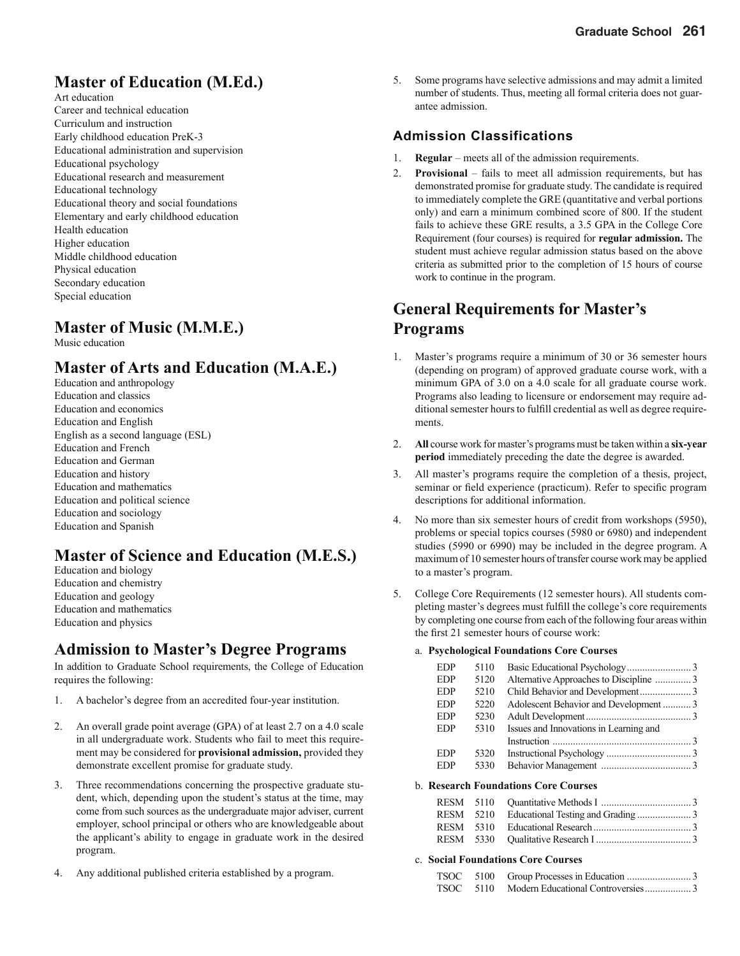## **Master of Education (M.Ed.)**

Art education Career and technical education Curriculum and instruction Early childhood education PreK-3 Educational administration and supervision Educational psychology Educational research and measurement Educational technology Educational theory and social foundations Elementary and early childhood education Health education Higher education Middle childhood education Physical education Secondary education Special education

### **Master of Music (M.M.E.)**

Music education

### **Master of Arts and Education (M.A.E.)**

Education and anthropology Education and classics Education and economics Education and English English as a second language (ESL) Education and French Education and German Education and history Education and mathematics Education and political science Education and sociology Education and Spanish

### **Master of Science and Education (M.E.S.)**

Education and biology Education and chemistry Education and geology Education and mathematics Education and physics

### **Admission to Master's Degree Programs**

In addition to Graduate School requirements, the College of Education requires the following:

- 1. A bachelor's degree from an accredited four-year institution.
- 2. An overall grade point average (GPA) of at least 2.7 on a 4.0 scale in all undergraduate work. Students who fail to meet this requirement may be considered for **provisional admission,** provided they demonstrate excellent promise for graduate study.
- 3. Three recommendations concerning the prospective graduate student, which, depending upon the student's status at the time, may come from such sources as the undergraduate major adviser, current employer, school principal or others who are knowledgeable about the applicant's ability to engage in graduate work in the desired program.
- 4. Any additional published criteria established by a program.

5. Some programs have selective admissions and may admit a limited number of students. Thus, meeting all formal criteria does not guarantee admission.

#### **Admission Classifications**

- 1. **Regular** meets all of the admission requirements.
- 2. **Provisional** fails to meet all admission requirements, but has demonstrated promise for graduate study. The candidate is required to immediately complete the GRE (quantitative and verbal portions only) and earn a minimum combined score of 800. If the student fails to achieve these GRE results, a 3.5 GPA in the College Core Requirement (four courses) is required for **regular admission.** The student must achieve regular admission status based on the above criteria as submitted prior to the completion of 15 hours of course work to continue in the program.

### **General Requirements for Master's Programs**

- 1. Master's programs require a minimum of 30 or 36 semester hours (depending on program) of approved graduate course work, with a minimum GPA of 3.0 on a 4.0 scale for all graduate course work. Programs also leading to licensure or endorsement may require additional semester hours to fulfill credential as well as degree requirements.
- 2. **All** course work for master's programs must be taken within a **six-year period** immediately preceding the date the degree is awarded.
- 3. All master's programs require the completion of a thesis, project, seminar or field experience (practicum). Refer to specific program descriptions for additional information.
- 4. No more than six semester hours of credit from workshops (5950), problems or special topics courses (5980 or 6980) and independent studies (5990 or 6990) may be included in the degree program. A maximum of 10 semester hours of transfer course work may be applied to a master's program.
- 5. College Core Requirements (12 semester hours). All students completing master's degrees must fulfill the college's core requirements by completing one course from each of the following four areas within the first 21 semester hours of course work:

#### a. **Psychological Foundations Core Courses**

| <b>EDP</b> | 5110 |                                        |  |
|------------|------|----------------------------------------|--|
| <b>EDP</b> | 5120 |                                        |  |
| <b>EDP</b> | 5210 |                                        |  |
| <b>EDP</b> | 5220 | Adolescent Behavior and Development 3  |  |
| <b>EDP</b> | 5230 |                                        |  |
| <b>EDP</b> | 5310 | Issues and Innovations in Learning and |  |
|            |      |                                        |  |
| <b>EDP</b> | 5320 |                                        |  |
| <b>EDP</b> | 5330 |                                        |  |
|            |      |                                        |  |

#### b. **Research Foundations Core Courses**

#### c. **Social Foundations Core Courses**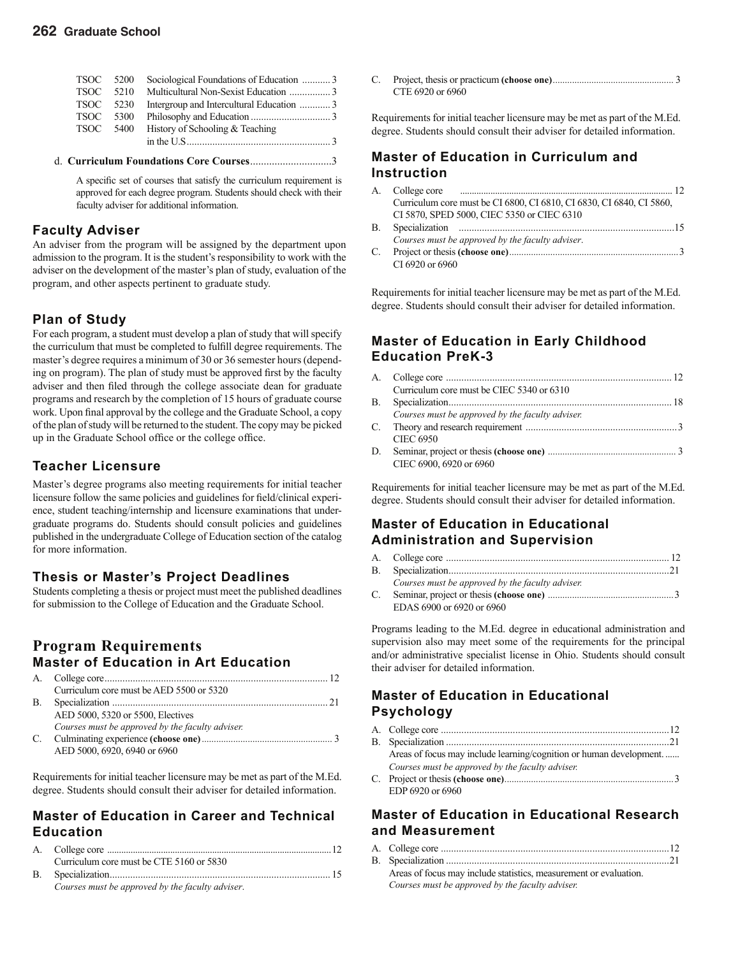#### **262 Graduate School**

| TSOC 5200   |      |                                          |  |
|-------------|------|------------------------------------------|--|
| <b>TSOC</b> | 5210 |                                          |  |
| TSOC 5230   |      | Intergroup and Intercultural Education 3 |  |
| <b>TSOC</b> | 5300 |                                          |  |
| TSOC        | 5400 | History of Schooling & Teaching          |  |
|             |      |                                          |  |
|             |      |                                          |  |

A specific set of courses that satisfy the curriculum requirement is approved for each degree program. Students should check with their faculty adviser for additional information.

d. **Curriculum Foundations Core Courses** ..............................3

#### **Faculty Adviser**

An adviser from the program will be assigned by the department upon admission to the program. It is the student's responsibility to work with the adviser on the development of the master's plan of study, evaluation of the program, and other aspects pertinent to graduate study.

#### **Plan of Study**

For each program, a student must develop a plan of study that will specify the curriculum that must be completed to fulfill degree requirements. The master's degree requires a minimum of 30 or 36 semester hours (depending on program). The plan of study must be approved first by the faculty adviser and then filed through the college associate dean for graduate programs and research by the completion of 15 hours of graduate course work. Upon final approval by the college and the Graduate School, a copy of the plan of study will be returned to the student. The copy may be picked up in the Graduate School office or the college office.

#### **Teacher Licensure**

Master's degree programs also meeting requirements for initial teacher licensure follow the same policies and guidelines for field/clinical experience, student teaching/internship and licensure examinations that undergraduate programs do. Students should consult policies and guidelines published in the undergraduate College of Education section of the catalog for more information.

#### **Thesis or Master's Project Deadlines**

Students completing a thesis or project must meet the published deadlines for submission to the College of Education and the Graduate School.

#### **Program Requirements Master of Education in Art Education**

|    | Curriculum core must be AED 5500 or 5320         |  |
|----|--------------------------------------------------|--|
| В. |                                                  |  |
|    | AED 5000, 5320 or 5500, Electives                |  |
|    | Courses must be approved by the faculty adviser. |  |
|    |                                                  |  |
|    | AED 5000, 6920, 6940 or 6960                     |  |

Requirements for initial teacher licensure may be met as part of the M.Ed. degree. Students should consult their adviser for detailed information.

#### **Master of Education in Career and Technical Education**

|    | Curriculum core must be CTE 5160 or 5830         |  |
|----|--------------------------------------------------|--|
| B. |                                                  |  |
|    | Courses must be approved by the faculty adviser. |  |

C. Project, thesis or practicum **(choose one)** .................................................. 3 CTE 6920 or 6960

Requirements for initial teacher licensure may be met as part of the M.Ed. degree. Students should consult their adviser for detailed information.

#### **Master of Education in Curriculum and Instruction**

| A.           |                                                                      |  |
|--------------|----------------------------------------------------------------------|--|
|              | Curriculum core must be CI 6800, CI 6810, CI 6830, CI 6840, CI 5860, |  |
|              | CI 5870, SPED 5000, CIEC 5350 or CIEC 6310                           |  |
| $\mathbf{B}$ |                                                                      |  |
|              | Courses must be approved by the faculty adviser.                     |  |
| C.           |                                                                      |  |
|              | CI 6920 or 6960                                                      |  |
|              |                                                                      |  |

Requirements for initial teacher licensure may be met as part of the M.Ed. degree. Students should consult their adviser for detailed information.

#### **Master of Education in Early Childhood Education PreK-3**

|    | Curriculum core must be CIEC 5340 or 6310        |  |
|----|--------------------------------------------------|--|
| В. |                                                  |  |
|    | Courses must be approved by the faculty adviser. |  |
|    |                                                  |  |
|    | <b>CIEC 6950</b>                                 |  |
|    |                                                  |  |
|    | CIEC 6900, 6920 or 6960                          |  |

Requirements for initial teacher licensure may be met as part of the M.Ed. degree. Students should consult their adviser for detailed information.

#### **Master of Education in Educational Administration and Supervision**

|    | Courses must be approved by the faculty adviser. |  |
|----|--------------------------------------------------|--|
| C. |                                                  |  |
|    | EDAS 6900 or 6920 or 6960                        |  |

Programs leading to the M.Ed. degree in educational administration and supervision also may meet some of the requirements for the principal and/or administrative specialist license in Ohio. Students should consult their adviser for detailed information.

#### **Master of Education in Educational Psychology**

| Areas of focus may include learning/cognition or human development |
|--------------------------------------------------------------------|
| Courses must be approved by the faculty adviser.                   |
|                                                                    |
| EDP 6920 or 6960                                                   |

#### **Master of Education in Educational Research and Measurement**

| Areas of focus may include statistics, measurement or evaluation. |  |
|-------------------------------------------------------------------|--|
| Courses must be approved by the faculty adviser.                  |  |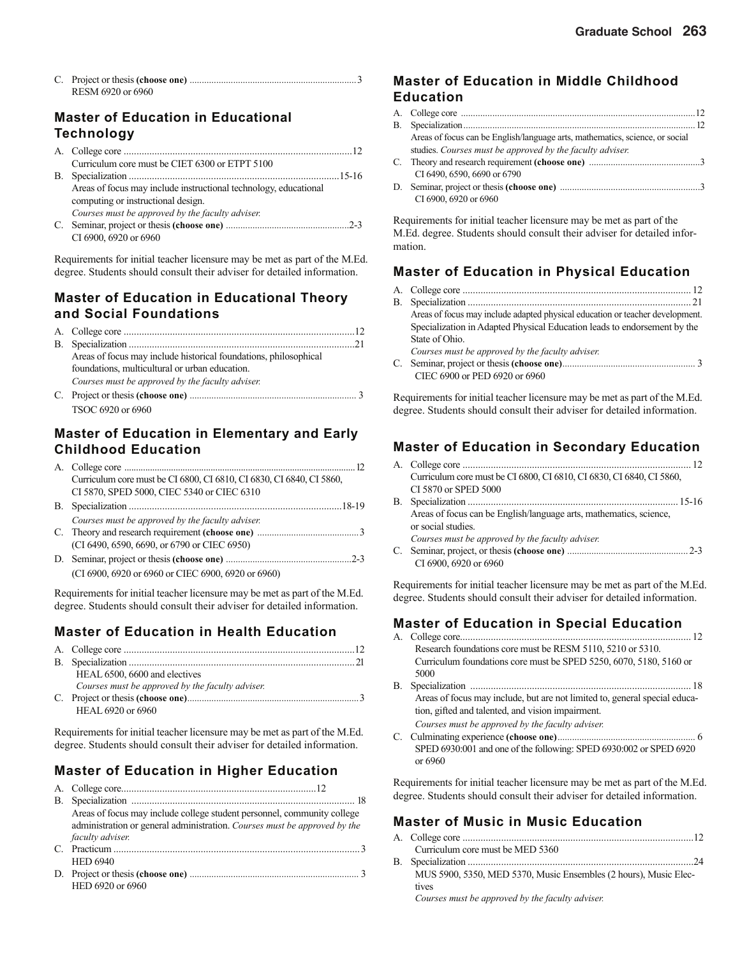| RESM 6920 or 6960 |  |
|-------------------|--|

#### **Master of Education in Educational Technology**

| Curriculum core must be CIET 6300 or ETPT 5100                   |  |
|------------------------------------------------------------------|--|
|                                                                  |  |
| Areas of focus may include instructional technology, educational |  |
| computing or instructional design.                               |  |
| Courses must be approved by the faculty adviser.                 |  |
|                                                                  |  |
| CI 6900, 6920 or 6960                                            |  |

Requirements for initial teacher licensure may be met as part of the M.Ed. degree. Students should consult their adviser for detailed information.

#### **Master of Education in Educational Theory and Social Foundations**

| Areas of focus may include historical foundations, philosophical |  |
|------------------------------------------------------------------|--|
| foundations, multicultural or urban education.                   |  |
| Courses must be approved by the faculty adviser.                 |  |
|                                                                  |  |
| TSOC 6920 or 6960                                                |  |

#### **Master of Education in Elementary and Early Childhood Education**

| Curriculum core must be CI 6800, CI 6810, CI 6830, CI 6840, CI 5860, |  |
|----------------------------------------------------------------------|--|
| CI 5870, SPED 5000, CIEC 5340 or CIEC 6310                           |  |
|                                                                      |  |
| Courses must be approved by the faculty adviser.                     |  |
|                                                                      |  |
| (CI 6490, 6590, 6690, or 6790 or CIEC 6950)                          |  |
|                                                                      |  |
| (CI 6900, 6920 or 6960 or CIEC 6900, 6920 or 6960)                   |  |

Requirements for initial teacher licensure may be met as part of the M.Ed. degree. Students should consult their adviser for detailed information.

### **Master of Education in Health Education**

| HEAL 6500, 6600 and electives                    |  |
|--------------------------------------------------|--|
| Courses must be approved by the faculty adviser. |  |
|                                                  |  |
| HEAL 6920 or 6960                                |  |

Requirements for initial teacher licensure may be met as part of the M.Ed. degree. Students should consult their adviser for detailed information.

### **Master of Education in Higher Education**

| Areas of focus may include college student personnel, community college   |
|---------------------------------------------------------------------------|
| administration or general administration. Courses must be approved by the |
| faculty adviser.                                                          |
|                                                                           |
| <b>HED 6940</b>                                                           |
|                                                                           |
| HED 6920 or 6960                                                          |

#### **Master of Education in Middle Childhood Education**

| Areas of focus can be English/language arts, mathematics, science, or social |  |
|------------------------------------------------------------------------------|--|
| studies. Courses must be approved by the faculty adviser.                    |  |
|                                                                              |  |
| CI 6490, 6590, 6690 or 6790                                                  |  |
|                                                                              |  |
| CI 6900, 6920 or 6960                                                        |  |

Requirements for initial teacher licensure may be met as part of the M.Ed. degree. Students should consult their adviser for detailed information.

#### **Master of Education in Physical Education**

| Areas of focus may include adapted physical education or teacher development. |
|-------------------------------------------------------------------------------|
| Specialization in Adapted Physical Education leads to endorsement by the      |
| State of Ohio.                                                                |
| Courses must be approved by the faculty adviser.                              |
|                                                                               |
| CIEC 6900 or PED 6920 or 6960                                                 |

Requirements for initial teacher licensure may be met as part of the M.Ed. degree. Students should consult their adviser for detailed information.

#### **Master of Education in Secondary Education**

|    | Curriculum core must be CI 6800, CI 6810, CI 6830, CI 6840, CI 5860, |  |
|----|----------------------------------------------------------------------|--|
|    | CI 5870 or SPED 5000                                                 |  |
| В. |                                                                      |  |
|    | Areas of focus can be English/language arts, mathematics, science,   |  |
|    | or social studies.                                                   |  |
|    | Courses must be approved by the faculty adviser.                     |  |
| C. | CI 6900, 6920 or 6960                                                |  |

Requirements for initial teacher licensure may be met as part of the M.Ed. degree. Students should consult their adviser for detailed information.

#### **Master of Education in Special Education**

| А. |                                                                            |
|----|----------------------------------------------------------------------------|
|    | Research foundations core must be RESM 5110, 5210 or 5310.                 |
|    | Curriculum foundations core must be SPED 5250, 6070, 5180, 5160 or         |
|    | 5000                                                                       |
| В. |                                                                            |
|    | Areas of focus may include, but are not limited to, general special educa- |
|    | tion, gifted and talented, and vision impairment.                          |
|    | Courses must be approved by the faculty adviser.                           |
| C. |                                                                            |
|    | SPED 6930:001 and one of the following: SPED 6930:002 or SPED 6920         |
|    | or 6960                                                                    |

Requirements for initial teacher licensure may be met as part of the M.Ed. degree. Students should consult their adviser for detailed information.

#### **Master of Music in Music Education**

| Curriculum core must be MED 5360                                 |
|------------------------------------------------------------------|
|                                                                  |
| MUS 5900, 5350, MED 5370, Music Ensembles (2 hours), Music Elec- |
| tives                                                            |
| Courses must be annually the family advisor                      |

*Courses must be approved by the faculty adviser.*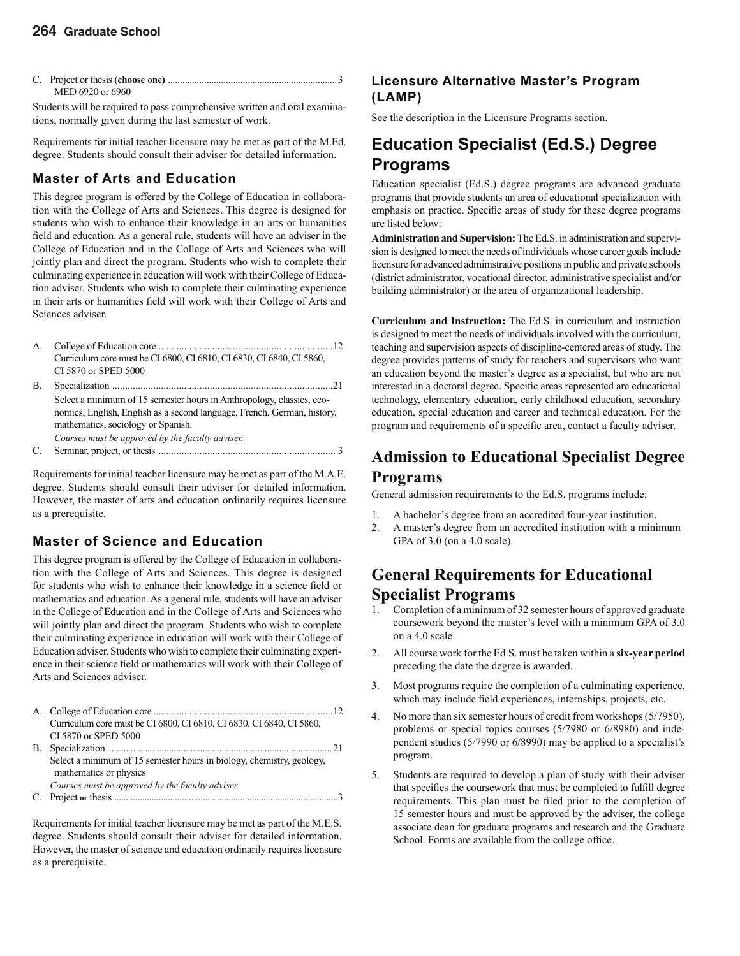| MED 6920 or 6960 |  |
|------------------|--|

Students will be required to pass comprehensive written and oral examinations, normally given during the last semester of work.

Requirements for initial teacher licensure may be met as part of the M.Ed. degree. Students should consult their adviser for detailed information.

#### **Master of Arts and Education**

This degree program is offered by the College of Education in collaboration with the College of Arts and Sciences. This degree is designed for students who wish to enhance their knowledge in an arts or humanities field and education. As a general rule, students will have an adviser in the College of Education and in the College of Arts and Sciences who will jointly plan and direct the program. Students who wish to complete their culminating experience in education will work with their College of Education adviser. Students who wish to complete their culminating experience in their arts or humanities field will work with their College of Arts and Sciences adviser.

- A. College of Education core ....................................................................12 Curriculum core must be CI 6800, CI 6810, CI 6830, CI 6840, CI 5860, CI 5870 or SPED 5000
- B. Specialization ......................................................................................21 Select a minimum of 15 semester hours in Anthropology, classics, economics, English, English as a second language, French, German, history, mathematics, sociology or Spanish. *Courses must be approved by the faculty adviser.*
- C. Seminar, project, or thesis ..................................................................... 3

Requirements for initial teacher licensure may be met as part of the M.A.E. degree. Students should consult their adviser for detailed information. However, the master of arts and education ordinarily requires licensure as a prerequisite.

#### **Master of Science and Education**

This degree program is offered by the College of Education in collaboration with the College of Arts and Sciences. This degree is designed for students who wish to enhance their knowledge in a science field or mathematics and education. As a general rule, students will have an adviser in the College of Education and in the College of Arts and Sciences who will jointly plan and direct the program. Students who wish to complete their culminating experience in education will work with their College of Education adviser. Students who wish to complete their culminating experience in their science field or mathematics will work with their College of Arts and Sciences adviser.

- A. College of Education core ......................................................................12 Curriculum core must be CI 6800, CI 6810, CI 6830, CI 6840, CI 5860, CI 5870 or SPED 5000 B. Specialization .............................................................................................. 21 Select a minimum of 15 semester hours in biology, chemistry, geology, mathematics or physics *Courses must be approved by the faculty adviser.*
- C. Project **or** thesis ................................................................................................3

Requirements for initial teacher licensure may be met as part of the M.E.S. degree. Students should consult their adviser for detailed information. However, the master of science and education ordinarily requires licensure as a prerequisite.

#### **Licensure Alternative Master's Program (LAMP)**

See the description in the Licensure Programs section.

### **Education Specialist (Ed.S.) Degree Programs**

Education specialist (Ed.S.) degree programs are advanced graduate programs that provide students an area of educational specialization with emphasis on practice. Specific areas of study for these degree programs are listed below:

**Administration and Supervision:** The Ed.S. in administration and supervision is designed to meet the needs of individuals whose career goals include licensure for advanced administrative positions in public and private schools (district administrator, vocational director, administrative specialist and/or building administrator) or the area of organizational leadership.

**Curriculum and Instruction:** The Ed.S. in curriculum and instruction is designed to meet the needs of individuals involved with the curriculum, teaching and supervision aspects of discipline-centered areas of study. The degree provides patterns of study for teachers and supervisors who want an education beyond the master's degree as a specialist, but who are not interested in a doctoral degree. Specific areas represented are educational technology, elementary education, early childhood education, secondary education, special education and career and technical education. For the program and requirements of a specific area, contact a faculty adviser.

### **Admission to Educational Specialist Degree Programs**

General admission requirements to the Ed.S. programs include:

- 1. A bachelor's degree from an accredited four-year institution.
- 2. A master's degree from an accredited institution with a minimum GPA of 3.0 (on a 4.0 scale).

### **General Requirements for Educational Specialist Programs**

- Completion of a minimum of 32 semester hours of approved graduate coursework beyond the master's level with a minimum GPA of 3.0 on a  $4.0$  scale.
- 2. All course work for the Ed.S. must be taken within a **six-year period**  preceding the date the degree is awarded.
- 3. Most programs require the completion of a culminating experience, which may include field experiences, internships, projects, etc.
- 4. No more than six semester hours of credit from workshops (5/7950), problems or special topics courses (5/7980 or 6/8980) and independent studies (5/7990 or 6/8990) may be applied to a specialist's program.
- 5. Students are required to develop a plan of study with their adviser that specifies the coursework that must be completed to fulfill degree requirements. This plan must be filed prior to the completion of 15 semester hours and must be approved by the adviser, the college associate dean for graduate programs and research and the Graduate School. Forms are available from the college office.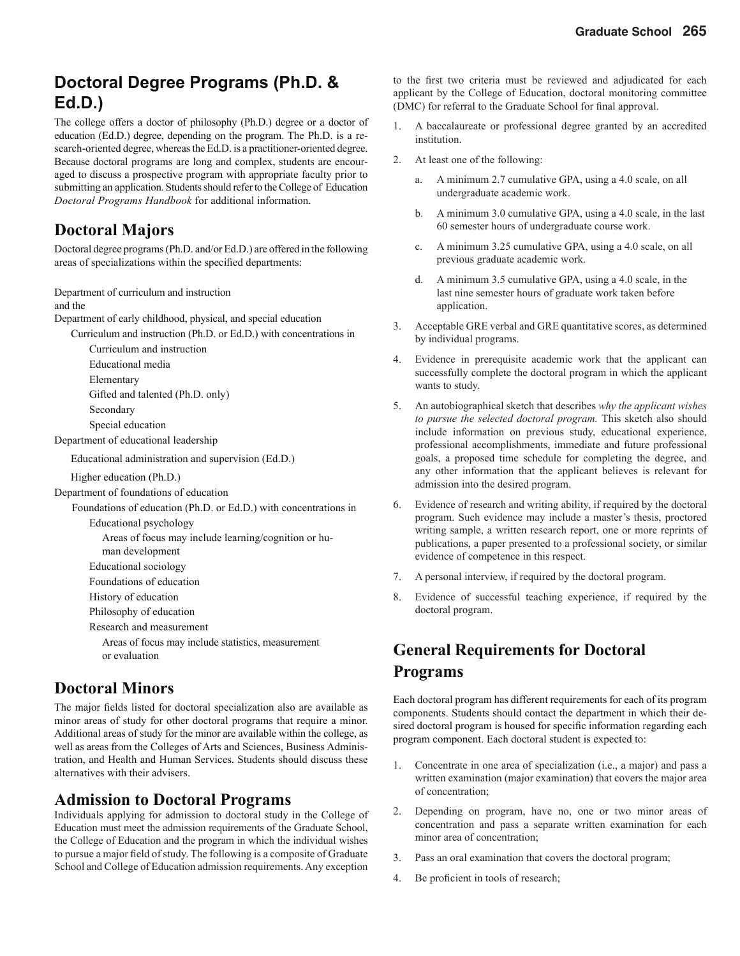### **Doctoral Degree Programs (Ph.D. & Ed.D.)**

The college offers a doctor of philosophy (Ph.D.) degree or a doctor of education (Ed.D.) degree, depending on the program. The Ph.D. is a research-oriented degree, whereas the Ed.D. is a practitioner-oriented degree. Because doctoral programs are long and complex, students are encouraged to discuss a prospective program with appropriate faculty prior to submitting an application. Students should refer to the College of Education *Doctoral Programs Handbook* for additional information.

### **Doctoral Majors**

Doctoral degree programs (Ph.D. and/or Ed.D.) are offered in the following areas of specializations within the specified departments:

Department of curriculum and instruction

and the

Department of early childhood, physical, and special education

Curriculum and instruction (Ph.D. or Ed.D.) with concentrations in Curriculum and instruction

Educational media

Elementary

Gifted and talented (Ph.D. only)

Secondary

Special education

Department of educational leadership

Educational administration and supervision (Ed.D.)

Higher education (Ph.D.)

Department of foundations of education

Foundations of education (Ph.D. or Ed.D.) with concentrations in Educational psychology

Areas of focus may include learning/cognition or hu-

man development

Educational sociology Foundations of education

History of education

Philosophy of education

Research and measurement

Areas of focus may include statistics, measurement or evaluation

### **Doctoral Minors**

The major fields listed for doctoral specialization also are available as minor areas of study for other doctoral programs that require a minor. Additional areas of study for the minor are available within the college, as well as areas from the Colleges of Arts and Sciences, Business Administration, and Health and Human Services. Students should discuss these alternatives with their advisers.

### **Admission to Doctoral Programs**

Individuals applying for admission to doctoral study in the College of Education must meet the admission requirements of the Graduate School, the College of Education and the program in which the individual wishes to pursue a major field of study. The following is a composite of Graduate School and College of Education admission requirements. Any exception

to the first two criteria must be reviewed and adjudicated for each applicant by the College of Education, doctoral monitoring committee (DMC) for referral to the Graduate School for final approval.

- 1. A baccalaureate or professional degree granted by an accredited institution.
- 2. At least one of the following:
	- a. A minimum 2.7 cumulative GPA, using a 4.0 scale, on all undergraduate academic work.
	- b. A minimum 3.0 cumulative GPA, using a 4.0 scale, in the last 60 semester hours of undergraduate course work.
	- c. A minimum 3.25 cumulative GPA, using a 4.0 scale, on all previous graduate academic work.
	- d. A minimum 3.5 cumulative GPA, using a 4.0 scale, in the last nine semester hours of graduate work taken before application.
- 3. Acceptable GRE verbal and GRE quantitative scores, as determined by individual programs.
- 4. Evidence in prerequisite academic work that the applicant can successfully complete the doctoral program in which the applicant wants to study.
- 5. An autobiographical sketch that describes *why the applicant wishes to pursue the selected doctoral program.* This sketch also should include information on previous study, educational experience, professional accomplishments, immediate and future professional goals, a proposed time schedule for completing the degree, and any other information that the applicant believes is relevant for admission into the desired program.
- 6. Evidence of research and writing ability, if required by the doctoral program. Such evidence may include a master's thesis, proctored writing sample, a written research report, one or more reprints of publications, a paper presented to a professional society, or similar evidence of competence in this respect.
- 7. A personal interview, if required by the doctoral program.
- 8. Evidence of successful teaching experience, if required by the doctoral program.

### **General Requirements for Doctoral Programs**

Each doctoral program has different requirements for each of its program components. Students should contact the department in which their desired doctoral program is housed for specific information regarding each program component. Each doctoral student is expected to:

- 1. Concentrate in one area of specialization (i.e., a major) and pass a written examination (major examination) that covers the major area of concentration;
- 2. Depending on program, have no, one or two minor areas of concentration and pass a separate written examination for each minor area of concentration;
- 3. Pass an oral examination that covers the doctoral program;
- 4. Be proficient in tools of research;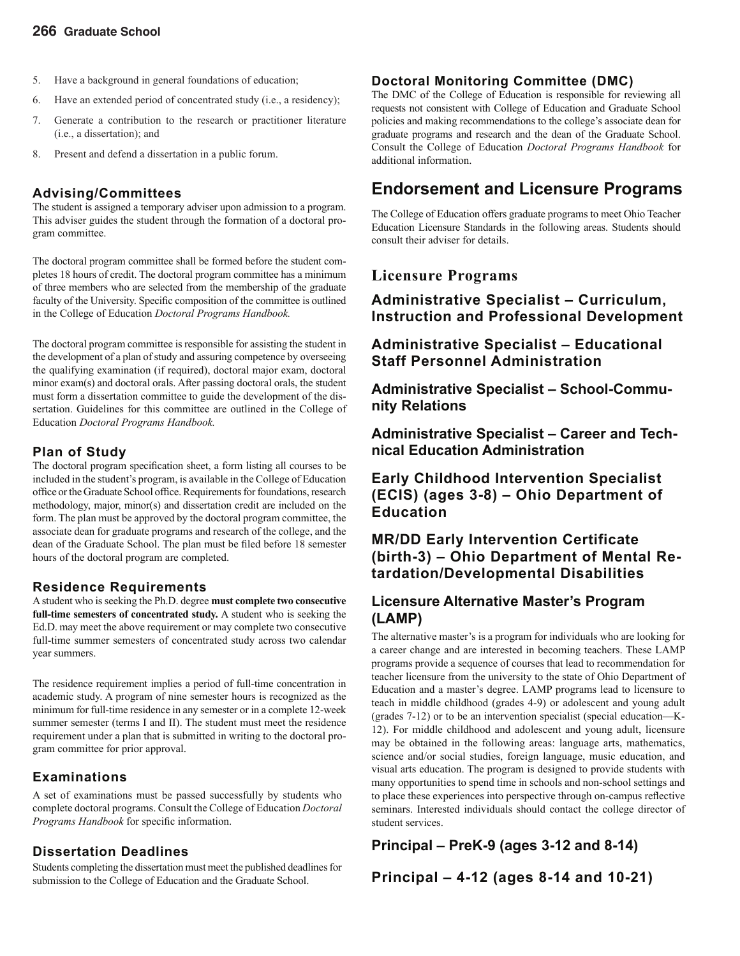- 5. Have a background in general foundations of education;
- 6. Have an extended period of concentrated study (i.e., a residency);
- 7. Generate a contribution to the research or practitioner literature (i.e., a dissertation); and
- 8. Present and defend a dissertation in a public forum.

#### **Advising/Committees**

The student is assigned a temporary adviser upon admission to a program. This adviser guides the student through the formation of a doctoral program committee.

The doctoral program committee shall be formed before the student completes 18 hours of credit. The doctoral program committee has a minimum of three members who are selected from the membership of the graduate faculty of the University. Specific composition of the committee is outlined in the College of Education *Doctoral Programs Handbook.*

The doctoral program committee is responsible for assisting the student in the development of a plan of study and assuring competence by overseeing the qualifying examination (if required), doctoral major exam, doctoral minor exam(s) and doctoral orals. After passing doctoral orals, the student must form a dissertation committee to guide the development of the dissertation. Guidelines for this committee are outlined in the College of Education *Doctoral Programs Handbook.*

#### **Plan of Study**

The doctoral program specification sheet, a form listing all courses to be included in the student's program, is available in the College of Education office or the Graduate School office. Requirements for foundations, research methodology, major, minor(s) and dissertation credit are included on the form. The plan must be approved by the doctoral program committee, the associate dean for graduate programs and research of the college, and the dean of the Graduate School. The plan must be filed before 18 semester hours of the doctoral program are completed.

#### **Residence Requirements**

A student who is seeking the Ph.D. degree **must complete two consecutive full-time semesters of concentrated study.** A student who is seeking the Ed.D. may meet the above requirement or may complete two consecutive full-time summer semesters of concentrated study across two calendar year summers.

The residence requirement implies a period of full-time concentration in academic study. A program of nine semester hours is recognized as the minimum for full-time residence in any semester or in a complete 12-week summer semester (terms I and II). The student must meet the residence requirement under a plan that is submitted in writing to the doctoral program committee for prior approval.

#### **Examinations**

A set of examinations must be passed successfully by students who complete doctoral programs. Consult the College of Education *Doctoral Programs Handbook* for specific information.

#### **Dissertation Deadlines**

Students completing the dissertation must meet the published deadlines for submission to the College of Education and the Graduate School.

#### **Doctoral Monitoring Committee (DMC)**

The DMC of the College of Education is responsible for reviewing all requests not consistent with College of Education and Graduate School policies and making recommendations to the college's associate dean for graduate programs and research and the dean of the Graduate School. Consult the College of Education *Doctoral Programs Handbook* for additional information.

### **Endorsement and Licensure Programs**

The College of Education offers graduate programs to meet Ohio Teacher Education Licensure Standards in the following areas. Students should consult their adviser for details.

### **Licensure Programs**

**Administrative Specialist – Curriculum, Instruction and Professional Development**

**Administrative Specialist – Educational Staff Personnel Administration**

**Administrative Specialist – School-Community Relations**

**Administrative Specialist – Career and Technical Education Administration**

**Early Childhood Intervention Specialist (ECIS) (ages 3-8) – Ohio Department of Education**

#### **MR/DD Early Intervention Certificate (birth-3) – Ohio Department of Mental Retardation/Developmental Disabilities**

#### **Licensure Alternative Master's Program (LAMP)**

The alternative master's is a program for individuals who are looking for a career change and are interested in becoming teachers. These LAMP programs provide a sequence of courses that lead to recommendation for teacher licensure from the university to the state of Ohio Department of Education and a master's degree. LAMP programs lead to licensure to teach in middle childhood (grades 4-9) or adolescent and young adult (grades 7-12) or to be an intervention specialist (special education—K-12). For middle childhood and adolescent and young adult, licensure may be obtained in the following areas: language arts, mathematics, science and/or social studies, foreign language, music education, and visual arts education. The program is designed to provide students with many opportunities to spend time in schools and non-school settings and to place these experiences into perspective through on-campus reflective seminars. Interested individuals should contact the college director of student services.

**Principal – PreK-9 (ages 3-12 and 8-14)**

**Principal – 4-12 (ages 8-14 and 10-21)**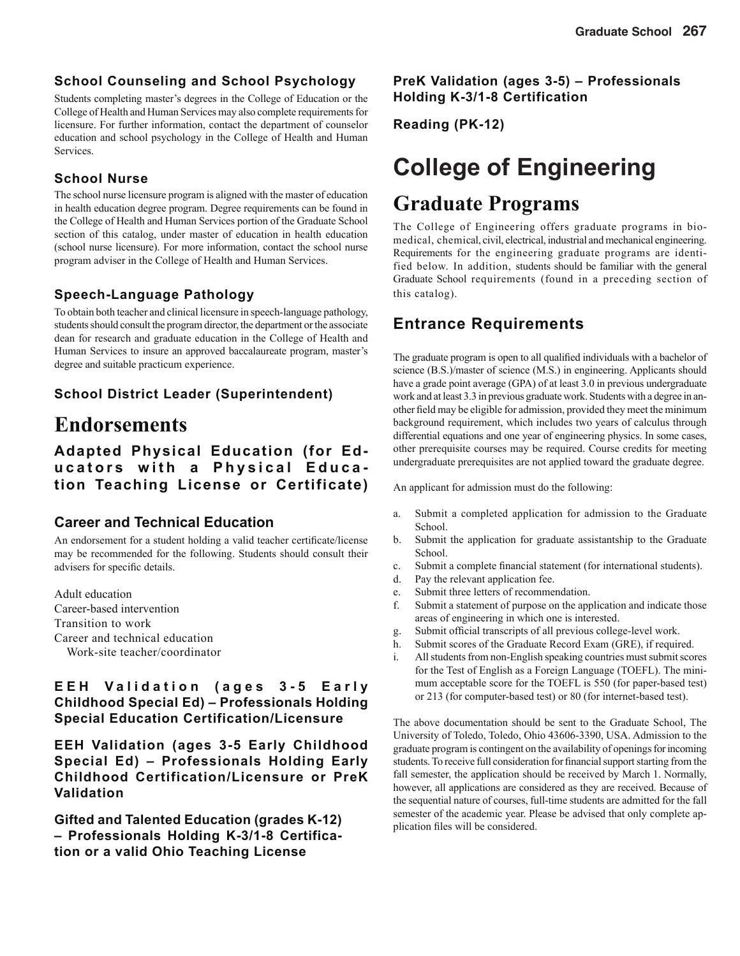#### **School Counseling and School Psychology**

Students completing master's degrees in the College of Education or the College of Health and Human Services may also complete requirements for licensure. For further information, contact the department of counselor education and school psychology in the College of Health and Human Services.

#### **School Nurse**

The school nurse licensure program is aligned with the master of education in health education degree program. Degree requirements can be found in the College of Health and Human Services portion of the Graduate School section of this catalog, under master of education in health education (school nurse licensure). For more information, contact the school nurse program adviser in the College of Health and Human Services.

#### **Speech-Language Pathology**

To obtain both teacher and clinical licensure in speech-language pathology, students should consult the program director, the department or the associate dean for research and graduate education in the College of Health and Human Services to insure an approved baccalaureate program, master's degree and suitable practicum experience.

#### **School District Leader (Superintendent)**

### **Endorsements**

**Adapted Physical Education (for Educators with a Physical Education Teaching License or Certificate)**

#### **Career and Technical Education**

An endorsement for a student holding a valid teacher certificate/license may be recommended for the following. Students should consult their advisers for specific details.

Adult education Career-based intervention Transition to work Career and technical education Work-site teacher/coordinator

#### **E E H V a l i d a t i o n ( a g e s 3 - 5 E a r l y Childhood Special Ed) – Professionals Holding Special Education Certification/Licensure**

**EEH Validation (ages 3-5 Early Childhood Special Ed) – Professionals Holding Early Childhood Certification/Licensure or PreK Validation**

**Gifted and Talented Education (grades K-12) – Professionals Holding K-3/1-8 Certification or a valid Ohio Teaching License**

**PreK Validation (ages 3-5) – Professionals Holding K-3/1-8 Certification**

**Reading (PK-12)**

# **College of Engineering**

## **Graduate Programs**

The College of Engineering offers graduate programs in biomedical, chemical, civil, electrical, industrial and mechanical engineering. Requirements for the engineering graduate programs are identified below. In addition, students should be familiar with the general Graduate School requirements (found in a preceding section of this catalog).

### **Entrance Requirements**

The graduate program is open to all qualified individuals with a bachelor of science (B.S.)/master of science (M.S.) in engineering. Applicants should have a grade point average (GPA) of at least 3.0 in previous undergraduate work and at least 3.3 in previous graduate work. Students with a degree in another field may be eligible for admission, provided they meet the minimum background requirement, which includes two years of calculus through differential equations and one year of engineering physics. In some cases, other prerequisite courses may be required. Course credits for meeting undergraduate prerequisites are not applied toward the graduate degree.

An applicant for admission must do the following:

- a. Submit a completed application for admission to the Graduate School.
- b. Submit the application for graduate assistantship to the Graduate School.
- c. Submit a complete financial statement (for international students).
- d. Pay the relevant application fee.
- e. Submit three letters of recommendation.
- f. Submit a statement of purpose on the application and indicate those areas of engineering in which one is interested.
- g. Submit official transcripts of all previous college-level work.
- h. Submit scores of the Graduate Record Exam (GRE), if required.
- i. All students from non-English speaking countries must submit scores for the Test of English as a Foreign Language (TOEFL). The minimum acceptable score for the TOEFL is 550 (for paper-based test) or 213 (for computer-based test) or 80 (for internet-based test).

The above documentation should be sent to the Graduate School, The University of Toledo, Toledo, Ohio 43606-3390, USA. Admission to the graduate program is contingent on the availability of openings for incoming students. To receive full consideration for financial support starting from the fall semester, the application should be received by March 1. Normally, however, all applications are considered as they are received. Because of the sequential nature of courses, full-time students are admitted for the fall semester of the academic year. Please be advised that only complete application files will be considered.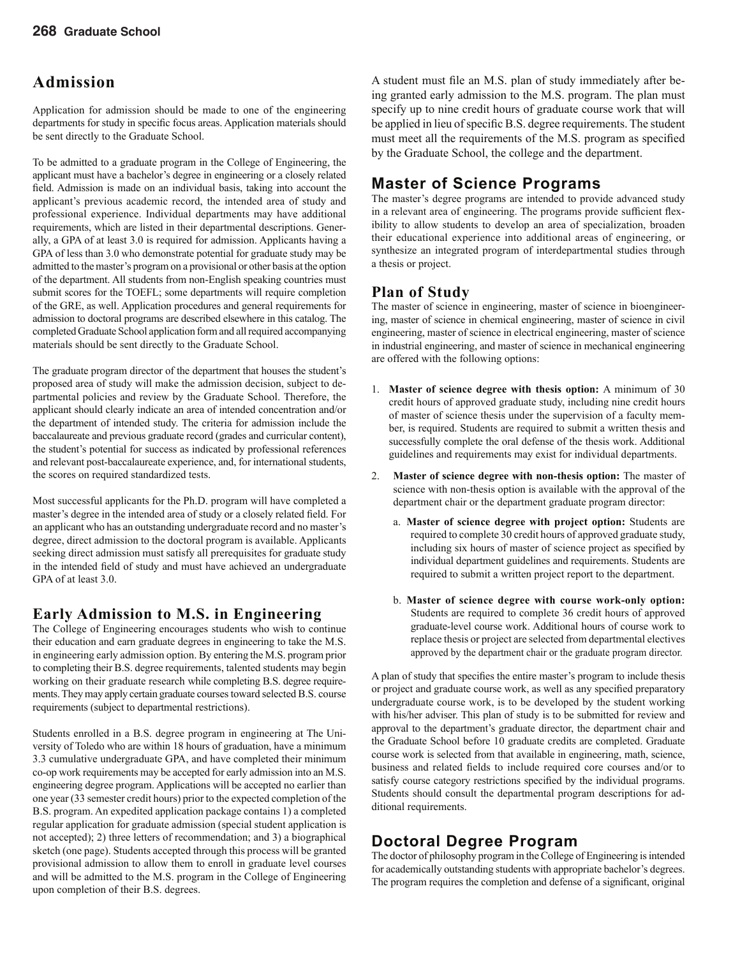### **Admission**

Application for admission should be made to one of the engineering departments for study in specific focus areas. Application materials should be sent directly to the Graduate School.

To be admitted to a graduate program in the College of Engineering, the applicant must have a bachelor's degree in engineering or a closely related field. Admission is made on an individual basis, taking into account the applicant's previous academic record, the intended area of study and professional experience. Individual departments may have additional requirements, which are listed in their departmental descriptions. Generally, a GPA of at least 3.0 is required for admission. Applicants having a GPA of less than 3.0 who demonstrate potential for graduate study may be admitted to the master's program on a provisional or other basis at the option of the department. All students from non-English speaking countries must submit scores for the TOEFL; some departments will require completion of the GRE, as well. Application procedures and general requirements for admission to doctoral programs are described elsewhere in this catalog. The completed Graduate School application form and all required accompanying materials should be sent directly to the Graduate School.

The graduate program director of the department that houses the student's proposed area of study will make the admission decision, subject to departmental policies and review by the Graduate School. Therefore, the applicant should clearly indicate an area of intended concentration and/or the department of intended study. The criteria for admission include the baccalaureate and previous graduate record (grades and curricular content), the student's potential for success as indicated by professional references and relevant post-baccalaureate experience, and, for international students, the scores on required standardized tests.

Most successful applicants for the Ph.D. program will have completed a master's degree in the intended area of study or a closely related field. For an applicant who has an outstanding undergraduate record and no master's degree, direct admission to the doctoral program is available. Applicants seeking direct admission must satisfy all prerequisites for graduate study in the intended field of study and must have achieved an undergraduate GPA of at least 3.0.

#### **Early Admission to M.S. in Engineering**

The College of Engineering encourages students who wish to continue their education and earn graduate degrees in engineering to take the M.S. in engineering early admission option. By entering the M.S. program prior to completing their B.S. degree requirements, talented students may begin working on their graduate research while completing B.S. degree requirements. They may apply certain graduate courses toward selected B.S. course requirements (subject to departmental restrictions).

Students enrolled in a B.S. degree program in engineering at The University of Toledo who are within 18 hours of graduation, have a minimum 3.3 cumulative undergraduate GPA, and have completed their minimum co-op work requirements may be accepted for early admission into an M.S. engineering degree program. Applications will be accepted no earlier than one year (33 semester credit hours) prior to the expected completion of the B.S. program. An expedited application package contains 1) a completed regular application for graduate admission (special student application is not accepted); 2) three letters of recommendation; and 3) a biographical sketch (one page). Students accepted through this process will be granted provisional admission to allow them to enroll in graduate level courses and will be admitted to the M.S. program in the College of Engineering upon completion of their B.S. degrees.

A student must file an M.S. plan of study immediately after being granted early admission to the M.S. program. The plan must specify up to nine credit hours of graduate course work that will be applied in lieu of specific B.S. degree requirements. The student must meet all the requirements of the M.S. program as specified by the Graduate School, the college and the department.

### **Master of Science Programs**

The master's degree programs are intended to provide advanced study in a relevant area of engineering. The programs provide sufficient flexibility to allow students to develop an area of specialization, broaden their educational experience into additional areas of engineering, or synthesize an integrated program of interdepartmental studies through a thesis or project.

### **Plan of Study**

The master of science in engineering, master of science in bioengineering, master of science in chemical engineering, master of science in civil engineering, master of science in electrical engineering, master of science in industrial engineering, and master of science in mechanical engineering are offered with the following options:

- 1. **Master of science degree with thesis option:** A minimum of 30 credit hours of approved graduate study, including nine credit hours of master of science thesis under the supervision of a faculty member, is required. Students are required to submit a written thesis and successfully complete the oral defense of the thesis work. Additional guidelines and requirements may exist for individual departments.
- 2. **Master of science degree with non-thesis option:** The master of science with non-thesis option is available with the approval of the department chair or the department graduate program director:
	- a. **Master of science degree with project option:** Students are required to complete 30 credit hours of approved graduate study, including six hours of master of science project as specified by individual department guidelines and requirements. Students are required to submit a written project report to the department.
	- b. **Master of science degree with course work-only option:**  Students are required to complete 36 credit hours of approved graduate-level course work. Additional hours of course work to replace thesis or project are selected from departmental electives approved by the department chair or the graduate program director.

A plan of study that specifies the entire master's program to include thesis or project and graduate course work, as well as any specified preparatory undergraduate course work, is to be developed by the student working with his/her adviser. This plan of study is to be submitted for review and approval to the department's graduate director, the department chair and the Graduate School before 10 graduate credits are completed. Graduate course work is selected from that available in engineering, math, science, business and related fields to include required core courses and/or to satisfy course category restrictions specified by the individual programs. Students should consult the departmental program descriptions for additional requirements.

### **Doctoral Degree Program**

The doctor of philosophy program in the College of Engineering is intended for academically outstanding students with appropriate bachelor's degrees. The program requires the completion and defense of a significant, original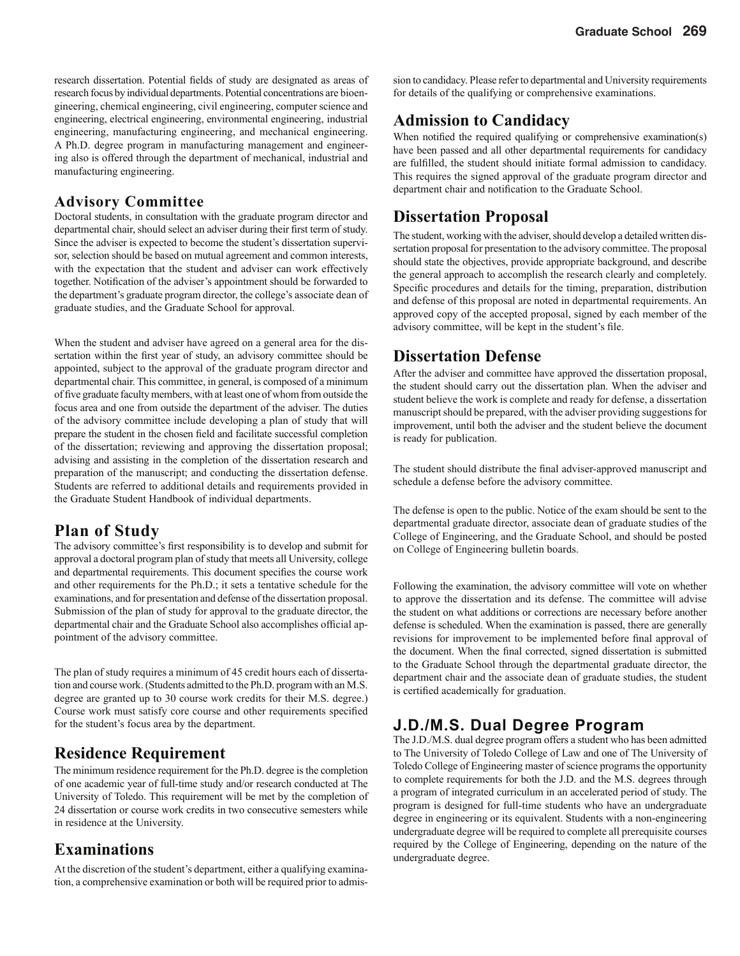research dissertation. Potential fields of study are designated as areas of research focus by individual departments. Potential concentrations are bioengineering, chemical engineering, civil engineering, computer science and engineering, electrical engineering, environmental engineering, industrial engineering, manufacturing engineering, and mechanical engineering. A Ph.D. degree program in manufacturing management and engineering also is offered through the department of mechanical, industrial and manufacturing engineering.

#### **Advisory Committee**

Doctoral students, in consultation with the graduate program director and departmental chair, should select an adviser during their first term of study. Since the adviser is expected to become the student's dissertation supervisor, selection should be based on mutual agreement and common interests, with the expectation that the student and adviser can work effectively together. Notification of the adviser's appointment should be forwarded to the department's graduate program director, the college's associate dean of graduate studies, and the Graduate School for approval.

When the student and adviser have agreed on a general area for the dissertation within the first year of study, an advisory committee should be appointed, subject to the approval of the graduate program director and departmental chair. This committee, in general, is composed of a minimum of five graduate faculty members, with at least one of whom from outside the focus area and one from outside the department of the adviser. The duties of the advisory committee include developing a plan of study that will prepare the student in the chosen field and facilitate successful completion of the dissertation; reviewing and approving the dissertation proposal; advising and assisting in the completion of the dissertation research and preparation of the manuscript; and conducting the dissertation defense. Students are referred to additional details and requirements provided in the Graduate Student Handbook of individual departments.

#### **Plan of Study**

The advisory committee's first responsibility is to develop and submit for approval a doctoral program plan of study that meets all University, college and departmental requirements. This document specifies the course work and other requirements for the Ph.D.; it sets a tentative schedule for the examinations, and for presentation and defense of the dissertation proposal. Submission of the plan of study for approval to the graduate director, the departmental chair and the Graduate School also accomplishes official appointment of the advisory committee.

The plan of study requires a minimum of 45 credit hours each of dissertation and course work. (Students admitted to the Ph.D. program with an M.S. degree are granted up to 30 course work credits for their M.S. degree.) Course work must satisfy core course and other requirements specified for the student's focus area by the department.

#### **Residence Requirement**

The minimum residence requirement for the Ph.D. degree is the completion of one academic year of full-time study and/or research conducted at The University of Toledo. This requirement will be met by the completion of 24 dissertation or course work credits in two consecutive semesters while in residence at the University.

#### **Examinations**

At the discretion of the student's department, either a qualifying examination, a comprehensive examination or both will be required prior to admission to candidacy. Please refer to departmental and University requirements for details of the qualifying or comprehensive examinations.

### **Admission to Candidacy**

When notified the required qualifying or comprehensive examination(s) have been passed and all other departmental requirements for candidacy are fulfilled, the student should initiate formal admission to candidacy. This requires the signed approval of the graduate program director and department chair and notification to the Graduate School.

#### **Dissertation Proposal**

The student, working with the adviser, should develop a detailed written dissertation proposal for presentation to the advisory committee. The proposal should state the objectives, provide appropriate background, and describe the general approach to accomplish the research clearly and completely. Specific procedures and details for the timing, preparation, distribution and defense of this proposal are noted in departmental requirements. An approved copy of the accepted proposal, signed by each member of the advisory committee, will be kept in the student's file.

#### **Dissertation Defense**

After the adviser and committee have approved the dissertation proposal, the student should carry out the dissertation plan. When the adviser and student believe the work is complete and ready for defense, a dissertation manuscript should be prepared, with the adviser providing suggestions for improvement, until both the adviser and the student believe the document is ready for publication.

The student should distribute the final adviser-approved manuscript and schedule a defense before the advisory committee.

The defense is open to the public. Notice of the exam should be sent to the departmental graduate director, associate dean of graduate studies of the College of Engineering, and the Graduate School, and should be posted on College of Engineering bulletin boards.

Following the examination, the advisory committee will vote on whether to approve the dissertation and its defense. The committee will advise the student on what additions or corrections are necessary before another defense is scheduled. When the examination is passed, there are generally revisions for improvement to be implemented before final approval of the document. When the final corrected, signed dissertation is submitted to the Graduate School through the departmental graduate director, the department chair and the associate dean of graduate studies, the student is certified academically for graduation.

### **J.D./M.S. Dual Degree Program**

The J.D./M.S. dual degree program offers a student who has been admitted to The University of Toledo College of Law and one of The University of Toledo College of Engineering master of science programs the opportunity to complete requirements for both the J.D. and the M.S. degrees through a program of integrated curriculum in an accelerated period of study. The program is designed for full-time students who have an undergraduate degree in engineering or its equivalent. Students with a non-engineering undergraduate degree will be required to complete all prerequisite courses required by the College of Engineering, depending on the nature of the undergraduate degree.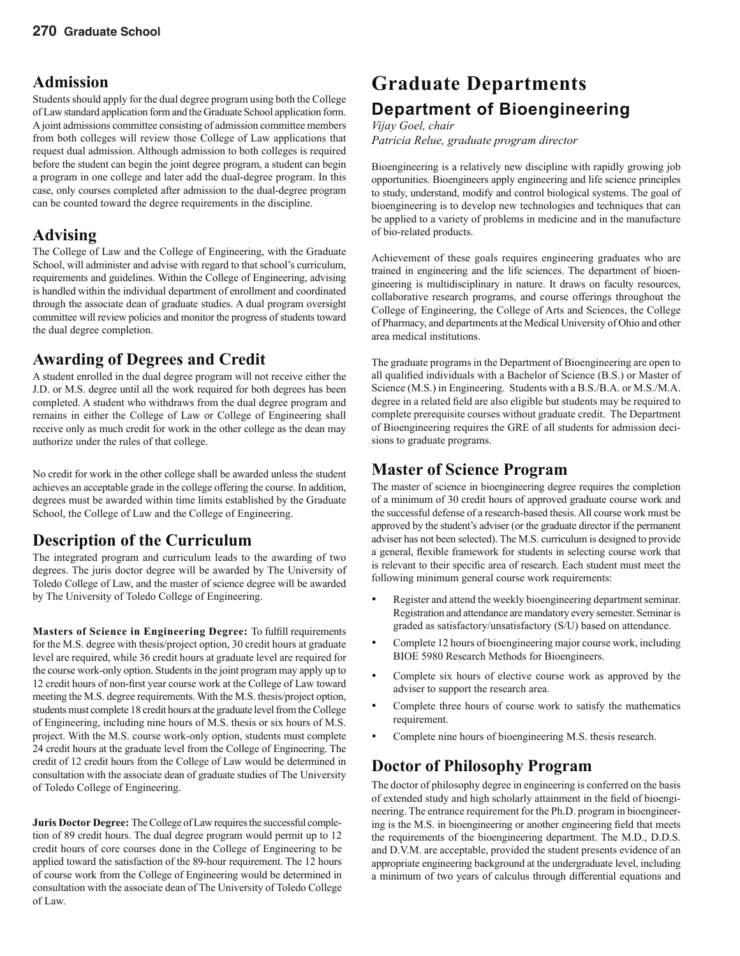### **Admission**

Students should apply for the dual degree program using both the College of Law standard application form and the Graduate School application form. A joint admissions committee consisting of admission committee members from both colleges will review those College of Law applications that request dual admission. Although admission to both colleges is required before the student can begin the joint degree program, a student can begin a program in one college and later add the dual-degree program. In this case, only courses completed after admission to the dual-degree program can be counted toward the degree requirements in the discipline.

### **Advising**

The College of Law and the College of Engineering, with the Graduate School, will administer and advise with regard to that school's curriculum, requirements and guidelines. Within the College of Engineering, advising is handled within the individual department of enrollment and coordinated through the associate dean of graduate studies. A dual program oversight committee will review policies and monitor the progress of students toward the dual degree completion.

### **Awarding of Degrees and Credit**

A student enrolled in the dual degree program will not receive either the J.D. or M.S. degree until all the work required for both degrees has been completed. A student who withdraws from the dual degree program and remains in either the College of Law or College of Engineering shall receive only as much credit for work in the other college as the dean may authorize under the rules of that college.

No credit for work in the other college shall be awarded unless the student achieves an acceptable grade in the college offering the course. In addition, degrees must be awarded within time limits established by the Graduate School, the College of Law and the College of Engineering.

### **Description of the Curriculum**

The integrated program and curriculum leads to the awarding of two degrees. The juris doctor degree will be awarded by The University of Toledo College of Law, and the master of science degree will be awarded by The University of Toledo College of Engineering.

**Masters of Science in Engineering Degree:** To fulfill requirements for the M.S. degree with thesis/project option, 30 credit hours at graduate level are required, while 36 credit hours at graduate level are required for the course work-only option. Students in the joint program may apply up to 12 credit hours of non-first year course work at the College of Law toward meeting the M.S. degree requirements. With the M.S. thesis/project option, students must complete 18 credit hours at the graduate level from the College of Engineering, including nine hours of M.S. thesis or six hours of M.S. project. With the M.S. course work-only option, students must complete 24 credit hours at the graduate level from the College of Engineering. The credit of 12 credit hours from the College of Law would be determined in consultation with the associate dean of graduate studies of The University of Toledo College of Engineering.

**Juris Doctor Degree:** The College of Law requires the successful completion of 89 credit hours. The dual degree program would permit up to 12 credit hours of core courses done in the College of Engineering to be applied toward the satisfaction of the 89-hour requirement. The 12 hours of course work from the College of Engineering would be determined in consultation with the associate dean of The University of Toledo College of Law.

# **Graduate Departments Department of Bioengineering**

#### *Vijay Goel, chair*

*Patricia Relue, graduate program director*

Bioengineering is a relatively new discipline with rapidly growing job opportunities. Bioengineers apply engineering and life science principles to study, understand, modify and control biological systems. The goal of bioengineering is to develop new technologies and techniques that can be applied to a variety of problems in medicine and in the manufacture of bio-related products.

Achievement of these goals requires engineering graduates who are trained in engineering and the life sciences. The department of bioengineering is multidisciplinary in nature. It draws on faculty resources, collaborative research programs, and course offerings throughout the College of Engineering, the College of Arts and Sciences, the College of Pharmacy, and departments at the Medical University of Ohio and other area medical institutions.

The graduate programs in the Department of Bioengineering are open to all qualified individuals with a Bachelor of Science  $(B.S.)$  or Master of Science (M.S.) in Engineering. Students with a B.S./B.A. or M.S./M.A. degree in a related field are also eligible but students may be required to complete prerequisite courses without graduate credit. The Department of Bioengineering requires the GRE of all students for admission decisions to graduate programs.

### **Master of Science Program**

The master of science in bioengineering degree requires the completion of a minimum of 30 credit hours of approved graduate course work and the successful defense of a research-based thesis. All course work must be approved by the student's adviser (or the graduate director if the permanent adviser has not been selected). The M.S. curriculum is designed to provide a general, flexible framework for students in selecting course work that is relevant to their specific area of research. Each student must meet the following minimum general course work requirements:

- Register and attend the weekly bioengineering department seminar. Registration and attendance are mandatory every semester. Seminar is graded as satisfactory/unsatisfactory (S/U) based on attendance.
- Complete 12 hours of bioengineering major course work, including BIOE 5980 Research Methods for Bioengineers.
- Complete six hours of elective course work as approved by the adviser to support the research area.
- Complete three hours of course work to satisfy the mathematics requirement.
- Complete nine hours of bioengineering M.S. thesis research.

### **Doctor of Philosophy Program**

The doctor of philosophy degree in engineering is conferred on the basis of extended study and high scholarly attainment in the field of bioengineering. The entrance requirement for the Ph.D. program in bioengineering is the M.S. in bioengineering or another engineering field that meets the requirements of the bioengineering department. The M.D., D.D.S. and D.V.M. are acceptable, provided the student presents evidence of an appropriate engineering background at the undergraduate level, including a minimum of two years of calculus through differential equations and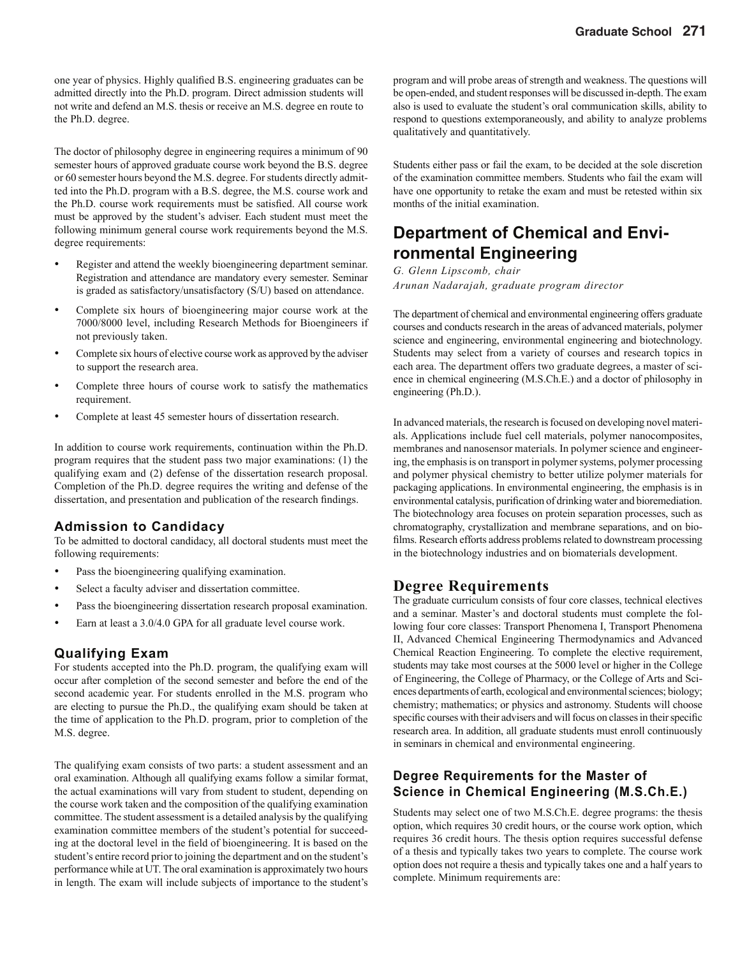one year of physics. Highly qualified B.S. engineering graduates can be admitted directly into the Ph.D. program. Direct admission students will not write and defend an M.S. thesis or receive an M.S. degree en route to the Ph.D. degree.

The doctor of philosophy degree in engineering requires a minimum of 90 semester hours of approved graduate course work beyond the B.S. degree or 60 semester hours beyond the M.S. degree. For students directly admitted into the Ph.D. program with a B.S. degree, the M.S. course work and the Ph.D. course work requirements must be satisfied. All course work must be approved by the student's adviser. Each student must meet the following minimum general course work requirements beyond the M.S. degree requirements:

- Register and attend the weekly bioengineering department seminar. Registration and attendance are mandatory every semester. Seminar is graded as satisfactory/unsatisfactory (S/U) based on attendance.
- Complete six hours of bioengineering major course work at the 7000/8000 level, including Research Methods for Bioengineers if not previously taken.
- Complete six hours of elective course work as approved by the adviser to support the research area.
- Complete three hours of course work to satisfy the mathematics requirement.
- Complete at least 45 semester hours of dissertation research.

In addition to course work requirements, continuation within the Ph.D. program requires that the student pass two major examinations: (1) the qualifying exam and (2) defense of the dissertation research proposal. Completion of the Ph.D. degree requires the writing and defense of the dissertation, and presentation and publication of the research findings.

#### **Admission to Candidacy**

To be admitted to doctoral candidacy, all doctoral students must meet the following requirements:

- Pass the bioengineering qualifying examination.
- Select a faculty adviser and dissertation committee.
- Pass the bioengineering dissertation research proposal examination.
- Earn at least a 3.0/4.0 GPA for all graduate level course work.

#### **Qualifying Exam**

For students accepted into the Ph.D. program, the qualifying exam will occur after completion of the second semester and before the end of the second academic year. For students enrolled in the M.S. program who are electing to pursue the Ph.D., the qualifying exam should be taken at the time of application to the Ph.D. program, prior to completion of the M.S. degree.

The qualifying exam consists of two parts: a student assessment and an oral examination. Although all qualifying exams follow a similar format, the actual examinations will vary from student to student, depending on the course work taken and the composition of the qualifying examination committee. The student assessment is a detailed analysis by the qualifying examination committee members of the student's potential for succeeding at the doctoral level in the field of bioengineering. It is based on the student's entire record prior to joining the department and on the student's performance while at UT. The oral examination is approximately two hours in length. The exam will include subjects of importance to the student's program and will probe areas of strength and weakness. The questions will be open-ended, and student responses will be discussed in-depth. The exam also is used to evaluate the student's oral communication skills, ability to respond to questions extemporaneously, and ability to analyze problems qualitatively and quantitatively.

Students either pass or fail the exam, to be decided at the sole discretion of the examination committee members. Students who fail the exam will have one opportunity to retake the exam and must be retested within six months of the initial examination.

### **Department of Chemical and Environmental Engineering**

*G. Glenn Lipscomb, chair Arunan Nadarajah, graduate program director*

The department of chemical and environmental engineering offers graduate courses and conducts research in the areas of advanced materials, polymer science and engineering, environmental engineering and biotechnology. Students may select from a variety of courses and research topics in each area. The department offers two graduate degrees, a master of science in chemical engineering (M.S.Ch.E.) and a doctor of philosophy in engineering (Ph.D.).

In advanced materials, the research is focused on developing novel materials. Applications include fuel cell materials, polymer nanocomposites, membranes and nanosensor materials. In polymer science and engineering, the emphasis is on transport in polymer systems, polymer processing and polymer physical chemistry to better utilize polymer materials for packaging applications. In environmental engineering, the emphasis is in environmental catalysis, purification of drinking water and bioremediation. The biotechnology area focuses on protein separation processes, such as chromatography, crystallization and membrane separations, and on biofilms. Research efforts address problems related to downstream processing in the biotechnology industries and on biomaterials development.

#### **Degree Requirements**

The graduate curriculum consists of four core classes, technical electives and a seminar. Master's and doctoral students must complete the following four core classes: Transport Phenomena I, Transport Phenomena II, Advanced Chemical Engineering Thermodynamics and Advanced Chemical Reaction Engineering. To complete the elective requirement, students may take most courses at the 5000 level or higher in the College of Engineering, the College of Pharmacy, or the College of Arts and Sciences departments of earth, ecological and environmental sciences; biology; chemistry; mathematics; or physics and astronomy. Students will choose specific courses with their advisers and will focus on classes in their specific research area. In addition, all graduate students must enroll continuously in seminars in chemical and environmental engineering.

#### **Degree Requirements for the Master of Science in Chemical Engineering (M.S.Ch.E.)**

Students may select one of two M.S.Ch.E. degree programs: the thesis option, which requires 30 credit hours, or the course work option, which requires 36 credit hours. The thesis option requires successful defense of a thesis and typically takes two years to complete. The course work option does not require a thesis and typically takes one and a half years to complete. Minimum requirements are: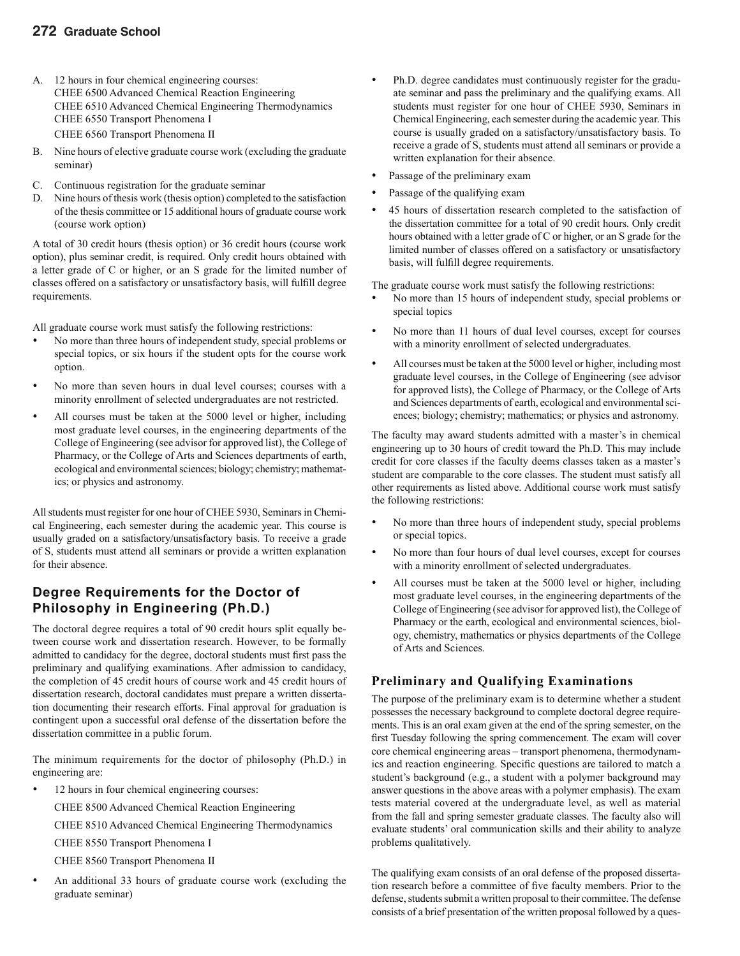#### **272 Graduate School**

- A. 12 hours in four chemical engineering courses: CHEE 6500 Advanced Chemical Reaction Engineering CHEE 6510 Advanced Chemical Engineering Thermodynamics CHEE 6550 Transport Phenomena I CHEE 6560 Transport Phenomena II
- B. Nine hours of elective graduate course work (excluding the graduate seminar)
- C. Continuous registration for the graduate seminar
- Nine hours of thesis work (thesis option) completed to the satisfaction of the thesis committee or 15 additional hours of graduate course work (course work option)

A total of 30 credit hours (thesis option) or 36 credit hours (course work option), plus seminar credit, is required. Only credit hours obtained with a letter grade of C or higher, or an S grade for the limited number of classes offered on a satisfactory or unsatisfactory basis, will fulfill degree requirements.

All graduate course work must satisfy the following restrictions:

- No more than three hours of independent study, special problems or special topics, or six hours if the student opts for the course work option.
- No more than seven hours in dual level courses; courses with a minority enrollment of selected undergraduates are not restricted.
- All courses must be taken at the 5000 level or higher, including most graduate level courses, in the engineering departments of the College of Engineering (see advisor for approved list), the College of Pharmacy, or the College of Arts and Sciences departments of earth, ecological and environmental sciences; biology; chemistry; mathematics; or physics and astronomy.

All students must register for one hour of CHEE 5930, Seminars in Chemical Engineering, each semester during the academic year. This course is usually graded on a satisfactory/unsatisfactory basis. To receive a grade of S, students must attend all seminars or provide a written explanation for their absence.

#### **Degree Requirements for the Doctor of Philosophy in Engineering (Ph.D.)**

The doctoral degree requires a total of 90 credit hours split equally between course work and dissertation research. However, to be formally admitted to candidacy for the degree, doctoral students must first pass the preliminary and qualifying examinations. After admission to candidacy, the completion of 45 credit hours of course work and 45 credit hours of dissertation research, doctoral candidates must prepare a written dissertation documenting their research efforts. Final approval for graduation is contingent upon a successful oral defense of the dissertation before the dissertation committee in a public forum.

The minimum requirements for the doctor of philosophy (Ph.D.) in engineering are:

12 hours in four chemical engineering courses:

CHEE 8500 Advanced Chemical Reaction Engineering

CHEE 8510 Advanced Chemical Engineering Thermodynamics

CHEE 8550 Transport Phenomena I

CHEE 8560 Transport Phenomena II

An additional 33 hours of graduate course work (excluding the graduate seminar)

- Ph.D. degree candidates must continuously register for the graduate seminar and pass the preliminary and the qualifying exams. All students must register for one hour of CHEE 5930, Seminars in Chemical Engineering, each semester during the academic year. This course is usually graded on a satisfactory/unsatisfactory basis. To receive a grade of S, students must attend all seminars or provide a written explanation for their absence.
- Passage of the preliminary exam
- Passage of the qualifying exam
- 45 hours of dissertation research completed to the satisfaction of the dissertation committee for a total of 90 credit hours. Only credit hours obtained with a letter grade of C or higher, or an S grade for the limited number of classes offered on a satisfactory or unsatisfactory basis, will fulfill degree requirements.

The graduate course work must satisfy the following restrictions:

- No more than 15 hours of independent study, special problems or special topics
- No more than 11 hours of dual level courses, except for courses with a minority enrollment of selected undergraduates.
- All courses must be taken at the 5000 level or higher, including most graduate level courses, in the College of Engineering (see advisor for approved lists), the College of Pharmacy, or the College of Arts and Sciences departments of earth, ecological and environmental sciences; biology; chemistry; mathematics; or physics and astronomy.

The faculty may award students admitted with a master's in chemical engineering up to 30 hours of credit toward the Ph.D. This may include credit for core classes if the faculty deems classes taken as a master's student are comparable to the core classes. The student must satisfy all other requirements as listed above. Additional course work must satisfy the following restrictions:

- No more than three hours of independent study, special problems or special topics.
- No more than four hours of dual level courses, except for courses with a minority enrollment of selected undergraduates.
- All courses must be taken at the 5000 level or higher, including most graduate level courses, in the engineering departments of the College of Engineering (see advisor for approved list), the College of Pharmacy or the earth, ecological and environmental sciences, biology, chemistry, mathematics or physics departments of the College of Arts and Sciences.

#### **Preliminary and Qualifying Examinations**

The purpose of the preliminary exam is to determine whether a student possesses the necessary background to complete doctoral degree requirements. This is an oral exam given at the end of the spring semester, on the first Tuesday following the spring commencement. The exam will cover core chemical engineering areas – transport phenomena, thermodynamics and reaction engineering. Specific questions are tailored to match a student's background (e.g., a student with a polymer background may answer questions in the above areas with a polymer emphasis). The exam tests material covered at the undergraduate level, as well as material from the fall and spring semester graduate classes. The faculty also will evaluate students' oral communication skills and their ability to analyze problems qualitatively.

The qualifying exam consists of an oral defense of the proposed dissertation research before a committee of five faculty members. Prior to the defense, students submit a written proposal to their committee. The defense consists of a brief presentation of the written proposal followed by a ques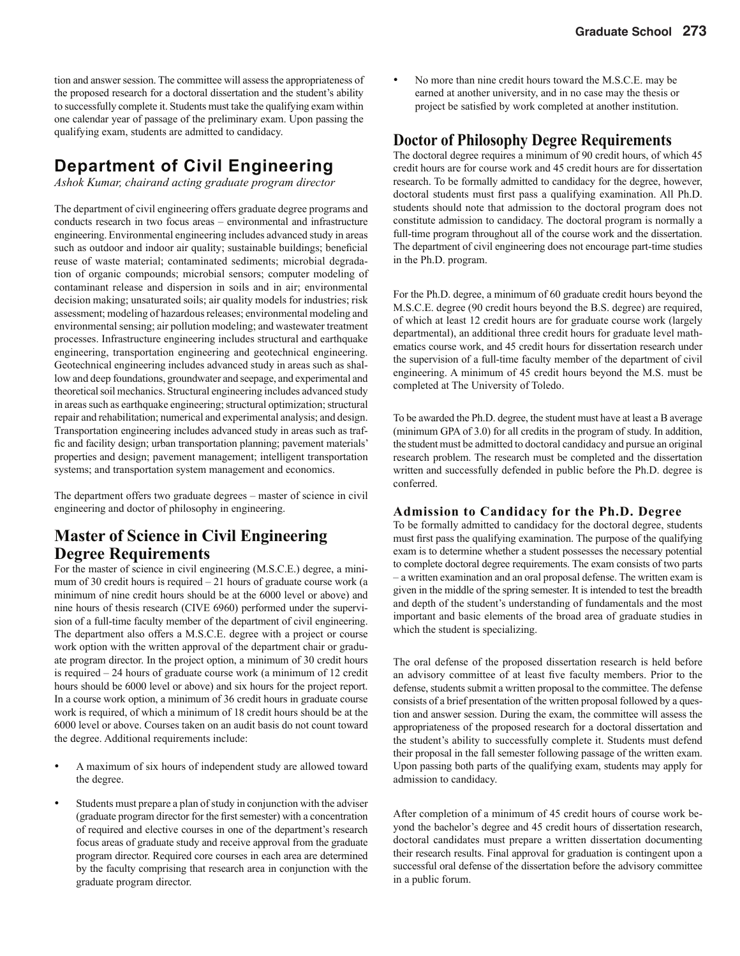tion and answer session. The committee will assess the appropriateness of the proposed research for a doctoral dissertation and the student's ability to successfully complete it. Students must take the qualifying exam within one calendar year of passage of the preliminary exam. Upon passing the qualifying exam, students are admitted to candidacy.

### **Department of Civil Engineering**

*Ashok Kumar, chairand acting graduate program director*

The department of civil engineering offers graduate degree programs and conducts research in two focus areas – environmental and infrastructure engineering. Environmental engineering includes advanced study in areas such as outdoor and indoor air quality; sustainable buildings; beneficial reuse of waste material; contaminated sediments; microbial degradation of organic compounds; microbial sensors; computer modeling of contaminant release and dispersion in soils and in air; environmental decision making; unsaturated soils; air quality models for industries; risk assessment; modeling of hazardous releases; environmental modeling and environmental sensing; air pollution modeling; and wastewater treatment processes. Infrastructure engineering includes structural and earthquake engineering, transportation engineering and geotechnical engineering. Geotechnical engineering includes advanced study in areas such as shallow and deep foundations, groundwater and seepage, and experimental and theoretical soil mechanics. Structural engineering includes advanced study in areas such as earthquake engineering; structural optimization; structural repair and rehabilitation; numerical and experimental analysis; and design. Transportation engineering includes advanced study in areas such as traffic and facility design; urban transportation planning; pavement materials' properties and design; pavement management; intelligent transportation systems; and transportation system management and economics.

The department offers two graduate degrees – master of science in civil engineering and doctor of philosophy in engineering.

### **Master of Science in Civil Engineering Degree Requirements**

For the master of science in civil engineering (M.S.C.E.) degree, a minimum of 30 credit hours is required  $-21$  hours of graduate course work (a minimum of nine credit hours should be at the 6000 level or above) and nine hours of thesis research (CIVE 6960) performed under the supervision of a full-time faculty member of the department of civil engineering. The department also offers a M.S.C.E. degree with a project or course work option with the written approval of the department chair or graduate program director. In the project option, a minimum of 30 credit hours is required – 24 hours of graduate course work (a minimum of 12 credit hours should be 6000 level or above) and six hours for the project report. In a course work option, a minimum of 36 credit hours in graduate course work is required, of which a minimum of 18 credit hours should be at the 6000 level or above. Courses taken on an audit basis do not count toward the degree. Additional requirements include:

- A maximum of six hours of independent study are allowed toward the degree.
- Students must prepare a plan of study in conjunction with the adviser (graduate program director for the first semester) with a concentration of required and elective courses in one of the department's research focus areas of graduate study and receive approval from the graduate program director. Required core courses in each area are determined by the faculty comprising that research area in conjunction with the graduate program director.

• No more than nine credit hours toward the M.S.C.E. may be earned at another university, and in no case may the thesis or project be satisfied by work completed at another institution.

#### **Doctor of Philosophy Degree Requirements**

The doctoral degree requires a minimum of 90 credit hours, of which 45 credit hours are for course work and 45 credit hours are for dissertation research. To be formally admitted to candidacy for the degree, however, doctoral students must first pass a qualifying examination. All Ph.D. students should note that admission to the doctoral program does not constitute admission to candidacy. The doctoral program is normally a full-time program throughout all of the course work and the dissertation. The department of civil engineering does not encourage part-time studies in the Ph.D. program.

For the Ph.D. degree, a minimum of 60 graduate credit hours beyond the M.S.C.E. degree (90 credit hours beyond the B.S. degree) are required, of which at least 12 credit hours are for graduate course work (largely departmental), an additional three credit hours for graduate level mathematics course work, and 45 credit hours for dissertation research under the supervision of a full-time faculty member of the department of civil engineering. A minimum of 45 credit hours beyond the M.S. must be completed at The University of Toledo.

To be awarded the Ph.D. degree, the student must have at least a B average (minimum GPA of 3.0) for all credits in the program of study. In addition, the student must be admitted to doctoral candidacy and pursue an original research problem. The research must be completed and the dissertation written and successfully defended in public before the Ph.D. degree is conferred.

#### **Admission to Candidacy for the Ph.D. Degree**

To be formally admitted to candidacy for the doctoral degree, students must first pass the qualifying examination. The purpose of the qualifying exam is to determine whether a student possesses the necessary potential to complete doctoral degree requirements. The exam consists of two parts – a written examination and an oral proposal defense. The written exam is given in the middle of the spring semester. It is intended to test the breadth and depth of the student's understanding of fundamentals and the most important and basic elements of the broad area of graduate studies in which the student is specializing.

The oral defense of the proposed dissertation research is held before an advisory committee of at least five faculty members. Prior to the defense, students submit a written proposal to the committee. The defense consists of a brief presentation of the written proposal followed by a question and answer session. During the exam, the committee will assess the appropriateness of the proposed research for a doctoral dissertation and the student's ability to successfully complete it. Students must defend their proposal in the fall semester following passage of the written exam. Upon passing both parts of the qualifying exam, students may apply for admission to candidacy.

After completion of a minimum of 45 credit hours of course work beyond the bachelor's degree and 45 credit hours of dissertation research, doctoral candidates must prepare a written dissertation documenting their research results. Final approval for graduation is contingent upon a successful oral defense of the dissertation before the advisory committee in a public forum.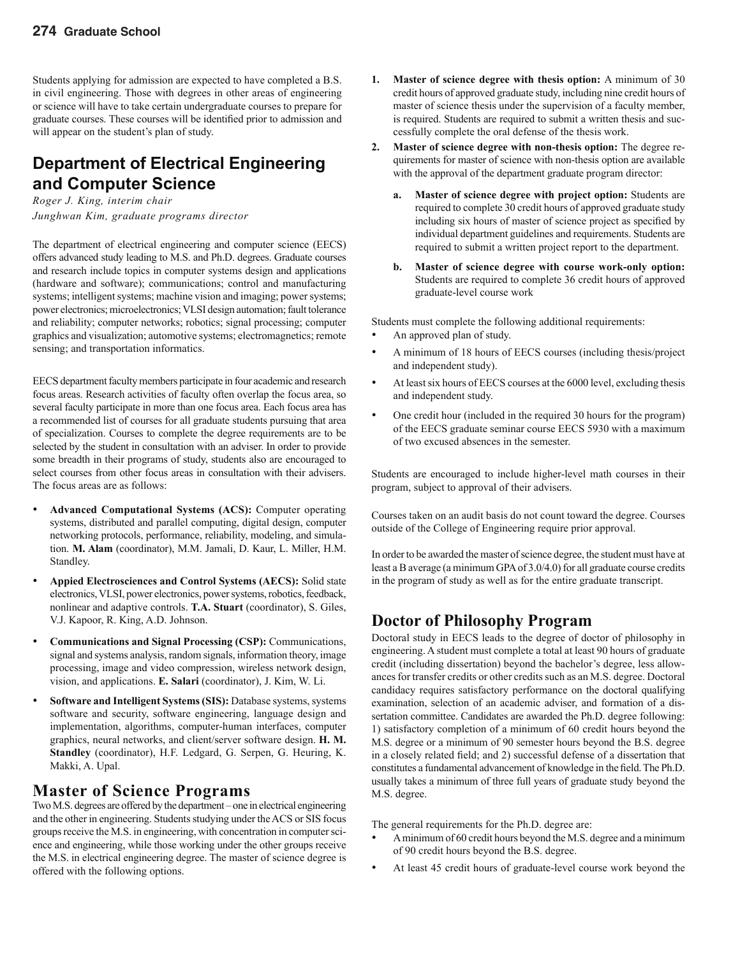Students applying for admission are expected to have completed a B.S. in civil engineering. Those with degrees in other areas of engineering or science will have to take certain undergraduate courses to prepare for graduate courses. These courses will be identified prior to admission and will appear on the student's plan of study.

### **Department of Electrical Engineering and Computer Science**

*Roger J. King, interim chair Junghwan Kim, graduate programs director*

The department of electrical engineering and computer science (EECS) offers advanced study leading to M.S. and Ph.D. degrees. Graduate courses and research include topics in computer systems design and applications (hardware and software); communications; control and manufacturing systems; intelligent systems; machine vision and imaging; power systems; power electronics; microelectronics; VLSI design automation; fault tolerance and reliability; computer networks; robotics; signal processing; computer graphics and visualization; automotive systems; electromagnetics; remote sensing; and transportation informatics.

EECS department faculty members participate in four academic and research focus areas. Research activities of faculty often overlap the focus area, so several faculty participate in more than one focus area. Each focus area has a recommended list of courses for all graduate students pursuing that area of specialization. Courses to complete the degree requirements are to be selected by the student in consultation with an adviser. In order to provide some breadth in their programs of study, students also are encouraged to select courses from other focus areas in consultation with their advisers. The focus areas are as follows:

- **Advanced Computational Systems (ACS):** Computer operating systems, distributed and parallel computing, digital design, computer networking protocols, performance, reliability, modeling, and simulation. **M. Alam** (coordinator), M.M. Jamali, D. Kaur, L. Miller, H.M. Standley.
- **Appied Electrosciences and Control Systems (AECS):** Solid state electronics, VLSI, power electronics, power systems, robotics, feedback, nonlinear and adaptive controls. **T.A. Stuart** (coordinator), S. Giles, V.J. Kapoor, R. King, A.D. Johnson.
- **Communications and Signal Processing (CSP):** Communications, signal and systems analysis, random signals, information theory, image processing, image and video compression, wireless network design, vision, and applications. **E. Salari** (coordinator), J. Kim, W. Li.
- **Software and Intelligent Systems (SIS):** Database systems, systems software and security, software engineering, language design and implementation, algorithms, computer-human interfaces, computer graphics, neural networks, and client/server software design. **H. M. Standley** (coordinator), H.F. Ledgard, G. Serpen, G. Heuring, K. Makki, A. Upal.

### **Master of Science Programs**

Two M.S. degrees are offered by the department – one in electrical engineering and the other in engineering. Students studying under the ACS or SIS focus groups receive the M.S. in engineering, with concentration in computer science and engineering, while those working under the other groups receive the M.S. in electrical engineering degree. The master of science degree is offered with the following options.

- **1. Master of science degree with thesis option:** A minimum of 30 credit hours of approved graduate study, including nine credit hours of master of science thesis under the supervision of a faculty member, is required. Students are required to submit a written thesis and successfully complete the oral defense of the thesis work.
- **2. Master of science degree with non-thesis option:** The degree requirements for master of science with non-thesis option are available with the approval of the department graduate program director:
	- **a. Master of science degree with project option:** Students are required to complete 30 credit hours of approved graduate study including six hours of master of science project as specified by individual department guidelines and requirements. Students are required to submit a written project report to the department.
	- **b. Master of science degree with course work-only option:**  Students are required to complete 36 credit hours of approved graduate-level course work

Students must complete the following additional requirements:

- An approved plan of study.
- A minimum of 18 hours of EECS courses (including thesis/project and independent study).
- At least six hours of EECS courses at the 6000 level, excluding thesis and independent study.
- One credit hour (included in the required 30 hours for the program) of the EECS graduate seminar course EECS 5930 with a maximum of two excused absences in the semester.

Students are encouraged to include higher-level math courses in their program, subject to approval of their advisers.

Courses taken on an audit basis do not count toward the degree. Courses outside of the College of Engineering require prior approval.

In order to be awarded the master of science degree, the student must have at least a B average (a minimum GPA of 3.0/4.0) for all graduate course credits in the program of study as well as for the entire graduate transcript.

### **Doctor of Philosophy Program**

Doctoral study in EECS leads to the degree of doctor of philosophy in engineering. A student must complete a total at least 90 hours of graduate credit (including dissertation) beyond the bachelor's degree, less allowances for transfer credits or other credits such as an M.S. degree. Doctoral candidacy requires satisfactory performance on the doctoral qualifying examination, selection of an academic adviser, and formation of a dissertation committee. Candidates are awarded the Ph.D. degree following: 1) satisfactory completion of a minimum of 60 credit hours beyond the M.S. degree or a minimum of 90 semester hours beyond the B.S. degree in a closely related field; and 2) successful defense of a dissertation that constitutes a fundamental advancement of knowledge in the field. The Ph.D. usually takes a minimum of three full years of graduate study beyond the M.S. degree.

The general requirements for the Ph.D. degree are:

- A minimum of 60 credit hours beyond the M.S. degree and a minimum of 90 credit hours beyond the B.S. degree.
- At least 45 credit hours of graduate-level course work beyond the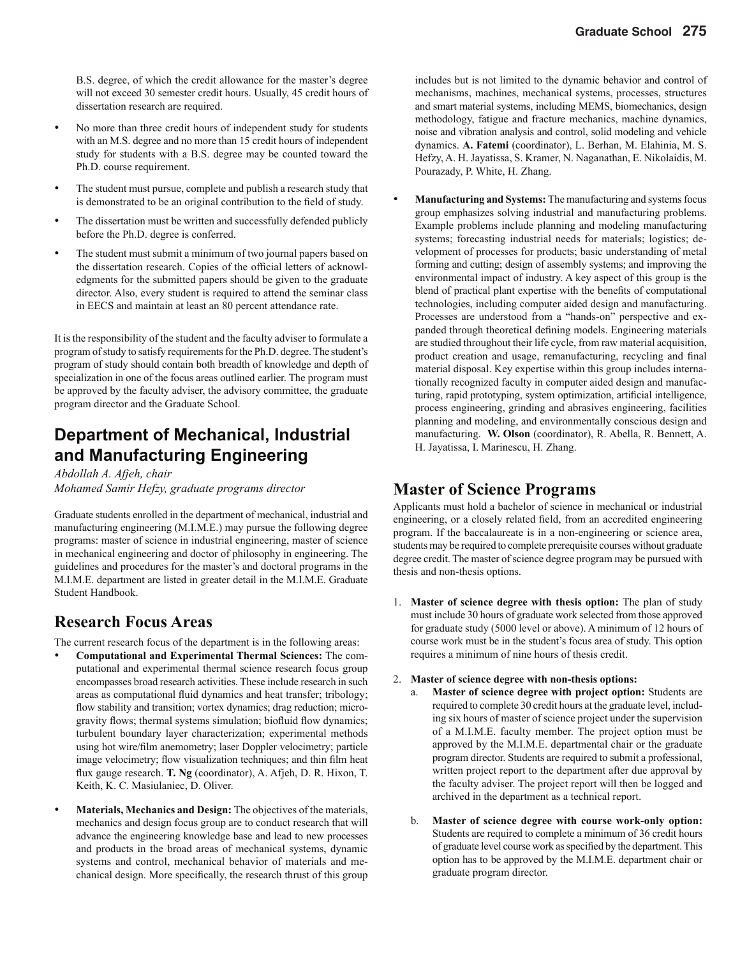B.S. degree, of which the credit allowance for the master's degree will not exceed 30 semester credit hours. Usually, 45 credit hours of dissertation research are required.

- No more than three credit hours of independent study for students with an M.S. degree and no more than 15 credit hours of independent study for students with a B.S. degree may be counted toward the Ph.D. course requirement.
- The student must pursue, complete and publish a research study that is demonstrated to be an original contribution to the field of study.
- The dissertation must be written and successfully defended publicly before the Ph.D. degree is conferred.
- The student must submit a minimum of two journal papers based on the dissertation research. Copies of the official letters of acknowledgments for the submitted papers should be given to the graduate director. Also, every student is required to attend the seminar class in EECS and maintain at least an 80 percent attendance rate.

It is the responsibility of the student and the faculty adviser to formulate a program of study to satisfy requirements for the Ph.D. degree. The student's program of study should contain both breadth of knowledge and depth of specialization in one of the focus areas outlined earlier. The program must be approved by the faculty adviser, the advisory committee, the graduate program director and the Graduate School.

### **Department of Mechanical, Industrial and Manufacturing Engineering**

*Abdollah A. Afjeh, chair Mohamed Samir Hefzy, graduate programs director*

Graduate students enrolled in the department of mechanical, industrial and manufacturing engineering (M.I.M.E.) may pursue the following degree programs: master of science in industrial engineering, master of science in mechanical engineering and doctor of philosophy in engineering. The guidelines and procedures for the master's and doctoral programs in the M.I.M.E. department are listed in greater detail in the M.I.M.E. Graduate Student Handbook.

### **Research Focus Areas**

The current research focus of the department is in the following areas:

- **Computational and Experimental Thermal Sciences:** The computational and experimental thermal science research focus group encompasses broad research activities. These include research in such areas as computational fluid dynamics and heat transfer; tribology; flow stability and transition; vortex dynamics; drag reduction; microgravity flows; thermal systems simulation; biofluid flow dynamics; turbulent boundary layer characterization; experimental methods using hot wire/film anemometry; laser Doppler velocimetry; particle image velocimetry; flow visualization techniques; and thin film heat flux gauge research. **T. Ng** (coordinator), A. Afjeh, D. R. Hixon, T. Keith, K. C. Masiulaniec, D. Oliver.
- **Materials, Mechanics and Design:** The objectives of the materials, mechanics and design focus group are to conduct research that will advance the engineering knowledge base and lead to new processes and products in the broad areas of mechanical systems, dynamic systems and control, mechanical behavior of materials and mechanical design. More specifically, the research thrust of this group

includes but is not limited to the dynamic behavior and control of mechanisms, machines, mechanical systems, processes, structures and smart material systems, including MEMS, biomechanics, design methodology, fatigue and fracture mechanics, machine dynamics, noise and vibration analysis and control, solid modeling and vehicle dynamics. **A. Fatemi** (coordinator), L. Berhan, M. Elahinia, M. S. Hefzy, A. H. Jayatissa, S. Kramer, N. Naganathan, E. Nikolaidis, M. Pourazady, P. White, H. Zhang.

• **Manufacturing and Systems:** The manufacturing and systems focus group emphasizes solving industrial and manufacturing problems. Example problems include planning and modeling manufacturing systems; forecasting industrial needs for materials; logistics; development of processes for products; basic understanding of metal forming and cutting; design of assembly systems; and improving the environmental impact of industry. A key aspect of this group is the blend of practical plant expertise with the benefits of computational technologies, including computer aided design and manufacturing. Processes are understood from a "hands-on" perspective and expanded through theoretical defining models. Engineering materials are studied throughout their life cycle, from raw material acquisition, product creation and usage, remanufacturing, recycling and final material disposal. Key expertise within this group includes internationally recognized faculty in computer aided design and manufacturing, rapid prototyping, system optimization, artificial intelligence, process engineering, grinding and abrasives engineering, facilities planning and modeling, and environmentally conscious design and manufacturing. **W. Olson** (coordinator), R. Abella, R. Bennett, A. H. Jayatissa, I. Marinescu, H. Zhang.

### **Master of Science Programs**

Applicants must hold a bachelor of science in mechanical or industrial engineering, or a closely related field, from an accredited engineering program. If the baccalaureate is in a non-engineering or science area, students may be required to complete prerequisite courses without graduate degree credit. The master of science degree program may be pursued with thesis and non-thesis options.

- 1. **Master of science degree with thesis option:** The plan of study must include 30 hours of graduate work selected from those approved for graduate study (5000 level or above). A minimum of 12 hours of course work must be in the student's focus area of study. This option requires a minimum of nine hours of thesis credit.
- 2. **Master of science degree with non-thesis options:**
	- a. **Master of science degree with project option:** Students are required to complete 30 credit hours at the graduate level, including six hours of master of science project under the supervision of a M.I.M.E. faculty member. The project option must be approved by the M.I.M.E. departmental chair or the graduate program director. Students are required to submit a professional, written project report to the department after due approval by the faculty adviser. The project report will then be logged and archived in the department as a technical report.
	- b. **Master of science degree with course work-only option:**  Students are required to complete a minimum of 36 credit hours of graduate level course work as specified by the department. This option has to be approved by the M.I.M.E. department chair or graduate program director.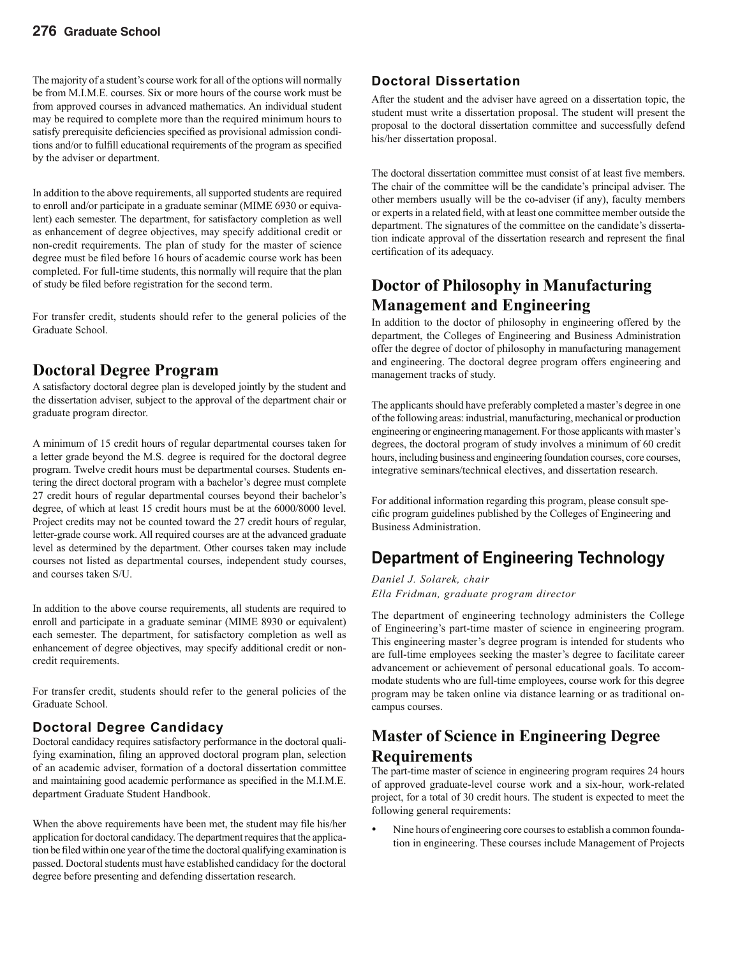The majority of a student's course work for all of the options will normally be from M.I.M.E. courses. Six or more hours of the course work must be from approved courses in advanced mathematics. An individual student may be required to complete more than the required minimum hours to satisfy prerequisite deficiencies specified as provisional admission conditions and/or to fulfill educational requirements of the program as specified by the adviser or department.

In addition to the above requirements, all supported students are required to enroll and/or participate in a graduate seminar (MIME 6930 or equivalent) each semester. The department, for satisfactory completion as well as enhancement of degree objectives, may specify additional credit or non-credit requirements. The plan of study for the master of science degree must be filed before 16 hours of academic course work has been completed. For full-time students, this normally will require that the plan of study be filed before registration for the second term.

For transfer credit, students should refer to the general policies of the Graduate School.

### **Doctoral Degree Program**

A satisfactory doctoral degree plan is developed jointly by the student and the dissertation adviser, subject to the approval of the department chair or graduate program director.

A minimum of 15 credit hours of regular departmental courses taken for a letter grade beyond the M.S. degree is required for the doctoral degree program. Twelve credit hours must be departmental courses. Students entering the direct doctoral program with a bachelor's degree must complete 27 credit hours of regular departmental courses beyond their bachelor's degree, of which at least 15 credit hours must be at the 6000/8000 level. Project credits may not be counted toward the 27 credit hours of regular, letter-grade course work. All required courses are at the advanced graduate level as determined by the department. Other courses taken may include courses not listed as departmental courses, independent study courses, and courses taken S/U.

In addition to the above course requirements, all students are required to enroll and participate in a graduate seminar (MIME 8930 or equivalent) each semester. The department, for satisfactory completion as well as enhancement of degree objectives, may specify additional credit or noncredit requirements.

For transfer credit, students should refer to the general policies of the Graduate School.

#### **Doctoral Degree Candidacy**

Doctoral candidacy requires satisfactory performance in the doctoral qualifying examination, filing an approved doctoral program plan, selection of an academic adviser, formation of a doctoral dissertation committee and maintaining good academic performance as specified in the M.I.M.E. department Graduate Student Handbook.

When the above requirements have been met, the student may file his/her application for doctoral candidacy. The department requires that the application be filed within one year of the time the doctoral qualifying examination is passed. Doctoral students must have established candidacy for the doctoral degree before presenting and defending dissertation research.

#### **Doctoral Dissertation**

After the student and the adviser have agreed on a dissertation topic, the student must write a dissertation proposal. The student will present the proposal to the doctoral dissertation committee and successfully defend his/her dissertation proposal.

The doctoral dissertation committee must consist of at least five members. The chair of the committee will be the candidate's principal adviser. The other members usually will be the co-adviser (if any), faculty members or experts in a related field, with at least one committee member outside the department. The signatures of the committee on the candidate's dissertation indicate approval of the dissertation research and represent the final certification of its adequacy.

### **Doctor of Philosophy in Manufacturing Management and Engineering**

In addition to the doctor of philosophy in engineering offered by the department, the Colleges of Engineering and Business Administration offer the degree of doctor of philosophy in manufacturing management and engineering. The doctoral degree program offers engineering and management tracks of study.

The applicants should have preferably completed a master's degree in one of the following areas: industrial, manufacturing, mechanical or production engineering or engineering management. For those applicants with master's degrees, the doctoral program of study involves a minimum of 60 credit hours, including business and engineering foundation courses, core courses, integrative seminars/technical electives, and dissertation research.

For additional information regarding this program, please consult specific program guidelines published by the Colleges of Engineering and Business Administration.

### **Department of Engineering Technology**

*Daniel J. Solarek, chair Ella Fridman, graduate program director*

The department of engineering technology administers the College of Engineering's part-time master of science in engineering program. This engineering master's degree program is intended for students who are full-time employees seeking the master's degree to facilitate career advancement or achievement of personal educational goals. To accommodate students who are full-time employees, course work for this degree program may be taken online via distance learning or as traditional oncampus courses.

### **Master of Science in Engineering Degree Requirements**

The part-time master of science in engineering program requires 24 hours of approved graduate-level course work and a six-hour, work-related project, for a total of 30 credit hours. The student is expected to meet the following general requirements:

• Nine hours of engineering core courses to establish a common foundation in engineering. These courses include Management of Projects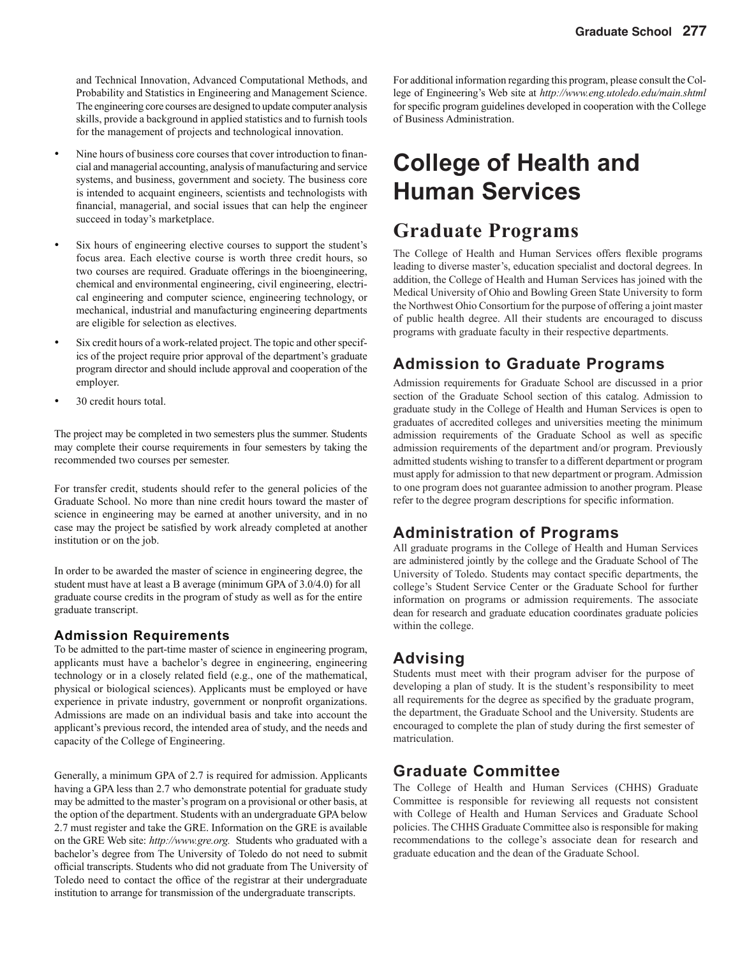and Technical Innovation, Advanced Computational Methods, and Probability and Statistics in Engineering and Management Science. The engineering core courses are designed to update computer analysis skills, provide a background in applied statistics and to furnish tools for the management of projects and technological innovation.

- Nine hours of business core courses that cover introduction to financial and managerial accounting, analysis of manufacturing and service systems, and business, government and society. The business core is intended to acquaint engineers, scientists and technologists with financial, managerial, and social issues that can help the engineer succeed in today's marketplace.
- Six hours of engineering elective courses to support the student's focus area. Each elective course is worth three credit hours, so two courses are required. Graduate offerings in the bioengineering, chemical and environmental engineering, civil engineering, electrical engineering and computer science, engineering technology, or mechanical, industrial and manufacturing engineering departments are eligible for selection as electives.
- Six credit hours of a work-related project. The topic and other specifics of the project require prior approval of the department's graduate program director and should include approval and cooperation of the employer.
- 30 credit hours total.

The project may be completed in two semesters plus the summer. Students may complete their course requirements in four semesters by taking the recommended two courses per semester.

For transfer credit, students should refer to the general policies of the Graduate School. No more than nine credit hours toward the master of science in engineering may be earned at another university, and in no case may the project be satisfied by work already completed at another institution or on the job.

In order to be awarded the master of science in engineering degree, the student must have at least a B average (minimum GPA of 3.0/4.0) for all graduate course credits in the program of study as well as for the entire graduate transcript.

#### **Admission Requirements**

To be admitted to the part-time master of science in engineering program, applicants must have a bachelor's degree in engineering, engineering technology or in a closely related field (e.g., one of the mathematical, physical or biological sciences). Applicants must be employed or have experience in private industry, government or nonprofit organizations. Admissions are made on an individual basis and take into account the applicant's previous record, the intended area of study, and the needs and capacity of the College of Engineering.

Generally, a minimum GPA of 2.7 is required for admission. Applicants having a GPA less than 2.7 who demonstrate potential for graduate study may be admitted to the master's program on a provisional or other basis, at the option of the department. Students with an undergraduate GPA below 2.7 must register and take the GRE. Information on the GRE is available on the GRE Web site: *http://www.gre.org.* Students who graduated with a bachelor's degree from The University of Toledo do not need to submit official transcripts. Students who did not graduate from The University of Toledo need to contact the office of the registrar at their undergraduate institution to arrange for transmission of the undergraduate transcripts.

For additional information regarding this program, please consult the College of Engineering's Web site at *http://www.eng.utoledo.edu/main.shtml*  for specific program guidelines developed in cooperation with the College of Business Administration.

# **College of Health and Human Services**

### **Graduate Programs**

The College of Health and Human Services offers flexible programs leading to diverse master's, education specialist and doctoral degrees. In addition, the College of Health and Human Services has joined with the Medical University of Ohio and Bowling Green State University to form the Northwest Ohio Consortium for the purpose of offering a joint master of public health degree. All their students are encouraged to discuss programs with graduate faculty in their respective departments.

### **Admission to Graduate Programs**

Admission requirements for Graduate School are discussed in a prior section of the Graduate School section of this catalog. Admission to graduate study in the College of Health and Human Services is open to graduates of accredited colleges and universities meeting the minimum admission requirements of the Graduate School as well as specific admission requirements of the department and/or program. Previously admitted students wishing to transfer to a different department or program must apply for admission to that new department or program. Admission to one program does not guarantee admission to another program. Please refer to the degree program descriptions for specific information.

#### **Administration of Programs**

All graduate programs in the College of Health and Human Services are administered jointly by the college and the Graduate School of The University of Toledo. Students may contact specific departments, the college's Student Service Center or the Graduate School for further information on programs or admission requirements. The associate dean for research and graduate education coordinates graduate policies within the college.

### **Advising**

Students must meet with their program adviser for the purpose of developing a plan of study. It is the student's responsibility to meet all requirements for the degree as specified by the graduate program, the department, the Graduate School and the University. Students are encouraged to complete the plan of study during the first semester of matriculation.

### **Graduate Committee**

The College of Health and Human Services (CHHS) Graduate Committee is responsible for reviewing all requests not consistent with College of Health and Human Services and Graduate School policies. The CHHS Graduate Committee also is responsible for making recommendations to the college's associate dean for research and graduate education and the dean of the Graduate School.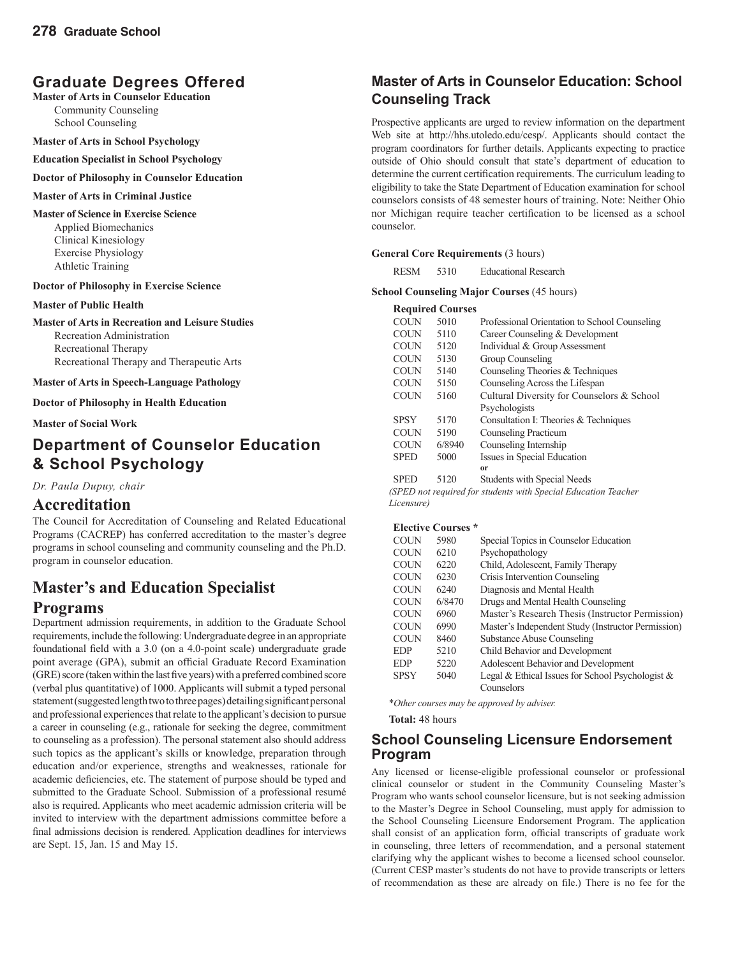### **Graduate Degrees Offered**

**Master of Arts in Counselor Education**  Community Counseling School Counseling

**Master of Arts in School Psychology** 

#### **Education Specialist in School Psychology**

#### **Doctor of Philosophy in Counselor Education**

#### **Master of Arts in Criminal Justice**

**Master of Science in Exercise Science** 

Applied Biomechanics Clinical Kinesiology Exercise Physiology Athletic Training

#### **Doctor of Philosophy in Exercise Science**

#### **Master of Public Health**

**Master of Arts in Recreation and Leisure Studies**  Recreation Administration Recreational Therapy Recreational Therapy and Therapeutic Arts

#### **Master of Arts in Speech-Language Pathology**

**Doctor of Philosophy in Health Education**

#### **Master of Social Work**

### **Department of Counselor Education & School Psychology**

*Dr. Paula Dupuy, chair*

#### **Accreditation**

The Council for Accreditation of Counseling and Related Educational Programs (CACREP) has conferred accreditation to the master's degree programs in school counseling and community counseling and the Ph.D. program in counselor education.

### **Master's and Education Specialist**

#### **Programs**

Department admission requirements, in addition to the Graduate School requirements, include the following: Undergraduate degree in an appropriate foundational field with a 3.0 (on a 4.0-point scale) undergraduate grade point average (GPA), submit an official Graduate Record Examination (GRE) score (taken within the last five years) with a preferred combined score (verbal plus quantitative) of 1000. Applicants will submit a typed personal statement (suggested length two to three pages) detailing significant personal and professional experiences that relate to the applicant's decision to pursue a career in counseling (e.g., rationale for seeking the degree, commitment to counseling as a profession). The personal statement also should address such topics as the applicant's skills or knowledge, preparation through education and/or experience, strengths and weaknesses, rationale for academic deficiencies, etc. The statement of purpose should be typed and submitted to the Graduate School. Submission of a professional resumé also is required. Applicants who meet academic admission criteria will be invited to interview with the department admissions committee before a final admissions decision is rendered. Application deadlines for interviews are Sept. 15, Jan. 15 and May 15.

### **Master of Arts in Counselor Education: School Counseling Track**

Prospective applicants are urged to review information on the department Web site at http://hhs.utoledo.edu/cesp/. Applicants should contact the program coordinators for further details. Applicants expecting to practice outside of Ohio should consult that state's department of education to determine the current certification requirements. The curriculum leading to eligibility to take the State Department of Education examination for school counselors consists of 48 semester hours of training. Note: Neither Ohio nor Michigan require teacher certification to be licensed as a school counselor.

#### **General Core Requirements** (3 hours)

RESM 5310 Educational Research

#### **School Counseling Major Courses** (45 hours)

#### **Required Courses**

| <b>COUN</b> | 5010   | Professional Orientation to School Counseling |  |
|-------------|--------|-----------------------------------------------|--|
| <b>COUN</b> | 5110   | Career Counseling & Development               |  |
| <b>COUN</b> | 5120   | Individual & Group Assessment                 |  |
| <b>COUN</b> | 5130   | Group Counseling                              |  |
| <b>COUN</b> | 5140   | Counseling Theories & Techniques              |  |
| <b>COUN</b> | 5150   | Counseling Across the Lifespan                |  |
| <b>COUN</b> | 5160   | Cultural Diversity for Counselors & School    |  |
|             |        | Psychologists                                 |  |
| <b>SPSY</b> | 5170   | Consultation I: Theories & Techniques         |  |
| <b>COUN</b> | 5190   | Counseling Practicum                          |  |
| <b>COUN</b> | 6/8940 | Counseling Internship                         |  |
| <b>SPED</b> | 5000   | Issues in Special Education                   |  |
|             |        | <sub>or</sub>                                 |  |
| <b>SPED</b> | 5120   | <b>Students with Special Needs</b>            |  |

*(SPED not required for students with Special Education Teacher Licensure)*

#### **Elective Courses \***

| <b>COUN</b> | 5980   | Special Topics in Counselor Education               |
|-------------|--------|-----------------------------------------------------|
| <b>COUN</b> | 6210   | Psychopathology                                     |
| <b>COUN</b> | 6220   | Child, Adolescent, Family Therapy                   |
| <b>COUN</b> | 6230   | Crisis Intervention Counseling                      |
| <b>COUN</b> | 6240   | Diagnosis and Mental Health                         |
| <b>COUN</b> | 6/8470 | Drugs and Mental Health Counseling                  |
| <b>COUN</b> | 6960   | Master's Research Thesis (Instructor Permission)    |
| <b>COUN</b> | 6990   | Master's Independent Study (Instructor Permission)  |
| <b>COUN</b> | 8460   | Substance Abuse Counseling                          |
| <b>EDP</b>  | 5210   | Child Behavior and Development                      |
| <b>EDP</b>  | 5220   | Adolescent Behavior and Development                 |
| <b>SPSY</b> | 5040   | Legal & Ethical Issues for School Psychologist $\&$ |
|             |        | Counselors                                          |
|             |        |                                                     |

\**Other courses may be approved by adviser.* 

**Total:** 48 hours

#### **School Counseling Licensure Endorsement Program**

Any licensed or license-eligible professional counselor or professional clinical counselor or student in the Community Counseling Master's Program who wants school counselor licensure, but is not seeking admission to the Master's Degree in School Counseling, must apply for admission to the School Counseling Licensure Endorsement Program. The application shall consist of an application form, official transcripts of graduate work in counseling, three letters of recommendation, and a personal statement clarifying why the applicant wishes to become a licensed school counselor. (Current CESP master's students do not have to provide transcripts or letters of recommendation as these are already on file.) There is no fee for the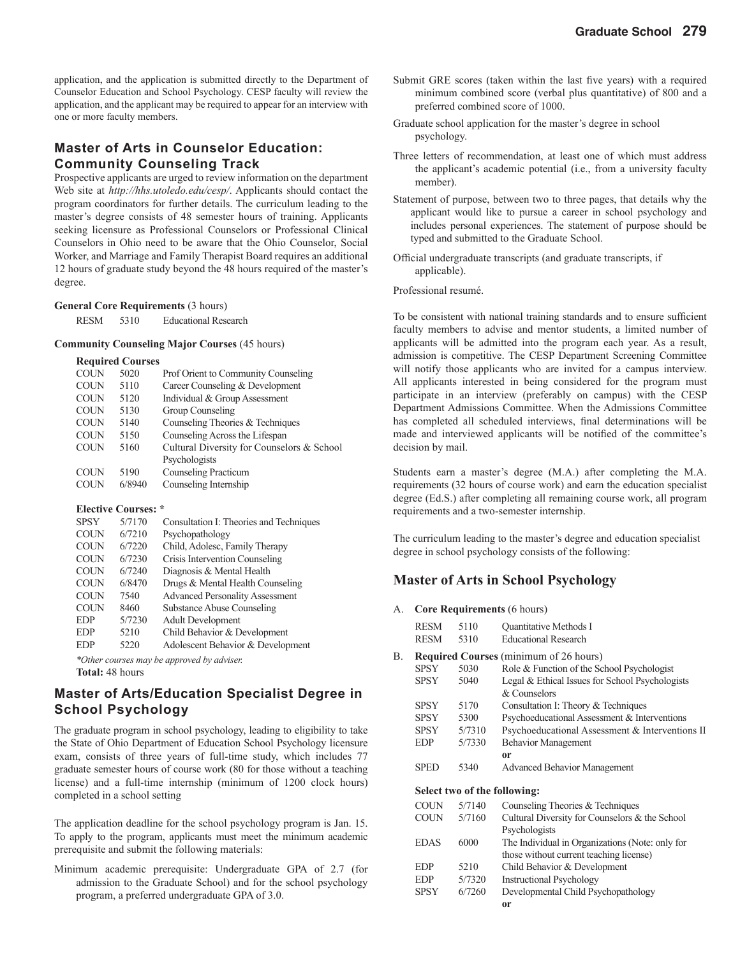application, and the application is submitted directly to the Department of Counselor Education and School Psychology. CESP faculty will review the application, and the applicant may be required to appear for an interview with one or more faculty members.

#### **Master of Arts in Counselor Education: Community Counseling Track**

Prospective applicants are urged to review information on the department Web site at *http://hhs.utoledo.edu/cesp/*. Applicants should contact the program coordinators for further details. The curriculum leading to the master's degree consists of 48 semester hours of training. Applicants seeking licensure as Professional Counselors or Professional Clinical Counselors in Ohio need to be aware that the Ohio Counselor, Social Worker, and Marriage and Family Therapist Board requires an additional 12 hours of graduate study beyond the 48 hours required of the master's degree.

#### **General Core Requirements** (3 hours)

| <b>RESM</b> | 5310 | <b>Educational Research</b> |
|-------------|------|-----------------------------|
|-------------|------|-----------------------------|

#### **Community Counseling Major Courses** (45 hours)

#### **Required Courses**

| <b>COUN</b> | 5020   | <b>Prof Orient to Community Counseling</b> |
|-------------|--------|--------------------------------------------|
| <b>COUN</b> | 5110   | Career Counseling & Development            |
| <b>COUN</b> | 5120   | Individual & Group Assessment              |
| <b>COUN</b> | 5130   | Group Counseling                           |
| <b>COUN</b> | 5140   | Counseling Theories & Techniques           |
| <b>COUN</b> | 5150   | Counseling Across the Lifespan             |
| <b>COUN</b> | 5160   | Cultural Diversity for Counselors & School |
|             |        | Psychologists                              |
| <b>COUN</b> | 5190   | <b>Counseling Practicum</b>                |
| <b>COUN</b> | 6/8940 | Counseling Internship                      |
|             |        |                                            |

#### **Elective Courses: \***

| <b>SPSY</b> | 5/7170 | Consultation I: Theories and Techniques |
|-------------|--------|-----------------------------------------|
| <b>COUN</b> | 6/7210 | Psychopathology                         |
| <b>COUN</b> | 6/7220 | Child, Adolesc, Family Therapy          |
| <b>COUN</b> | 6/7230 | Crisis Intervention Counseling          |
| <b>COUN</b> | 6/7240 | Diagnosis & Mental Health               |
| <b>COUN</b> | 6/8470 | Drugs & Mental Health Counseling        |
| <b>COUN</b> | 7540   | <b>Advanced Personality Assessment</b>  |
| <b>COUN</b> | 8460   | <b>Substance Abuse Counseling</b>       |
| <b>EDP</b>  | 5/7230 | <b>Adult Development</b>                |
| <b>EDP</b>  | 5210   | Child Behavior & Development            |
| <b>EDP</b>  | 5220   | Adolescent Behavior & Development       |
|             |        |                                         |

*\*Other courses may be approved by adviser.* 

**Total:** 48 hours

#### **Master of Arts/Education Specialist Degree in School Psychology**

The graduate program in school psychology, leading to eligibility to take the State of Ohio Department of Education School Psychology licensure exam, consists of three years of full-time study, which includes 77 graduate semester hours of course work (80 for those without a teaching license) and a full-time internship (minimum of 1200 clock hours) completed in a school setting

The application deadline for the school psychology program is Jan. 15. To apply to the program, applicants must meet the minimum academic prerequisite and submit the following materials:

Minimum academic prerequisite: Undergraduate GPA of 2.7 (for admission to the Graduate School) and for the school psychology program, a preferred undergraduate GPA of 3.0.

- Submit GRE scores (taken within the last five years) with a required minimum combined score (verbal plus quantitative) of 800 and a preferred combined score of 1000.
- Graduate school application for the master's degree in school psychology.
- Three letters of recommendation, at least one of which must address the applicant's academic potential (i.e., from a university faculty member).
- Statement of purpose, between two to three pages, that details why the applicant would like to pursue a career in school psychology and includes personal experiences. The statement of purpose should be typed and submitted to the Graduate School.
- Official undergraduate transcripts (and graduate transcripts, if applicable).

Professional resumé.

To be consistent with national training standards and to ensure sufficient faculty members to advise and mentor students, a limited number of applicants will be admitted into the program each year. As a result, admission is competitive. The CESP Department Screening Committee will notify those applicants who are invited for a campus interview. All applicants interested in being considered for the program must participate in an interview (preferably on campus) with the CESP Department Admissions Committee. When the Admissions Committee has completed all scheduled interviews, final determinations will be made and interviewed applicants will be notified of the committee's decision by mail.

Students earn a master's degree (M.A.) after completing the M.A. requirements (32 hours of course work) and earn the education specialist degree (Ed.S.) after completing all remaining course work, all program requirements and a two-semester internship.

The curriculum leading to the master's degree and education specialist degree in school psychology consists of the following:

#### **Master of Arts in School Psychology**

A. **Core Requirements** (6 hours)

|    | <b>RESM</b> | 5110   | Quantitative Methods I                          |
|----|-------------|--------|-------------------------------------------------|
|    | <b>RESM</b> | 5310   | <b>Educational Research</b>                     |
| В. |             |        | <b>Required Courses</b> (minimum of 26 hours)   |
|    | <b>SPSY</b> | 5030   | Role & Function of the School Psychologist      |
|    | <b>SPSY</b> | 5040   | Legal & Ethical Issues for School Psychologists |
|    |             |        | & Counselors                                    |
|    | <b>SPSY</b> | 5170   | Consultation I: Theory & Techniques             |
|    | SPSY        | 5300   | Psychoeducational Assessment & Interventions    |
|    | SPSY        | 5/7310 | Psychoeducational Assessment & Interventions II |
|    | <b>EDP</b>  | 5/7330 | <b>Behavior Management</b>                      |
|    |             |        | or                                              |
|    | <b>SPED</b> | 5340   | <b>Advanced Behavior Management</b>             |
|    |             |        | Select two of the following:                    |
|    | <b>COUN</b> | 5/7140 | Counseling Theories & Techniques                |
|    | COUN        | 5/7160 | Cultural Diversity for Counselors & the School  |
|    |             |        | Psychologists                                   |
|    | <b>EDAS</b> | 6000   | The Individual in Organizations (Note: only for |
|    |             |        | those without current teaching license)         |
|    | <b>EDP</b>  | 5210   | Child Behavior & Development                    |
|    | <b>EDP</b>  | 5/7320 | <b>Instructional Psychology</b>                 |
|    | <b>SPSY</b> | 6/7260 | Developmental Child Psychopathology             |
|    |             |        | or                                              |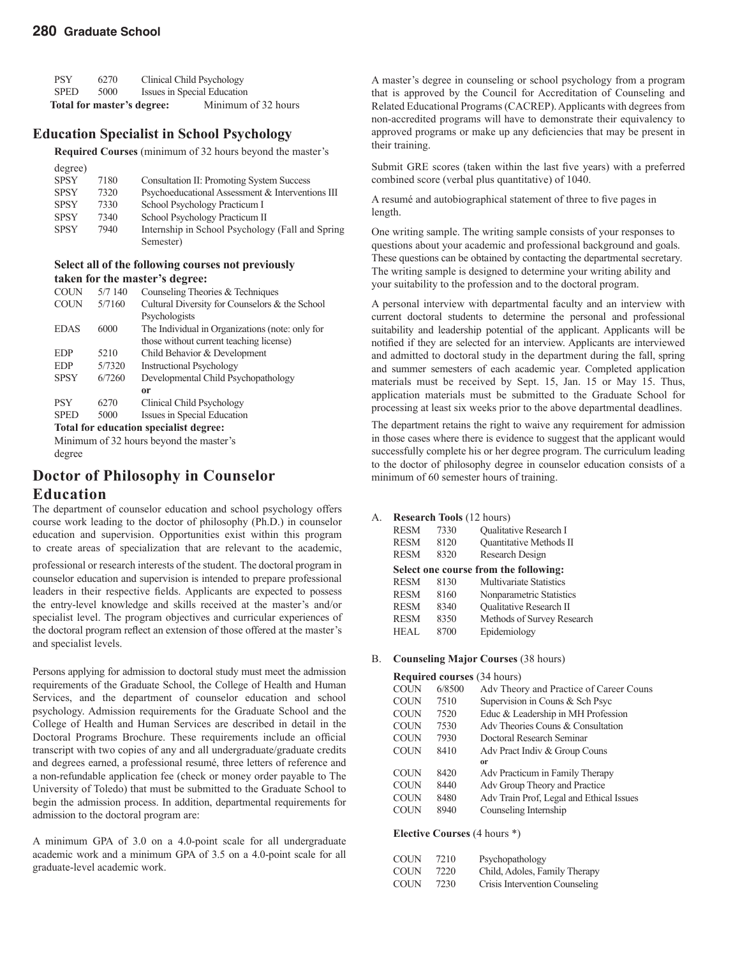| <b>PSY</b>  | 6270 |                            | Clinical Child Psychology   |
|-------------|------|----------------------------|-----------------------------|
| <b>SPED</b> | 5000 |                            | Issues in Special Education |
|             |      | Total for master's degree: | Minimum of 32 hours         |

#### **Education Specialist in School Psychology**

**Required Courses** (minimum of 32 hours beyond the master's

| degree)     |      |                                                   |
|-------------|------|---------------------------------------------------|
| <b>SPSY</b> | 7180 | <b>Consultation II: Promoting System Success</b>  |
| <b>SPSY</b> | 7320 | Psychoeducational Assessment & Interventions III  |
| <b>SPSY</b> | 7330 | School Psychology Practicum I                     |
| <b>SPSY</b> | 7340 | School Psychology Practicum II                    |
| <b>SPSY</b> | 7940 | Internship in School Psychology (Fall and Spring) |
|             |      | Semester)                                         |

#### **Select all of the following courses not previously taken for the master's degree:**

| <b>COUN</b> | 5/7140 | Counseling Theories & Techniques                |
|-------------|--------|-------------------------------------------------|
| <b>COUN</b> | 5/7160 | Cultural Diversity for Counselors & the School  |
|             |        | Psychologists                                   |
| <b>EDAS</b> | 6000   | The Individual in Organizations (note: only for |
|             |        | those without current teaching license)         |
| <b>EDP</b>  | 5210   | Child Behavior & Development                    |
| <b>EDP</b>  | 5/7320 | <b>Instructional Psychology</b>                 |
| <b>SPSY</b> | 6/7260 | Developmental Child Psychopathology             |
|             |        | <b>or</b>                                       |
| <b>PSY</b>  | 6270   | Clinical Child Psychology                       |
| <b>SPED</b> | 5000   | Issues in Special Education                     |
|             |        |                                                 |

**Total for education specialist degree:** 

Minimum of 32 hours beyond the master's degree

# **Doctor of Philosophy in Counselor**

#### **Education**

The department of counselor education and school psychology offers course work leading to the doctor of philosophy (Ph.D.) in counselor education and supervision. Opportunities exist within this program to create areas of specialization that are relevant to the academic,

professional or research interests of the student. The doctoral program in counselor education and supervision is intended to prepare professional leaders in their respective fields. Applicants are expected to possess the entry-level knowledge and skills received at the master's and/or specialist level. The program objectives and curricular experiences of the doctoral program reflect an extension of those offered at the master's and specialist levels.

Persons applying for admission to doctoral study must meet the admission requirements of the Graduate School, the College of Health and Human Services, and the department of counselor education and school psychology. Admission requirements for the Graduate School and the College of Health and Human Services are described in detail in the Doctoral Programs Brochure. These requirements include an official transcript with two copies of any and all undergraduate/graduate credits and degrees earned, a professional resumé, three letters of reference and a non-refundable application fee (check or money order payable to The University of Toledo) that must be submitted to the Graduate School to begin the admission process. In addition, departmental requirements for admission to the doctoral program are:

A minimum GPA of 3.0 on a 4.0-point scale for all undergraduate academic work and a minimum GPA of 3.5 on a 4.0-point scale for all graduate-level academic work.

A master's degree in counseling or school psychology from a program that is approved by the Council for Accreditation of Counseling and Related Educational Programs (CACREP). Applicants with degrees from non-accredited programs will have to demonstrate their equivalency to approved programs or make up any deficiencies that may be present in their training.

Submit GRE scores (taken within the last five years) with a preferred combined score (verbal plus quantitative) of 1040.

A resumé and autobiographical statement of three to five pages in length.

One writing sample. The writing sample consists of your responses to questions about your academic and professional background and goals. These questions can be obtained by contacting the departmental secretary. The writing sample is designed to determine your writing ability and your suitability to the profession and to the doctoral program.

A personal interview with departmental faculty and an interview with current doctoral students to determine the personal and professional suitability and leadership potential of the applicant. Applicants will be notified if they are selected for an interview. Applicants are interviewed and admitted to doctoral study in the department during the fall, spring and summer semesters of each academic year. Completed application materials must be received by Sept. 15, Jan. 15 or May 15. Thus, application materials must be submitted to the Graduate School for processing at least six weeks prior to the above departmental deadlines.

The department retains the right to waive any requirement for admission in those cases where there is evidence to suggest that the applicant would successfully complete his or her degree program. The curriculum leading to the doctor of philosophy degree in counselor education consists of a minimum of 60 semester hours of training.

#### A. **Research Tools** (12 hours)

| <b>RESM</b> | 7330 | <b>Oualitative Research I</b>         |
|-------------|------|---------------------------------------|
| <b>RESM</b> | 8120 | Quantitative Methods II               |
| <b>RESM</b> | 8320 | Research Design                       |
|             |      | Select one course from the following: |
| <b>RESM</b> | 8130 | <b>Multivariate Statistics</b>        |
| <b>RESM</b> | 8160 | Nonparametric Statistics              |
| <b>RESM</b> | 8340 | <b>Oualitative Research II</b>        |
| <b>RESM</b> | 8350 | Methods of Survey Research            |
| <b>HEAL</b> | 8700 | Epidemiology                          |

#### B. **Counseling Major Courses** (38 hours)

#### **Required courses** (34 hours)

| <b>COUN</b> | 6/8500 | Adv Theory and Practice of Career Couns  |
|-------------|--------|------------------------------------------|
| <b>COUN</b> | 7510   | Supervision in Couns & Sch Psyc          |
| <b>COUN</b> | 7520   | Educ & Leadership in MH Profession       |
| <b>COUN</b> | 7530   | Adv Theories Couns & Consultation        |
| <b>COUN</b> | 7930   | Doctoral Research Seminar                |
| <b>COUN</b> | 8410   | Adv Pract Indiv & Group Couns            |
|             |        | 0r                                       |
| <b>COUN</b> | 8420   | Adv Practicum in Family Therapy          |
| <b>COUN</b> | 8440   | Adv Group Theory and Practice            |
| <b>COUN</b> | 8480   | Adv Train Prof, Legal and Ethical Issues |
| <b>COUN</b> | 8940   | Counseling Internship                    |
|             |        |                                          |

#### **Elective Courses** (4 hours \*)

| <b>COUN</b> | 7210 | Psychopathology                |
|-------------|------|--------------------------------|
| <b>COUN</b> | 7220 | Child, Adoles, Family Therapy  |
| <b>COUN</b> | 7230 | Crisis Intervention Counseling |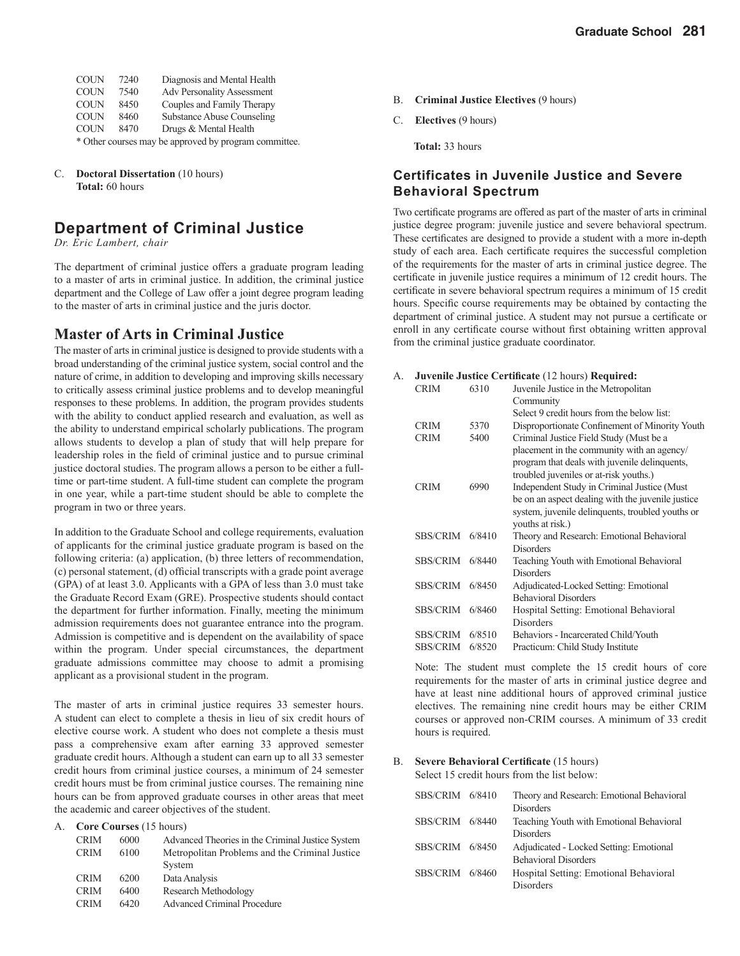| <b>COUN</b> | 7240 | Diagnosis and Mental Health                           |
|-------------|------|-------------------------------------------------------|
| <b>COUN</b> | 7540 | <b>Adv Personality Assessment</b>                     |
| <b>COUN</b> | 8450 | Couples and Family Therapy                            |
| <b>COUN</b> | 8460 | <b>Substance Abuse Counseling</b>                     |
| <b>COUN</b> | 8470 | Drugs & Mental Health                                 |
|             |      | * Other courses may be approved by program committee. |

C. **Doctoral Dissertation** (10 hours) **Total:** 60 hours

### **Department of Criminal Justice**

*Dr. Eric Lambert, chair*

The department of criminal justice offers a graduate program leading to a master of arts in criminal justice. In addition, the criminal justice department and the College of Law offer a joint degree program leading to the master of arts in criminal justice and the juris doctor.

#### **Master of Arts in Criminal Justice**

The master of arts in criminal justice is designed to provide students with a broad understanding of the criminal justice system, social control and the nature of crime, in addition to developing and improving skills necessary to critically assess criminal justice problems and to develop meaningful responses to these problems. In addition, the program provides students with the ability to conduct applied research and evaluation, as well as the ability to understand empirical scholarly publications. The program allows students to develop a plan of study that will help prepare for leadership roles in the field of criminal justice and to pursue criminal justice doctoral studies. The program allows a person to be either a fulltime or part-time student. A full-time student can complete the program in one year, while a part-time student should be able to complete the program in two or three years.

In addition to the Graduate School and college requirements, evaluation of applicants for the criminal justice graduate program is based on the following criteria: (a) application, (b) three letters of recommendation, (c) personal statement, (d) official transcripts with a grade point average (GPA) of at least 3.0. Applicants with a GPA of less than 3.0 must take the Graduate Record Exam (GRE). Prospective students should contact the department for further information. Finally, meeting the minimum admission requirements does not guarantee entrance into the program. Admission is competitive and is dependent on the availability of space within the program. Under special circumstances, the department graduate admissions committee may choose to admit a promising applicant as a provisional student in the program.

The master of arts in criminal justice requires 33 semester hours. A student can elect to complete a thesis in lieu of six credit hours of elective course work. A student who does not complete a thesis must pass a comprehensive exam after earning 33 approved semester graduate credit hours. Although a student can earn up to all 33 semester credit hours from criminal justice courses, a minimum of 24 semester credit hours must be from criminal justice courses. The remaining nine hours can be from approved graduate courses in other areas that meet the academic and career objectives of the student.

A. **Core Courses** (15 hours)

| <b>CRIM</b> | 6000 | Advanced Theories in the Criminal Justice System |
|-------------|------|--------------------------------------------------|
| <b>CRIM</b> | 6100 | Metropolitan Problems and the Criminal Justice   |
|             |      | System                                           |
| <b>CRIM</b> | 6200 | Data Analysis                                    |
| <b>CRIM</b> | 6400 | Research Methodology                             |
| <b>CRIM</b> | 6420 | <b>Advanced Criminal Procedure</b>               |

- B. **Criminal Justice Electives** (9 hours)
- C. **Electives** (9 hours)

 **Total:** 33 hours

#### **Certificates in Juvenile Justice and Severe Behavioral Spectrum**

Two certificate programs are offered as part of the master of arts in criminal justice degree program: juvenile justice and severe behavioral spectrum. These certificates are designed to provide a student with a more in-depth study of each area. Each certificate requires the successful completion of the requirements for the master of arts in criminal justice degree. The certificate in juvenile justice requires a minimum of 12 credit hours. The certificate in severe behavioral spectrum requires a minimum of 15 credit hours. Specific course requirements may be obtained by contacting the department of criminal justice. A student may not pursue a certificate or enroll in any certificate course without first obtaining written approval from the criminal justice graduate coordinator.

| A. |             |      | <b>Juvenile Justice Certificate (12 hours) Required:</b> |
|----|-------------|------|----------------------------------------------------------|
|    | <b>CRIM</b> | 6310 | Juvenile Justice in the Metropolitan                     |

| UATIVI          | <u>0.110</u> | JUVELING JUSTICE IN THE INIGHODOITIAN             |
|-----------------|--------------|---------------------------------------------------|
|                 |              | Community                                         |
|                 |              | Select 9 credit hours from the below list:        |
| <b>CRIM</b>     | 5370         | Disproportionate Confinement of Minority Youth    |
| <b>CRIM</b>     | 5400         | Criminal Justice Field Study (Must be a           |
|                 |              | placement in the community with an agency/        |
|                 |              | program that deals with juvenile delinquents,     |
|                 |              | troubled juveniles or at-risk youths.)            |
| <b>CRIM</b>     | 6990         | Independent Study in Criminal Justice (Must       |
|                 |              | be on an aspect dealing with the juvenile justice |
|                 |              | system, juvenile delinquents, troubled youths or  |
|                 |              | vouths at risk.)                                  |
| SBS/CRIM        | 6/8410       | Theory and Research: Emotional Behavioral         |
|                 |              | <b>Disorders</b>                                  |
| SBS/CRIM        | 6/8440       | Teaching Youth with Emotional Behavioral          |
|                 |              | <b>Disorders</b>                                  |
| SBS/CRIM        | 6/8450       | Adjudicated-Locked Setting: Emotional             |
|                 |              | <b>Behavioral Disorders</b>                       |
| SBS/CRIM        | 6/8460       | Hospital Setting: Emotional Behavioral            |
|                 |              | <b>Disorders</b>                                  |
| <b>SBS/CRIM</b> | 6/8510       | Behaviors - Incarcerated Child/Youth              |
| <b>SBS/CRIM</b> | 6/8520       | Practicum: Child Study Institute                  |

Note: The student must complete the 15 credit hours of core requirements for the master of arts in criminal justice degree and have at least nine additional hours of approved criminal justice electives. The remaining nine credit hours may be either CRIM courses or approved non-CRIM courses. A minimum of 33 credit hours is required.

#### B. Severe Behavioral Certificate (15 hours)

Select 15 credit hours from the list below:

| SBS/CRIM 6/8410 | Theory and Research: Emotional Behavioral |
|-----------------|-------------------------------------------|
|                 | <b>Disorders</b>                          |
| SBS/CRIM 6/8440 | Teaching Youth with Emotional Behavioral  |
|                 | <b>Disorders</b>                          |
| SBS/CRIM 6/8450 | Adjudicated - Locked Setting: Emotional   |
|                 | <b>Behavioral Disorders</b>               |
| SBS/CRIM 6/8460 | Hospital Setting: Emotional Behavioral    |
|                 | Disorders                                 |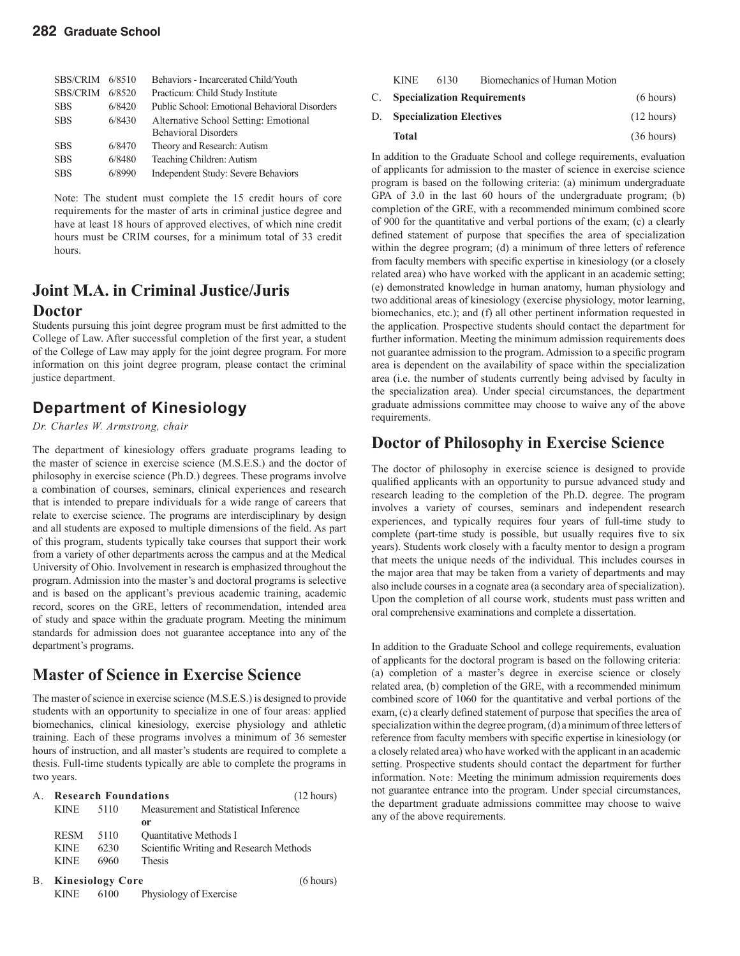#### **282 Graduate School**

| SBS/CRIM        | 6/8510 | Behaviors - Incarcerated Child/Youth          |
|-----------------|--------|-----------------------------------------------|
| <b>SBS/CRIM</b> | 6/8520 | Practicum: Child Study Institute              |
| <b>SBS</b>      | 6/8420 | Public School: Emotional Behavioral Disorders |
| <b>SBS</b>      | 6/8430 | Alternative School Setting: Emotional         |
|                 |        | <b>Behavioral Disorders</b>                   |
| <b>SBS</b>      | 6/8470 | Theory and Research: Autism                   |
| <b>SBS</b>      | 6/8480 | Teaching Children: Autism                     |
| <b>SBS</b>      | 6/8990 | Independent Study: Severe Behaviors           |

Note: The student must complete the 15 credit hours of core requirements for the master of arts in criminal justice degree and have at least 18 hours of approved electives, of which nine credit hours must be CRIM courses, for a minimum total of 33 credit hours.

### **Joint M.A. in Criminal Justice/Juris Doctor**

Students pursuing this joint degree program must be first admitted to the College of Law. After successful completion of the first year, a student of the College of Law may apply for the joint degree program. For more information on this joint degree program, please contact the criminal justice department.

### **Department of Kinesiology**

*Dr. Charles W. Armstrong, chair*

The department of kinesiology offers graduate programs leading to the master of science in exercise science (M.S.E.S.) and the doctor of philosophy in exercise science (Ph.D.) degrees. These programs involve a combination of courses, seminars, clinical experiences and research that is intended to prepare individuals for a wide range of careers that relate to exercise science. The programs are interdisciplinary by design and all students are exposed to multiple dimensions of the field. As part of this program, students typically take courses that support their work from a variety of other departments across the campus and at the Medical University of Ohio. Involvement in research is emphasized throughout the program. Admission into the master's and doctoral programs is selective and is based on the applicant's previous academic training, academic record, scores on the GRE, letters of recommendation, intended area of study and space within the graduate program. Meeting the minimum standards for admission does not guarantee acceptance into any of the department's programs.

### **Master of Science in Exercise Science**

The master of science in exercise science (M.S.E.S.) is designed to provide students with an opportunity to specialize in one of four areas: applied biomechanics, clinical kinesiology, exercise physiology and athletic training. Each of these programs involves a minimum of 36 semester hours of instruction, and all master's students are required to complete a thesis. Full-time students typically are able to complete the programs in two years.

| А. | <b>Research Foundations</b> |           |                                         | $(12 \text{ hours})$ |
|----|-----------------------------|-----------|-----------------------------------------|----------------------|
|    | <b>KINE</b>                 | 5110      | Measurement and Statistical Inference   |                      |
|    |                             |           | 0r                                      |                      |
|    | <b>RESM</b>                 | 5110      | <b>Ouantitative Methods I</b>           |                      |
|    | <b>KINE</b>                 | 6230      | Scientific Writing and Research Methods |                      |
|    | <b>KINE</b>                 | 6960      | <b>Thesis</b>                           |                      |
| В. | <b>Kinesiology Core</b>     | (6 hours) |                                         |                      |
|    | <b>KINE</b>                 | 6100      | Physiology of Exercise                  |                      |

| <b>KINE</b>                        | 6130 | Biomechanics of Human Motion                                           |                      |
|------------------------------------|------|------------------------------------------------------------------------|----------------------|
|                                    |      | C. Specialization Requirements                                         | (6 hours)            |
| <b>D.</b> Specialization Electives |      | $(12 \text{ hours})$                                                   |                      |
| <b>Total</b>                       |      |                                                                        | $(36 \text{ hours})$ |
|                                    |      | In addition to the Graduate School and college requirements evaluation |                      |

In addition to the Graduate School and college requirements, evaluation of applicants for admission to the master of science in exercise science program is based on the following criteria: (a) minimum undergraduate GPA of 3.0 in the last 60 hours of the undergraduate program; (b) completion of the GRE, with a recommended minimum combined score of 900 for the quantitative and verbal portions of the exam; (c) a clearly defined statement of purpose that specifies the area of specialization within the degree program; (d) a minimum of three letters of reference from faculty members with specific expertise in kinesiology (or a closely related area) who have worked with the applicant in an academic setting; (e) demonstrated knowledge in human anatomy, human physiology and two additional areas of kinesiology (exercise physiology, motor learning, biomechanics, etc.); and (f) all other pertinent information requested in the application. Prospective students should contact the department for further information. Meeting the minimum admission requirements does not guarantee admission to the program. Admission to a specific program area is dependent on the availability of space within the specialization area (i.e. the number of students currently being advised by faculty in the specialization area). Under special circumstances, the department graduate admissions committee may choose to waive any of the above requirements.

### **Doctor of Philosophy in Exercise Science**

The doctor of philosophy in exercise science is designed to provide qualified applicants with an opportunity to pursue advanced study and research leading to the completion of the Ph.D. degree. The program involves a variety of courses, seminars and independent research experiences, and typically requires four years of full-time study to complete (part-time study is possible, but usually requires five to six years). Students work closely with a faculty mentor to design a program that meets the unique needs of the individual. This includes courses in the major area that may be taken from a variety of departments and may also include courses in a cognate area (a secondary area of specialization). Upon the completion of all course work, students must pass written and oral comprehensive examinations and complete a dissertation.

In addition to the Graduate School and college requirements, evaluation of applicants for the doctoral program is based on the following criteria: (a) completion of a master's degree in exercise science or closely related area, (b) completion of the GRE, with a recommended minimum combined score of 1060 for the quantitative and verbal portions of the exam, (c) a clearly defined statement of purpose that specifies the area of specialization within the degree program, (d) a minimum of three letters of reference from faculty members with specific expertise in kinesiology (or a closely related area) who have worked with the applicant in an academic setting. Prospective students should contact the department for further information. Note: Meeting the minimum admission requirements does not guarantee entrance into the program. Under special circumstances, the department graduate admissions committee may choose to waive any of the above requirements.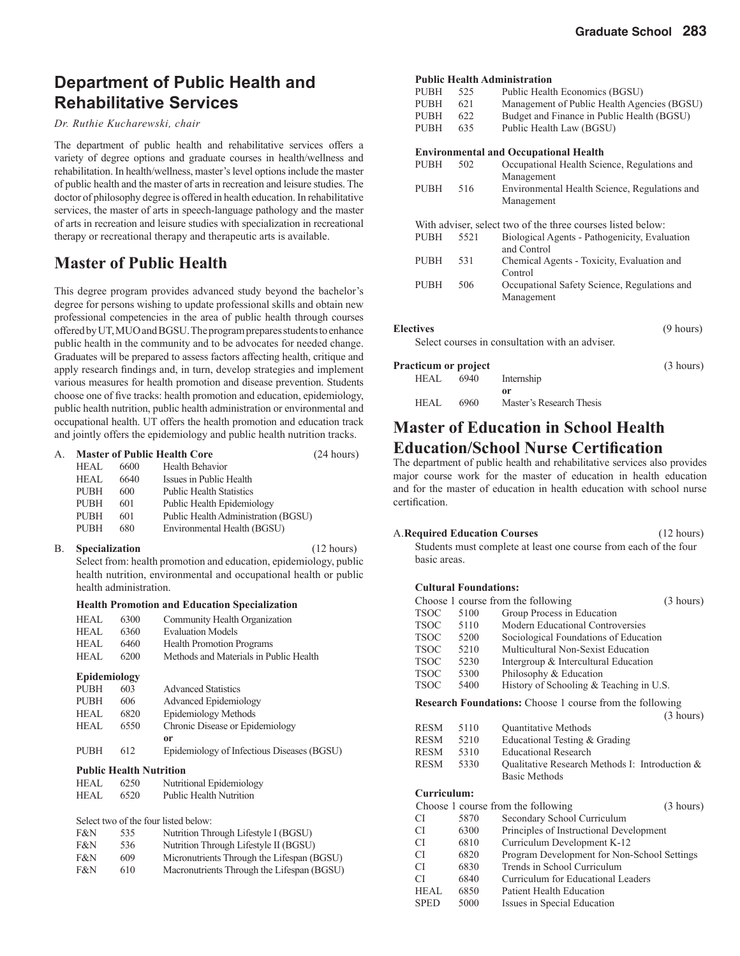### **Department of Public Health and Rehabilitative Services**

#### *Dr. Ruthie Kucharewski, chair*

The department of public health and rehabilitative services offers a variety of degree options and graduate courses in health/wellness and rehabilitation. In health/wellness, master's level options include the master of public health and the master of arts in recreation and leisure studies. The doctor of philosophy degree is offered in health education. In rehabilitative services, the master of arts in speech-language pathology and the master of arts in recreation and leisure studies with specialization in recreational therapy or recreational therapy and therapeutic arts is available.

### **Master of Public Health**

This degree program provides advanced study beyond the bachelor's degree for persons wishing to update professional skills and obtain new professional competencies in the area of public health through courses offered by UT, MUO and BGSU. The program prepares students to enhance public health in the community and to be advocates for needed change. Graduates will be prepared to assess factors affecting health, critique and apply research findings and, in turn, develop strategies and implement various measures for health promotion and disease prevention. Students choose one of five tracks: health promotion and education, epidemiology, public health nutrition, public health administration or environmental and occupational health. UT offers the health promotion and education track and jointly offers the epidemiology and public health nutrition tracks.

| А. | <b>Master of Public Health Core</b> |      |                                     | (24 hours) |  |
|----|-------------------------------------|------|-------------------------------------|------------|--|
|    | HEAL                                | 6600 | Health Behavior                     |            |  |
|    | HEAL                                | 6640 | Issues in Public Health             |            |  |
|    | <b>PUBH</b>                         | 600  | <b>Public Health Statistics</b>     |            |  |
|    | <b>PUBH</b>                         | 601  | Public Health Epidemiology          |            |  |
|    | <b>PUBH</b>                         | 601  | Public Health Administration (BGSU) |            |  |
|    | <b>PUBH</b>                         | 680  | Environmental Health (BGSU)         |            |  |
|    |                                     |      |                                     |            |  |

#### B. **Specialization** (12 hours)

Select from: health promotion and education, epidemiology, public health nutrition, environmental and occupational health or public health administration.

#### **Health Promotion and Education Specialization**

| 6300                           | Community Health Organization              |  |  |  |
|--------------------------------|--------------------------------------------|--|--|--|
| 6360                           | <b>Evaluation Models</b>                   |  |  |  |
| 6460                           | <b>Health Promotion Programs</b>           |  |  |  |
| 6200                           | Methods and Materials in Public Health     |  |  |  |
| Epidemiology                   |                                            |  |  |  |
| 603                            | <b>Advanced Statistics</b>                 |  |  |  |
| 606                            | <b>Advanced Epidemiology</b>               |  |  |  |
| 6820                           | Epidemiology Methods                       |  |  |  |
| 6550                           | Chronic Disease or Epidemiology            |  |  |  |
|                                | or                                         |  |  |  |
| 612                            | Epidemiology of Infectious Diseases (BGSU) |  |  |  |
| <b>Public Health Nutrition</b> |                                            |  |  |  |
| 6250                           | Nutritional Epidemiology                   |  |  |  |
| 6520                           | <b>Public Health Nutrition</b>             |  |  |  |
|                                |                                            |  |  |  |

Select two of the four listed below:

| F&N | 535 | Nutrition Through Lifestyle I (BGSU)       |
|-----|-----|--------------------------------------------|
| F&N | 536 | Nutrition Through Lifestyle II (BGSU)      |
| F&N | 609 | Micronutrients Through the Lifespan (BGSU) |
| F&N | 610 | Macronutrients Through the Lifespan (BGSU) |
|     |     |                                            |

#### **Public Health Administration**

|             |      | uvny nyanin'i wananivu auvn                                 |
|-------------|------|-------------------------------------------------------------|
| <b>PUBH</b> | 525  | Public Health Economics (BGSU)                              |
| PUBH        | 621  | Management of Public Health Agencies (BGSU)                 |
| PUBH        | 622  | Budget and Finance in Public Health (BGSU)                  |
| PUBH        | 635  | Public Health Law (BGSU)                                    |
|             |      |                                                             |
|             |      | <b>Environmental and Occupational Health</b>                |
| PUBH        | 502  | Occupational Health Science, Regulations and                |
|             |      | Management                                                  |
| <b>PUBH</b> | 516  | Environmental Health Science, Regulations and               |
|             |      | Management                                                  |
|             |      |                                                             |
|             |      | With adviser, select two of the three courses listed below: |
| PUBH        | 5521 | Biological Agents - Pathogenicity, Evaluation               |
|             |      | and Control                                                 |
| PUBH        | 531  | Chemical Agents - Toxicity, Evaluation and                  |
|             |      | Control                                                     |
| PUBH        | 506  | Occupational Safety Science, Regulations and                |
|             |      | Management                                                  |
|             |      |                                                             |
|             |      |                                                             |

#### **Electives** (9 hours)

Select courses in consultation with an adviser.

| <b>Practicum or project</b> |      |                          | (3 hours) |
|-----------------------------|------|--------------------------|-----------|
| HEAL.                       | 6940 | Internship               |           |
|                             |      | or                       |           |
| HEAL                        | 6960 | Master's Research Thesis |           |

### **Master of Education in School Health Education/School Nurse Certification**

The department of public health and rehabilitative services also provides major course work for the master of education in health education and for the master of education in health education with school nurse certification.

| <b>A. Required Education Courses</b>                             | $(12 \text{ hours})$ |
|------------------------------------------------------------------|----------------------|
| Students must complete at least one course from each of the four |                      |
| basic areas.                                                     |                      |
|                                                                  |                      |

#### **Cultural Foundations:**

|             | (3 hours)<br>Choose 1 course from the following |                                                          |           |  |  |
|-------------|-------------------------------------------------|----------------------------------------------------------|-----------|--|--|
| <b>TSOC</b> | 5100                                            | Group Process in Education                               |           |  |  |
| <b>TSOC</b> | 5110                                            | Modern Educational Controversies                         |           |  |  |
| <b>TSOC</b> | 5200                                            | Sociological Foundations of Education                    |           |  |  |
| <b>TSOC</b> | 5210                                            | Multicultural Non-Sexist Education                       |           |  |  |
| <b>TSOC</b> | 5230                                            | Intergroup & Intercultural Education                     |           |  |  |
| <b>TSOC</b> | 5300                                            | Philosophy & Education                                   |           |  |  |
| <b>TSOC</b> | 5400                                            | History of Schooling & Teaching in U.S.                  |           |  |  |
|             |                                                 | Research Foundations: Choose 1 course from the following |           |  |  |
|             |                                                 |                                                          | (3 hours) |  |  |
| <b>RESM</b> | 5110                                            | Quantitative Methods                                     |           |  |  |
| <b>RESM</b> | 5210                                            | Educational Testing & Grading                            |           |  |  |
| RESM        | 5310                                            | <b>Educational Research</b>                              |           |  |  |
| <b>RESM</b> | 5330                                            | Qualitative Research Methods I: Introduction &           |           |  |  |
|             |                                                 | <b>Basic Methods</b>                                     |           |  |  |
| Curriculum: |                                                 |                                                          |           |  |  |
|             |                                                 | Choose 1 course from the following                       | (3 hours) |  |  |
| CI.         | 5870                                            | Secondary School Curriculum                              |           |  |  |
| <b>CI</b>   | 6300                                            | Principles of Instructional Development                  |           |  |  |
| CI.         | 6810                                            | Curriculum Development K-12                              |           |  |  |
| <b>CI</b>   | 6820                                            | Program Development for Non-School Settings              |           |  |  |
| CI.         | 6830                                            | Trends in School Curriculum                              |           |  |  |
| CI.         | 6840                                            | Curriculum for Educational Leaders                       |           |  |  |
| HEAL.       | 6850                                            | Patient Health Education                                 |           |  |  |
| <b>SPED</b> | 5000                                            | Issues in Special Education                              |           |  |  |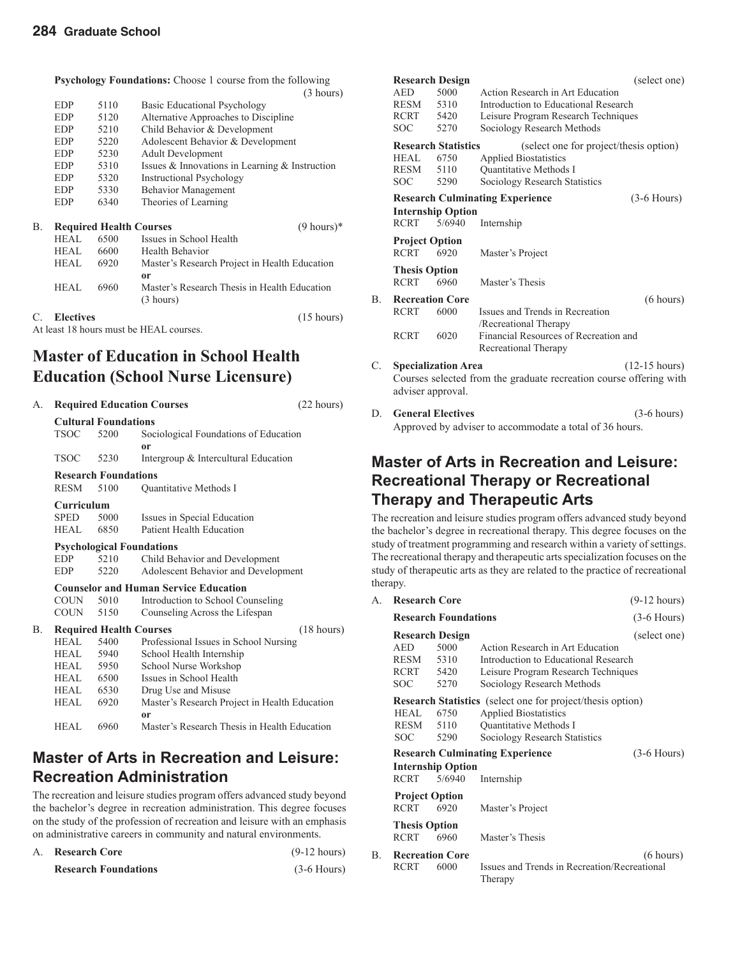**Psychology Foundations:** Choose 1 course from the following

|    |            |      | <b>1 SYCHOLOGY F OUTLOGIOUS.</b> CHOOSE T COULSE HOTH THE TOHOWING |
|----|------------|------|--------------------------------------------------------------------|
|    |            |      | (3 hours)                                                          |
|    | <b>EDP</b> | 5110 | <b>Basic Educational Psychology</b>                                |
|    | <b>EDP</b> | 5120 | Alternative Approaches to Discipline                               |
|    | <b>EDP</b> | 5210 | Child Behavior & Development                                       |
|    | <b>EDP</b> | 5220 | Adolescent Behavior & Development                                  |
|    | <b>EDP</b> | 5230 | <b>Adult Development</b>                                           |
|    | <b>EDP</b> | 5310 | Issues & Innovations in Learning $&$ Instruction                   |
|    | <b>EDP</b> | 5320 | <b>Instructional Psychology</b>                                    |
|    | <b>EDP</b> | 5330 | <b>Behavior Management</b>                                         |
|    | <b>EDP</b> | 6340 | Theories of Learning                                               |
| В. |            |      | $(9 \text{ hours})^*$<br><b>Required Health Courses</b>            |
|    | HEAL       | 6500 | Issues in School Health                                            |
|    | HEAL.      | 6600 | Health Behavior                                                    |
|    | HEAL       | 6920 | Master's Research Project in Health Education                      |
|    |            |      | 0r                                                                 |
|    | HEAL       | 6960 | Master's Research Thesis in Health Education                       |
|    |            |      | (3 hours)                                                          |

#### C. **Electives** (15 hours)

At least 18 hours must be HEAL courses.

### **Master of Education in School Health Education (School Nurse Licensure)**

| А. |                                |                                  | <b>Required Education Courses</b>             | (22 hours) |  |
|----|--------------------------------|----------------------------------|-----------------------------------------------|------------|--|
|    |                                | <b>Cultural Foundations</b>      |                                               |            |  |
|    | <b>TSOC</b>                    | 5200                             | Sociological Foundations of Education         |            |  |
|    |                                |                                  | or                                            |            |  |
|    | <b>TSOC</b>                    | 5230                             | Intergroup & Intercultural Education          |            |  |
|    |                                | <b>Research Foundations</b>      |                                               |            |  |
|    | RESM                           | 5100                             | Quantitative Methods I                        |            |  |
|    | Curriculum                     |                                  |                                               |            |  |
|    | <b>SPED</b>                    | 5000                             | Issues in Special Education                   |            |  |
|    | <b>HEAL</b>                    | 6850                             | Patient Health Education                      |            |  |
|    |                                | <b>Psychological Foundations</b> |                                               |            |  |
|    | <b>EDP</b>                     | 5210                             | Child Behavior and Development                |            |  |
|    | <b>EDP</b>                     | 5220                             | Adolescent Behavior and Development           |            |  |
|    |                                |                                  | <b>Counselor and Human Service Education</b>  |            |  |
|    | COUN                           | 5010                             | Introduction to School Counseling             |            |  |
|    | COUN                           | 5150                             | Counseling Across the Lifespan                |            |  |
| В. | <b>Required Health Courses</b> |                                  | $(18 \text{ hours})$                          |            |  |
|    | HEAL.                          | 5400                             | Professional Issues in School Nursing         |            |  |
|    | HEAL.                          | 5940                             | School Health Internship                      |            |  |
|    | HEAL                           | 5950                             | School Nurse Workshop                         |            |  |
|    | HEAL                           | 6500                             | Issues in School Health                       |            |  |
|    | HEAL                           | 6530                             | Drug Use and Misuse                           |            |  |
|    | HEAL                           | 6920                             | Master's Research Project in Health Education |            |  |
|    |                                |                                  | 0r                                            |            |  |
|    | <b>HEAL</b>                    | 6960                             | Master's Research Thesis in Health Education  |            |  |

### **Master of Arts in Recreation and Leisure: Recreation Administration**

The recreation and leisure studies program offers advanced study beyond the bachelor's degree in recreation administration. This degree focuses on the study of the profession of recreation and leisure with an emphasis on administrative careers in community and natural environments.

| А. | <b>Research Core</b>        | $(9-12 \text{ hours})$ |
|----|-----------------------------|------------------------|
|    | <b>Research Foundations</b> | $(3-6$ Hours)          |

| <b>Research Design</b>     |                        |                            |                                                                    | (select one)            |
|----------------------------|------------------------|----------------------------|--------------------------------------------------------------------|-------------------------|
|                            | <b>AED</b>             | 5000                       | Action Research in Art Education                                   |                         |
|                            | RESM                   | 5310                       | Introduction to Educational Research                               |                         |
|                            | RCRT 5420              |                            | Leisure Program Research Techniques                                |                         |
|                            | <b>SOC</b>             | 5270                       | Sociology Research Methods                                         |                         |
| <b>Research Statistics</b> |                        |                            | (select one for project/thesis option)                             |                         |
|                            | <b>HEAL</b>            | 6750                       | <b>Applied Biostatistics</b>                                       |                         |
|                            | RESM                   | 5110                       | Quantitative Methods I                                             |                         |
|                            | <b>SOC</b>             | 5290                       | Sociology Research Statistics                                      |                         |
|                            |                        |                            | <b>Research Culminating Experience</b>                             | $(3-6$ Hours)           |
|                            |                        | <b>Internship Option</b>   |                                                                    |                         |
|                            | <b>RCRT</b>            | 5/6940                     | Internship                                                         |                         |
|                            | <b>Project Option</b>  |                            |                                                                    |                         |
|                            | <b>RCRT</b>            | 6920                       | Master's Project                                                   |                         |
|                            | <b>Thesis Option</b>   |                            |                                                                    |                         |
|                            | <b>RCRT</b>            | 6960                       | Master's Thesis                                                    |                         |
| В.                         | <b>Recreation Core</b> |                            |                                                                    | (6 hours)               |
|                            | <b>RCRT</b>            | 6000                       | Issues and Trends in Recreation                                    |                         |
|                            |                        |                            | /Recreational Therapy                                              |                         |
|                            | <b>RCRT</b>            | 6020                       | Financial Resources of Recreation and                              |                         |
|                            |                        |                            | Recreational Therapy                                               |                         |
| C.                         |                        | <b>Specialization Area</b> |                                                                    | $(12-15 \text{ hours})$ |
|                            |                        |                            | Courses selected from the graduate recreation course offering with |                         |
|                            | adviser approval.      |                            |                                                                    |                         |
| D                          |                        | <b>General Electives</b>   |                                                                    | $(3-6 \text{ hours})$   |
|                            |                        |                            |                                                                    |                         |

D. **General Electives** (3-6 hours) Approved by adviser to accommodate a total of 36 hours.

### **Master of Arts in Recreation and Leisure: Recreational Therapy or Recreational Therapy and Therapeutic Arts**

The recreation and leisure studies program offers advanced study beyond the bachelor's degree in recreational therapy. This degree focuses on the study of treatment programming and research within a variety of settings. The recreational therapy and therapeutic arts specialization focuses on the study of therapeutic arts as they are related to the practice of recreational therapy.

| А. | <b>Research Core</b>                     |                                                        |                                                                                                                                                              | $(9-12 hours)$ |
|----|------------------------------------------|--------------------------------------------------------|--------------------------------------------------------------------------------------------------------------------------------------------------------------|----------------|
|    | <b>Research Foundations</b>              |                                                        | $(3-6$ Hours)                                                                                                                                                |                |
|    | AED<br>RESM<br><b>RCRT</b><br><b>SOC</b> | <b>Research Design</b><br>5000<br>5310<br>5420<br>5270 | Action Research in Art Education<br>Introduction to Educational Research<br>Leisure Program Research Techniques<br>Sociology Research Methods                | (select one)   |
|    | HEAL.<br>RESM<br><b>SOC</b>              | 6750<br>5110<br>5290                                   | <b>Research Statistics</b> (select one for project/thesis option)<br><b>Applied Biostatistics</b><br>Quantitative Methods I<br>Sociology Research Statistics |                |
|    | <b>RCRT</b>                              | <b>Internship Option</b><br>5/6940                     | <b>Research Culminating Experience</b><br>Internship                                                                                                         | $(3-6$ Hours)  |
|    | <b>Project Option</b><br><b>RCRT</b>     | 6920                                                   | Master's Project                                                                                                                                             |                |
|    | <b>Thesis Option</b><br><b>RCRT</b>      | 6960                                                   | Master's Thesis                                                                                                                                              |                |
| В. | <b>RCRT</b>                              | <b>Recreation Core</b><br>6000                         | Issues and Trends in Recreation/Recreational<br>Therapy                                                                                                      | (6 hours)      |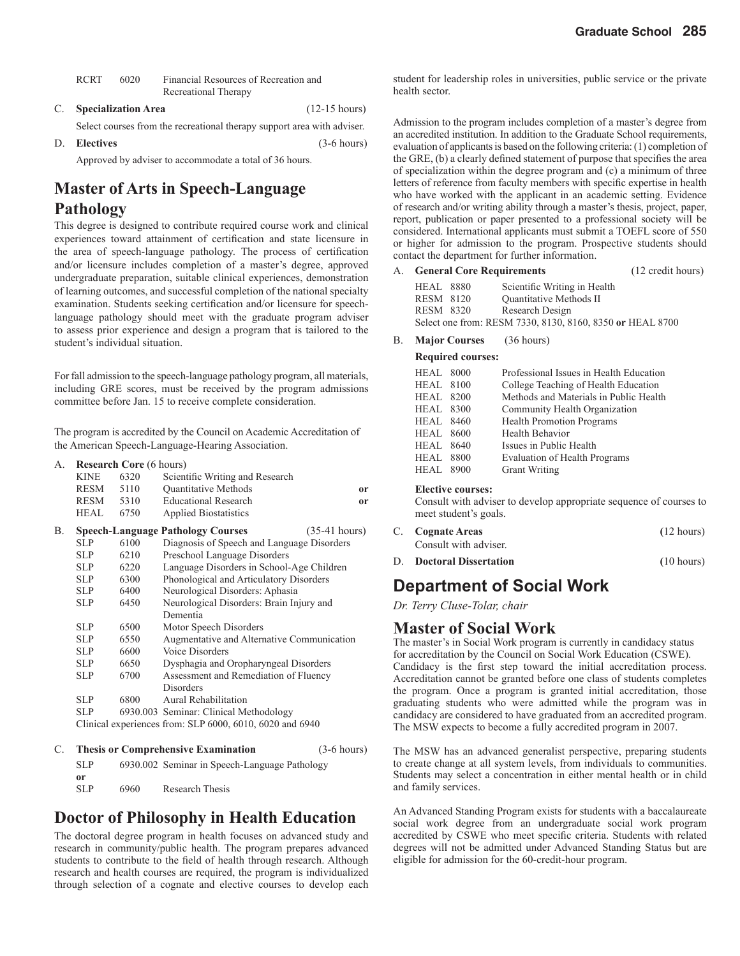| <b>RCRT</b> | 6020 | Financial Resources of Recreation and |
|-------------|------|---------------------------------------|
|             |      | Recreational Therapy                  |

C. **Specialization Area** (12-15 hours)

Select courses from the recreational therapy support area with adviser.

D. **Electives** (3-6 hours)

Approved by adviser to accommodate a total of 36 hours.

# **Master of Arts in Speech-Language**

#### **Pathology**

This degree is designed to contribute required course work and clinical experiences toward attainment of certification and state licensure in the area of speech-language pathology. The process of certification and/or licensure includes completion of a master's degree, approved undergraduate preparation, suitable clinical experiences, demonstration of learning outcomes, and successful completion of the national specialty examination. Students seeking certification and/or licensure for speechlanguage pathology should meet with the graduate program adviser to assess prior experience and design a program that is tailored to the student's individual situation.

For fall admission to the speech-language pathology program, all materials, including GRE scores, must be received by the program admissions committee before Jan. 15 to receive complete consideration.

The program is accredited by the Council on Academic Accreditation of the American Speech-Language-Hearing Association.

| А. | <b>Research Core</b> (6 hours) |      |                                                                     |    |
|----|--------------------------------|------|---------------------------------------------------------------------|----|
|    | <b>KINE</b>                    | 6320 | Scientific Writing and Research                                     |    |
|    | RESM                           | 5110 | <b>Ouantitative Methods</b>                                         | or |
|    | RESM                           | 5310 | <b>Educational Research</b>                                         | or |
|    | <b>HEAL</b>                    | 6750 | <b>Applied Biostatistics</b>                                        |    |
| В. |                                |      | <b>Speech-Language Pathology Courses</b><br>$(35-41$ hours)         |    |
|    | <b>SLP</b>                     | 6100 | Diagnosis of Speech and Language Disorders                          |    |
|    | <b>SLP</b>                     | 6210 | Preschool Language Disorders                                        |    |
|    | <b>SLP</b>                     | 6220 | Language Disorders in School-Age Children                           |    |
|    | <b>SLP</b>                     | 6300 | Phonological and Articulatory Disorders                             |    |
|    | <b>SLP</b>                     | 6400 | Neurological Disorders: Aphasia                                     |    |
|    | <b>SLP</b>                     | 6450 | Neurological Disorders: Brain Injury and                            |    |
|    |                                |      | Dementia                                                            |    |
|    | <b>SLP</b>                     | 6500 | Motor Speech Disorders                                              |    |
|    | <b>SLP</b>                     | 6550 | Augmentative and Alternative Communication                          |    |
|    | <b>SLP</b>                     | 6600 | Voice Disorders                                                     |    |
|    | <b>SLP</b>                     | 6650 | Dysphagia and Oropharyngeal Disorders                               |    |
|    | <b>SLP</b>                     | 6700 | Assessment and Remediation of Fluency                               |    |
|    |                                |      | <b>Disorders</b>                                                    |    |
|    | <b>SLP</b>                     | 6800 | Aural Rehabilitation                                                |    |
|    | <b>SLP</b>                     |      | 6930.003 Seminar: Clinical Methodology                              |    |
|    |                                |      | Clinical experiences from: SLP 6000, 6010, 6020 and 6940            |    |
| C  |                                |      | <b>Thesis or Comprehensive Examination</b><br>$(3-6 \text{ hours})$ |    |

| <b>SLP</b> |      | 6930.002 Seminar in Speech-Language Pathology |
|------------|------|-----------------------------------------------|
| 0r         |      |                                               |
| SLP        | 6960 | Research Thesis                               |

### **Doctor of Philosophy in Health Education**

The doctoral degree program in health focuses on advanced study and research in community/public health. The program prepares advanced students to contribute to the field of health through research. Although research and health courses are required, the program is individualized through selection of a cognate and elective courses to develop each

student for leadership roles in universities, public service or the private health sector.

Admission to the program includes completion of a master's degree from an accredited institution. In addition to the Graduate School requirements, evaluation of applicants is based on the following criteria: (1) completion of the GRE,  $(b)$  a clearly defined statement of purpose that specifies the area of specialization within the degree program and (c) a minimum of three letters of reference from faculty members with specific expertise in health who have worked with the applicant in an academic setting. Evidence of research and/or writing ability through a master's thesis, project, paper, report, publication or paper presented to a professional society will be considered. International applicants must submit a TOEFL score of 550 or higher for admission to the program. Prospective students should contact the department for further information.

#### A. **General Core Requirements** (12 credit hours)

| <b>HEAL</b> 8880 | Scientific Writing in Health                              |  |
|------------------|-----------------------------------------------------------|--|
| RESM 8120        | <b>Ouantitative Methods II</b>                            |  |
| <b>RESM 8320</b> | Research Design                                           |  |
|                  | Select one from: RESM 7330, 8130, 8160, 8350 or HEAL 8700 |  |

#### B. **Major Courses** (36 hours)

#### **Required courses:**

| HEAL 8000        | Professional Issues in Health Education |
|------------------|-----------------------------------------|
| <b>HEAL</b> 8100 | College Teaching of Health Education    |
| <b>HEAL</b> 8200 | Methods and Materials in Public Health  |
| <b>HEAL 8300</b> | Community Health Organization           |
| <b>HEAL</b> 8460 | <b>Health Promotion Programs</b>        |
| <b>HEAL</b> 8600 | Health Behavior                         |
| <b>HEAL</b> 8640 | Issues in Public Health                 |
| <b>HEAL</b> 8800 | <b>Evaluation of Health Programs</b>    |
| <b>HEAL 8900</b> | <b>Grant Writing</b>                    |
|                  |                                         |

#### **Elective courses:**

 Consult with adviser to develop appropriate sequence of courses to meet student's goals.

|    | C. Cognate Areas             | $(12 \text{ hours})$ |
|----|------------------------------|----------------------|
|    | Consult with adviser.        |                      |
| D. | <b>Doctoral Dissertation</b> | (10 hours)           |

### **Department of Social Work**

*Dr. Terry Cluse-Tolar, chair*

#### **Master of Social Work**

The master's in Social Work program is currently in candidacy status for accreditation by the Council on Social Work Education (CSWE). Candidacy is the first step toward the initial accreditation process. Accreditation cannot be granted before one class of students completes the program. Once a program is granted initial accreditation, those graduating students who were admitted while the program was in candidacy are considered to have graduated from an accredited program. The MSW expects to become a fully accredited program in 2007.

The MSW has an advanced generalist perspective, preparing students to create change at all system levels, from individuals to communities. Students may select a concentration in either mental health or in child and family services.

An Advanced Standing Program exists for students with a baccalaureate social work degree from an undergraduate social work program accredited by CSWE who meet specific criteria. Students with related degrees will not be admitted under Advanced Standing Status but are eligible for admission for the 60-credit-hour program.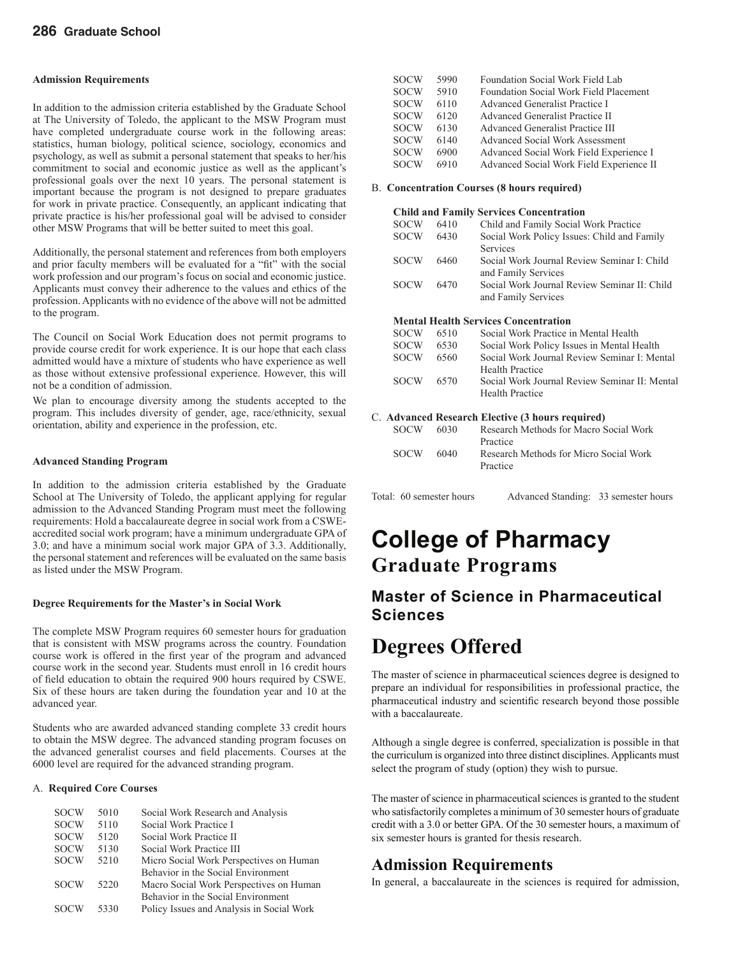#### **Admission Requirements**

In addition to the admission criteria established by the Graduate School at The University of Toledo, the applicant to the MSW Program must have completed undergraduate course work in the following areas: statistics, human biology, political science, sociology, economics and psychology, as well as submit a personal statement that speaks to her/his commitment to social and economic justice as well as the applicant's professional goals over the next 10 years. The personal statement is important because the program is not designed to prepare graduates for work in private practice. Consequently, an applicant indicating that private practice is his/her professional goal will be advised to consider other MSW Programs that will be better suited to meet this goal.

Additionally, the personal statement and references from both employers and prior faculty members will be evaluated for a "fit" with the social work profession and our program's focus on social and economic justice. Applicants must convey their adherence to the values and ethics of the profession. Applicants with no evidence of the above will not be admitted to the program.

The Council on Social Work Education does not permit programs to provide course credit for work experience. It is our hope that each class admitted would have a mixture of students who have experience as well as those without extensive professional experience. However, this will not be a condition of admission.

We plan to encourage diversity among the students accepted to the program. This includes diversity of gender, age, race/ethnicity, sexual orientation, ability and experience in the profession, etc.

#### **Advanced Standing Program**

In addition to the admission criteria established by the Graduate School at The University of Toledo, the applicant applying for regular admission to the Advanced Standing Program must meet the following requirements: Hold a baccalaureate degree in social work from a CSWEaccredited social work program; have a minimum undergraduate GPA of 3.0; and have a minimum social work major GPA of 3.3. Additionally, the personal statement and references will be evaluated on the same basis as listed under the MSW Program.

#### **Degree Requirements for the Master's in Social Work**

The complete MSW Program requires 60 semester hours for graduation that is consistent with MSW programs across the country. Foundation course work is offered in the first year of the program and advanced course work in the second year. Students must enroll in 16 credit hours of field education to obtain the required 900 hours required by CSWE. Six of these hours are taken during the foundation year and 10 at the advanced year.

Students who are awarded advanced standing complete 33 credit hours to obtain the MSW degree. The advanced standing program focuses on the advanced generalist courses and field placements. Courses at the 6000 level are required for the advanced stranding program.

#### A.**Required Core Courses**

| <b>SOCW</b> | 5010 | Social Work Research and Analysis         |
|-------------|------|-------------------------------------------|
| <b>SOCW</b> | 5110 | Social Work Practice I                    |
| <b>SOCW</b> | 5120 | Social Work Practice II                   |
| <b>SOCW</b> | 5130 | Social Work Practice III                  |
| <b>SOCW</b> | 5210 | Micro Social Work Perspectives on Human   |
|             |      | Behavior in the Social Environment        |
| <b>SOCW</b> | 5220 | Macro Social Work Perspectives on Human   |
|             |      | Behavior in the Social Environment        |
| <b>SOCW</b> | 5330 | Policy Issues and Analysis in Social Work |
|             |      |                                           |

| <b>SOCW</b> | 5990 | Foundation Social Work Field Lab         |
|-------------|------|------------------------------------------|
| <b>SOCW</b> | 5910 | Foundation Social Work Field Placement   |
| <b>SOCW</b> | 6110 | Advanced Generalist Practice I           |
| <b>SOCW</b> | 6120 | Advanced Generalist Practice II          |
| <b>SOCW</b> | 6130 | Advanced Generalist Practice III         |
| <b>SOCW</b> | 6140 | <b>Advanced Social Work Assessment</b>   |
| <b>SOCW</b> | 6900 | Advanced Social Work Field Experience I  |
| <b>SOCW</b> | 6910 | Advanced Social Work Field Experience II |

#### B. **Concentration Courses (8 hours required)**

#### **Child and Family Services Concentration**

| <b>SOCW</b> | 6410 | Child and Family Social Work Practice        |
|-------------|------|----------------------------------------------|
| <b>SOCW</b> | 6430 | Social Work Policy Issues: Child and Family  |
|             |      | Services                                     |
| <b>SOCW</b> | 6460 | Social Work Journal Review Seminar I: Child  |
|             |      | and Family Services                          |
| <b>SOCW</b> | 6470 | Social Work Journal Review Seminar II: Child |
|             |      | and Family Services                          |
|             |      |                                              |

#### **Mental Health Services Concentration**

| <b>SOCW</b> | 6510 | Social Work Practice in Mental Health         |
|-------------|------|-----------------------------------------------|
| <b>SOCW</b> | 6530 | Social Work Policy Issues in Mental Health    |
| <b>SOCW</b> | 6560 | Social Work Journal Review Seminar I: Mental  |
|             |      | <b>Health Practice</b>                        |
| <b>SOCW</b> | 6570 | Social Work Journal Review Seminar II: Mental |
|             |      | <b>Health Practice</b>                        |
|             |      |                                               |

#### C. **Advanced Research Elective (3 hours required)**

| <b>SOCW</b> | 6030 | Research Methods for Macro Social Work             |
|-------------|------|----------------------------------------------------|
|             |      | Practice                                           |
| <b>SOCW</b> | 6040 | Research Methods for Micro Social Work<br>Practice |
|             |      |                                                    |

Total: 60 semester hours Advanced Standing: 33 semester hours

# **College of Pharmacy Graduate Programs**

### **Master of Science in Pharmaceutical Sciences**

### **Degrees Offered**

The master of science in pharmaceutical sciences degree is designed to prepare an individual for responsibilities in professional practice, the pharmaceutical industry and scientific research beyond those possible with a baccalaureate.

Although a single degree is conferred, specialization is possible in that the curriculum is organized into three distinct disciplines. Applicants must select the program of study (option) they wish to pursue.

The master of science in pharmaceutical sciences is granted to the student who satisfactorily completes a minimum of 30 semester hours of graduate credit with a 3.0 or better GPA. Of the 30 semester hours, a maximum of six semester hours is granted for thesis research.

#### **Admission Requirements**

In general, a baccalaureate in the sciences is required for admission,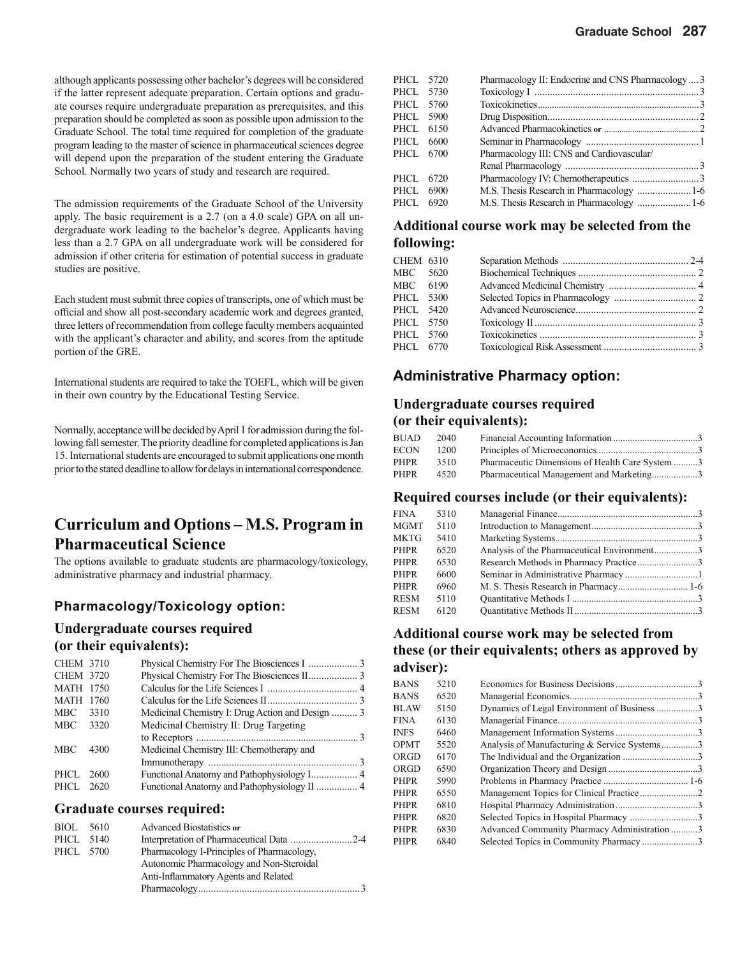although applicants possessing other bachelor's degrees will be considered if the latter represent adequate preparation. Certain options and graduate courses require undergraduate preparation as prerequisites, and this preparation should be completed as soon as possible upon admission to the Graduate School. The total time required for completion of the graduate program leading to the master of science in pharmaceutical sciences degree will depend upon the preparation of the student entering the Graduate School. Normally two years of study and research are required.

The admission requirements of the Graduate School of the University apply. The basic requirement is a 2.7 (on a 4.0 scale) GPA on all undergraduate work leading to the bachelor's degree. Applicants having less than a 2.7 GPA on all undergraduate work will be considered for admission if other criteria for estimation of potential success in graduate studies are positive.

Each student must submit three copies of transcripts, one of which must be official and show all post-secondary academic work and degrees granted, three letters of recommendation from college faculty members acquainted with the applicant's character and ability, and scores from the aptitude portion of the GRE.

International students are required to take the TOEFL, which will be given in their own country by the Educational Testing Service.

Normally, acceptance will be decided by April 1 for admission during the following fall semester. The priority deadline for completed applications is Jan 15. International students are encouraged to submit applications one month prior to the stated deadline to allow for delays in international correspondence.

### **Curriculum and Options – M.S. Program in Pharmaceutical Science**

The options available to graduate students are pharmacology/toxicology, administrative pharmacy and industrial pharmacy.

#### **Pharmacology/Toxicology option:**

#### **Undergraduate courses required (or their equivalents):**

| <b>CHEM 3710</b> |      |                                                  |  |
|------------------|------|--------------------------------------------------|--|
| <b>CHEM 3720</b> |      |                                                  |  |
| <b>MATH 1750</b> |      |                                                  |  |
| <b>MATH 1760</b> |      |                                                  |  |
| MBC              | 3310 | Medicinal Chemistry I: Drug Action and Design  3 |  |
| <b>MBC</b>       | 3320 | Medicinal Chemistry II: Drug Targeting           |  |
|                  |      |                                                  |  |
| <b>MBC</b>       | 4300 | Medicinal Chemistry III: Chemotherapy and        |  |
|                  |      |                                                  |  |
| PHCL.            | 2600 |                                                  |  |
| PHCL.            | 2620 |                                                  |  |
|                  |      |                                                  |  |

#### **Graduate courses required:**

| BIOL      | 5610 | <b>Advanced Biostatistics or</b>           |
|-----------|------|--------------------------------------------|
| PHCL 5140 |      |                                            |
| PHCL 5700 |      | Pharmacology I-Principles of Pharmacology. |
|           |      | Autonomic Pharmacology and Non-Steroidal   |
|           |      | Anti-Inflammatory Agents and Related       |
|           |      |                                            |

| PHCL 5720 | Pharmacology II: Endocrine and CNS Pharmacology  3 |  |
|-----------|----------------------------------------------------|--|
| PHCL 5730 |                                                    |  |
| PHCL 5760 |                                                    |  |
| PHCL 5900 |                                                    |  |
| PHCL 6150 |                                                    |  |
| PHCL 6600 |                                                    |  |
| PHCL 6700 | Pharmacology III: CNS and Cardiovascular/          |  |
|           |                                                    |  |
| PHCL 6720 |                                                    |  |
| PHCL 6900 |                                                    |  |
| PHCL 6920 |                                                    |  |
|           |                                                    |  |

#### **Additional course work may be selected from the following:**

| CHEM 6310 |  |  |
|-----------|--|--|
| MBC 5620  |  |  |
| MBC 6190  |  |  |
| PHCL 5300 |  |  |
| PHCL 5420 |  |  |
| PHCL 5750 |  |  |
| PHCL 5760 |  |  |
| PHCL 6770 |  |  |
|           |  |  |

#### **Administrative Pharmacy option:**

#### **Undergraduate courses required (or their equivalents):**

| <b>BUAD</b> | 2040 |                                                 |  |
|-------------|------|-------------------------------------------------|--|
| ECON        | 1200 |                                                 |  |
| <b>PHPR</b> | 3510 | Pharmaceutic Dimensions of Health Care System 3 |  |
| <b>PHPR</b> | 4520 | Pharmaceutical Management and Marketing3        |  |

#### **Required courses include (or their equivalents):**

| FINA | 5310 |                                             |  |
|------|------|---------------------------------------------|--|
| MGMT | 5110 |                                             |  |
| MKTG | 5410 |                                             |  |
| PHPR | 6520 | Analysis of the Pharmaceutical Environment3 |  |
| PHPR | 6530 | Research Methods in Pharmacy Practice3      |  |
| PHPR | 6600 |                                             |  |
| PHPR | 6960 |                                             |  |
| RESM | 5110 |                                             |  |
| RESM | 6120 |                                             |  |
|      |      |                                             |  |

#### **Additional course work may be selected from these (or their equivalents; others as approved by adviser):**

| <b>BANS</b> | 5210 |                                              |  |
|-------------|------|----------------------------------------------|--|
| BANS        | 6520 |                                              |  |
| BLAW        | 5150 | Dynamics of Legal Environment of Business 3  |  |
| FINA        | 6130 |                                              |  |
| <b>INFS</b> | 6460 |                                              |  |
| <b>OPMT</b> | 5520 | Analysis of Manufacturing & Service Systems3 |  |
| ORGD        | 6170 |                                              |  |
| ORGD        | 6590 |                                              |  |
| <b>PHPR</b> | 5990 |                                              |  |
| PHPR        | 6550 |                                              |  |
| PHPR        | 6810 |                                              |  |
| PHPR        | 6820 | Selected Topics in Hospital Pharmacy 3       |  |
| PHPR        | 6830 | Advanced Community Pharmacy Administration 3 |  |
| PHPR        | 6840 | Selected Topics in Community Pharmacy 3      |  |
|             |      |                                              |  |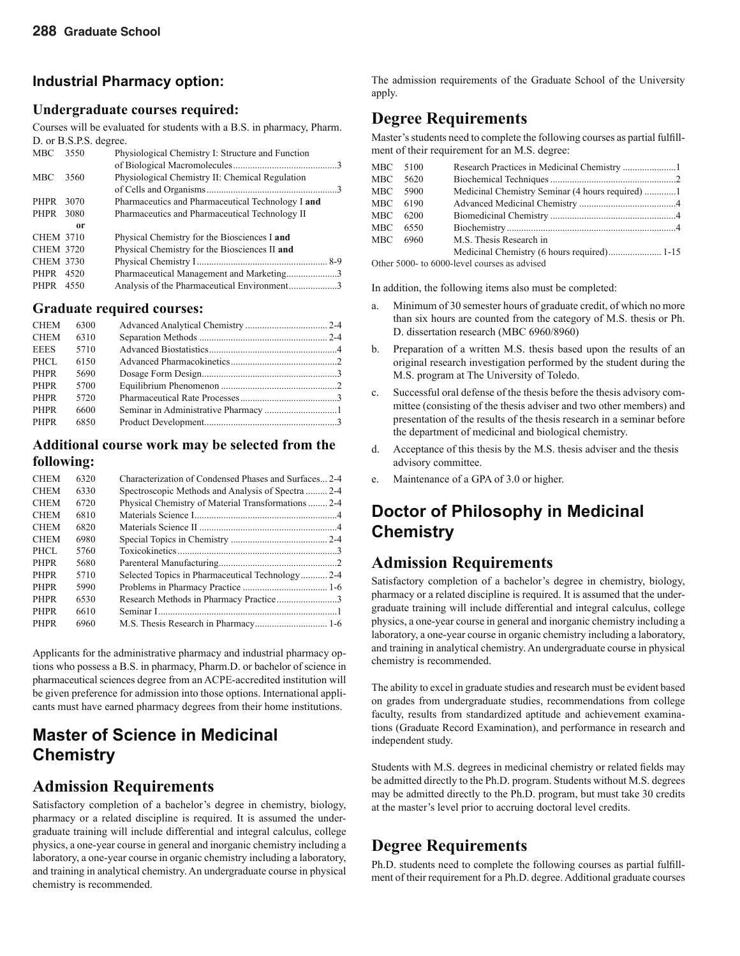### **Industrial Pharmacy option:**

### **Undergraduate courses required:**

Courses will be evaluated for students with a B.S. in pharmacy, Pharm. D. or B.S.P.S. degree.

| <b>MBC</b>       | 3550 | Physiological Chemistry I: Structure and Function |  |
|------------------|------|---------------------------------------------------|--|
|                  |      |                                                   |  |
| <b>MBC</b>       | 3560 | Physiological Chemistry II: Chemical Regulation   |  |
|                  |      |                                                   |  |
| PHPR             | 3070 | Pharmaceutics and Pharmaceutical Technology I and |  |
| PHPR 3080        |      | Pharmaceutics and Pharmaceutical Technology II    |  |
|                  | 0r   |                                                   |  |
| <b>CHEM 3710</b> |      | Physical Chemistry for the Biosciences I and      |  |
| <b>CHEM 3720</b> |      | Physical Chemistry for the Biosciences II and     |  |
| <b>CHEM 3730</b> |      |                                                   |  |
| PHPR 4520        |      | Pharmaceutical Management and Marketing3          |  |
| PHPR 4550        |      | Analysis of the Pharmaceutical Environment3       |  |
|                  |      |                                                   |  |

### **Graduate required courses:**

| <b>CHEM</b> | 6300 |  |
|-------------|------|--|
| <b>CHEM</b> | 6310 |  |
| <b>EEES</b> | 5710 |  |
| PHCL        | 6150 |  |
| <b>PHPR</b> | 5690 |  |
| <b>PHPR</b> | 5700 |  |
| <b>PHPR</b> | 5720 |  |
| <b>PHPR</b> | 6600 |  |
| <b>PHPR</b> | 6850 |  |
|             |      |  |

#### **Additional course work may be selected from the following:**

| <b>CHEM</b> | 6320 | Characterization of Condensed Phases and Surfaces 2-4 |  |
|-------------|------|-------------------------------------------------------|--|
| <b>CHEM</b> | 6330 | Spectroscopic Methods and Analysis of Spectra  2-4    |  |
| <b>CHEM</b> | 6720 | Physical Chemistry of Material Transformations  2-4   |  |
| <b>CHEM</b> | 6810 |                                                       |  |
| <b>CHEM</b> | 6820 |                                                       |  |
| <b>CHEM</b> | 6980 |                                                       |  |
| PHCL        | 5760 |                                                       |  |
| <b>PHPR</b> | 5680 |                                                       |  |
| <b>PHPR</b> | 5710 | Selected Topics in Pharmaceutical Technology2-4       |  |
| <b>PHPR</b> | 5990 |                                                       |  |
| <b>PHPR</b> | 6530 | Research Methods in Pharmacy Practice3                |  |
| <b>PHPR</b> | 6610 |                                                       |  |
| <b>PHPR</b> | 6960 |                                                       |  |
|             |      |                                                       |  |

Applicants for the administrative pharmacy and industrial pharmacy options who possess a B.S. in pharmacy, Pharm.D. or bachelor of science in pharmaceutical sciences degree from an ACPE-accredited institution will be given preference for admission into those options. International applicants must have earned pharmacy degrees from their home institutions.

### **Master of Science in Medicinal Chemistry**

### **Admission Requirements**

Satisfactory completion of a bachelor's degree in chemistry, biology, pharmacy or a related discipline is required. It is assumed the undergraduate training will include differential and integral calculus, college physics, a one-year course in general and inorganic chemistry including a laboratory, a one-year course in organic chemistry including a laboratory, and training in analytical chemistry. An undergraduate course in physical chemistry is recommended.

The admission requirements of the Graduate School of the University apply.

### **Degree Requirements**

Master's students need to complete the following courses as partial fulfillment of their requirement for an M.S. degree:

| MBC 5100 |                                              |  |
|----------|----------------------------------------------|--|
| MBC 5620 |                                              |  |
| MBC 5900 |                                              |  |
| MBC 6190 |                                              |  |
| MBC 6200 |                                              |  |
| MBC 6550 |                                              |  |
| MBC 6960 | M.S. Thesis Research in                      |  |
|          |                                              |  |
|          | Other 5000, to 6000 level courses as advised |  |

Other 5000- to 6000-level courses as advised

In addition, the following items also must be completed:

- a. Minimum of 30 semester hours of graduate credit, of which no more than six hours are counted from the category of M.S. thesis or Ph. D. dissertation research (MBC 6960/8960)
- b. Preparation of a written M.S. thesis based upon the results of an original research investigation performed by the student during the M.S. program at The University of Toledo.
- c. Successful oral defense of the thesis before the thesis advisory committee (consisting of the thesis adviser and two other members) and presentation of the results of the thesis research in a seminar before the department of medicinal and biological chemistry.
- d. Acceptance of this thesis by the M.S. thesis adviser and the thesis advisory committee.
- e. Maintenance of a GPA of 3.0 or higher.

### **Doctor of Philosophy in Medicinal Chemistry**

### **Admission Requirements**

Satisfactory completion of a bachelor's degree in chemistry, biology, pharmacy or a related discipline is required. It is assumed that the undergraduate training will include differential and integral calculus, college physics, a one-year course in general and inorganic chemistry including a laboratory, a one-year course in organic chemistry including a laboratory, and training in analytical chemistry. An undergraduate course in physical chemistry is recommended.

The ability to excel in graduate studies and research must be evident based on grades from undergraduate studies, recommendations from college faculty, results from standardized aptitude and achievement examinations (Graduate Record Examination), and performance in research and independent study.

Students with M.S. degrees in medicinal chemistry or related fields may be admitted directly to the Ph.D. program. Students without M.S. degrees may be admitted directly to the Ph.D. program, but must take 30 credits at the master's level prior to accruing doctoral level credits.

### **Degree Requirements**

Ph.D. students need to complete the following courses as partial fulfillment of their requirement for a Ph.D. degree. Additional graduate courses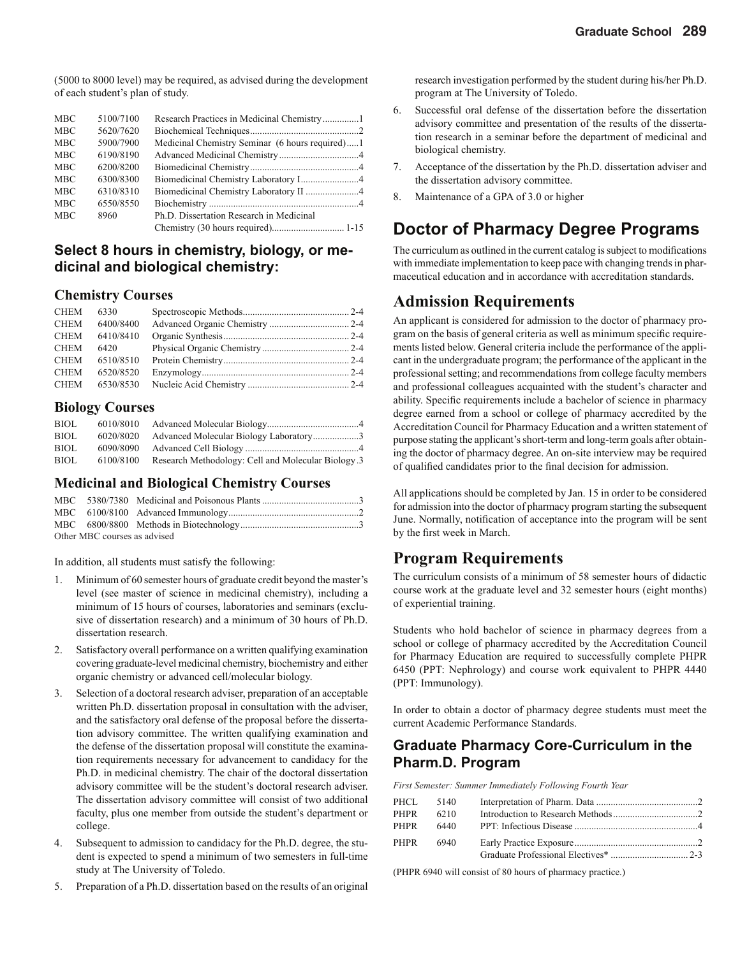(5000 to 8000 level) may be required, as advised during the development of each student's plan of study.

| <b>MBC</b> | 5100/7100 |                                                 |  |
|------------|-----------|-------------------------------------------------|--|
| <b>MBC</b> | 5620/7620 |                                                 |  |
| <b>MBC</b> | 5900/7900 | Medicinal Chemistry Seminar (6 hours required)1 |  |
| <b>MBC</b> | 6190/8190 |                                                 |  |
| <b>MBC</b> | 6200/8200 |                                                 |  |
| <b>MBC</b> | 6300/8300 |                                                 |  |
| <b>MBC</b> | 6310/8310 |                                                 |  |
| <b>MBC</b> | 6550/8550 |                                                 |  |
| <b>MBC</b> | 8960      | Ph.D. Dissertation Research in Medicinal        |  |
|            |           |                                                 |  |

#### **Select 8 hours in chemistry, biology, or medicinal and biological chemistry:**

#### **Chemistry Courses**

| <b>CHEM</b><br>6330 |  |
|---------------------|--|
| 6400/8400<br>CHEM   |  |
| 6410/8410<br>CHEM   |  |
| CHEM<br>6420        |  |
| 6510/8510<br>CHEM   |  |
| CHEM<br>6520/8520   |  |
| 6530/8530<br>CHEM   |  |

#### **Biology Courses**

| BIOL        | 6010/8010 |                                                    |  |
|-------------|-----------|----------------------------------------------------|--|
| <b>BIOL</b> | 6020/8020 | Advanced Molecular Biology Laboratory3             |  |
| <b>BIOL</b> | 6090/8090 |                                                    |  |
| BIOL        | 6100/8100 | Research Methodology: Cell and Molecular Biology.3 |  |

#### **Medicinal and Biological Chemistry Courses**

| Other MBC courses as advised |  |  |  |  |  |
|------------------------------|--|--|--|--|--|

In addition, all students must satisfy the following:

- 1. Minimum of 60 semester hours of graduate credit beyond the master's level (see master of science in medicinal chemistry), including a minimum of 15 hours of courses, laboratories and seminars (exclusive of dissertation research) and a minimum of 30 hours of Ph.D. dissertation research.
- 2. Satisfactory overall performance on a written qualifying examination covering graduate-level medicinal chemistry, biochemistry and either organic chemistry or advanced cell/molecular biology.
- 3. Selection of a doctoral research adviser, preparation of an acceptable written Ph.D. dissertation proposal in consultation with the adviser, and the satisfactory oral defense of the proposal before the dissertation advisory committee. The written qualifying examination and the defense of the dissertation proposal will constitute the examination requirements necessary for advancement to candidacy for the Ph.D. in medicinal chemistry. The chair of the doctoral dissertation advisory committee will be the student's doctoral research adviser. The dissertation advisory committee will consist of two additional faculty, plus one member from outside the student's department or college.
- 4. Subsequent to admission to candidacy for the Ph.D. degree, the student is expected to spend a minimum of two semesters in full-time study at The University of Toledo.
- 5. Preparation of a Ph.D. dissertation based on the results of an original

research investigation performed by the student during his/her Ph.D. program at The University of Toledo.

- 6. Successful oral defense of the dissertation before the dissertation advisory committee and presentation of the results of the dissertation research in a seminar before the department of medicinal and biological chemistry.
- 7. Acceptance of the dissertation by the Ph.D. dissertation adviser and the dissertation advisory committee.
- 8. Maintenance of a GPA of 3.0 or higher

### **Doctor of Pharmacy Degree Programs**

The curriculum as outlined in the current catalog is subject to modifications with immediate implementation to keep pace with changing trends in pharmaceutical education and in accordance with accreditation standards.

#### **Admission Requirements**

An applicant is considered for admission to the doctor of pharmacy program on the basis of general criteria as well as minimum specific requirements listed below. General criteria include the performance of the applicant in the undergraduate program; the performance of the applicant in the professional setting; and recommendations from college faculty members and professional colleagues acquainted with the student's character and ability. Specific requirements include a bachelor of science in pharmacy degree earned from a school or college of pharmacy accredited by the Accreditation Council for Pharmacy Education and a written statement of purpose stating the applicant's short-term and long-term goals after obtaining the doctor of pharmacy degree. An on-site interview may be required of qualified candidates prior to the final decision for admission.

All applications should be completed by Jan. 15 in order to be considered for admission into the doctor of pharmacy program starting the subsequent June. Normally, notification of acceptance into the program will be sent by the first week in March.

#### **Program Requirements**

The curriculum consists of a minimum of 58 semester hours of didactic course work at the graduate level and 32 semester hours (eight months) of experiential training.

Students who hold bachelor of science in pharmacy degrees from a school or college of pharmacy accredited by the Accreditation Council for Pharmacy Education are required to successfully complete PHPR 6450 (PPT: Nephrology) and course work equivalent to PHPR 4440 (PPT: Immunology).

In order to obtain a doctor of pharmacy degree students must meet the current Academic Performance Standards.

#### **Graduate Pharmacy Core-Curriculum in the Pharm.D. Program**

*First Semester: Summer Immediately Following Fourth Year*

|      | PHCL 5140 |  |
|------|-----------|--|
| PHPR | 6210      |  |
| PHPR | 6440      |  |
|      | PHPR 6940 |  |
|      |           |  |

(PHPR 6940 will consist of 80 hours of pharmacy practice.)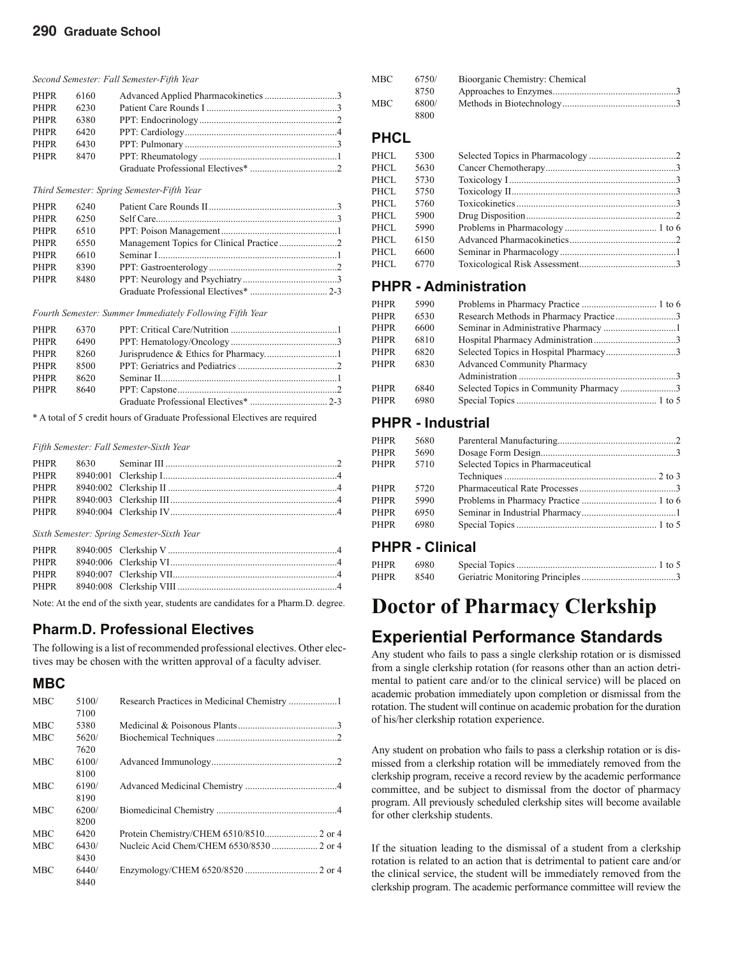#### *Second Semester: Fall Semester-Fifth Year*

| PHPR        | 6160 |  |
|-------------|------|--|
| <b>PHPR</b> | 6230 |  |
| <b>PHPR</b> | 6380 |  |
| <b>PHPR</b> | 6420 |  |
| <b>PHPR</b> | 6430 |  |
| <b>PHPR</b> | 8470 |  |
|             |      |  |

#### *Third Semester: Spring Semester-Fifth Year*

| <b>PHPR</b> | 6240 |  |
|-------------|------|--|
| <b>PHPR</b> | 6250 |  |
| <b>PHPR</b> | 6510 |  |
| <b>PHPR</b> | 6550 |  |
| <b>PHPR</b> | 6610 |  |
| <b>PHPR</b> | 8390 |  |
| PHPR        | 8480 |  |
|             |      |  |

*Fourth Semester: Summer Immediately Following Fifth Year*

| PHPR        | 6370 |  |
|-------------|------|--|
| <b>PHPR</b> | 6490 |  |
| <b>PHPR</b> | 8260 |  |
| <b>PHPR</b> | 8500 |  |
| PHPR        | 8620 |  |
| PHPR        | 8640 |  |
|             |      |  |
|             |      |  |

\* A total of 5 credit hours of Graduate Professional Electives are required

#### *Fifth Semester: Fall Semester-Sixth Year*

| PHPR |  |
|------|--|
|      |  |
|      |  |
|      |  |
|      |  |
|      |  |

*Sixth Semester: Spring Semester-Sixth Year*

Note: At the end of the sixth year, students are candidates for a Pharm.D. degree.

#### **Pharm.D. Professional Electives**

The following is a list of recommended professional electives. Other electives may be chosen with the written approval of a faculty adviser.

#### **MBC**

| <b>MBC</b> | 5100/ |  |
|------------|-------|--|
|            | 7100  |  |
| <b>MBC</b> | 5380  |  |
| <b>MBC</b> | 5620/ |  |
|            | 7620  |  |
| <b>MBC</b> | 6100/ |  |
|            | 8100  |  |
| <b>MBC</b> | 6190/ |  |
|            | 8190  |  |
| <b>MBC</b> | 6200/ |  |
|            | 8200  |  |
| <b>MBC</b> | 6420  |  |
| <b>MBC</b> | 6430/ |  |
|            | 8430  |  |
| <b>MBC</b> | 6440/ |  |
|            | 8440  |  |

| MBC | 6750/ | Bioorganic Chemistry: Chemical |  |
|-----|-------|--------------------------------|--|
|     | 8750  |                                |  |
| MBC | 6800/ |                                |  |
|     | 8800  |                                |  |

#### **PHCL**

| PHCL  | 5300 |  |
|-------|------|--|
| PHCL  | 5630 |  |
| PHCL  | 5730 |  |
| PHCL. | 5750 |  |
| PHCL  | 5760 |  |
| PHCL. | 5900 |  |
| PHCL. | 5990 |  |
| PHCL  | 6150 |  |
| PHCL  | 6600 |  |
| PHCL. | 6770 |  |
|       |      |  |

#### **PHPR - Administration**

| <b>PHPR</b> | 5990 |                                         |  |
|-------------|------|-----------------------------------------|--|
| <b>PHPR</b> | 6530 | Research Methods in Pharmacy Practice3  |  |
| <b>PHPR</b> | 6600 |                                         |  |
| PHPR        | 6810 |                                         |  |
| PHPR        | 6820 | Selected Topics in Hospital Pharmacy3   |  |
| <b>PHPR</b> | 6830 | <b>Advanced Community Pharmacy</b>      |  |
|             |      |                                         |  |
| <b>PHPR</b> | 6840 | Selected Topics in Community Pharmacy 3 |  |
| <b>PHPR</b> | 6980 |                                         |  |
|             |      |                                         |  |

#### **PHPR - Industrial**

| <b>PHPR</b> | 5680 |                                   |  |
|-------------|------|-----------------------------------|--|
| PHPR        | 5690 |                                   |  |
| PHPR        | 5710 | Selected Topics in Pharmaceutical |  |
|             |      |                                   |  |
| <b>PHPR</b> | 5720 |                                   |  |
| <b>PHPR</b> | 5990 |                                   |  |
| <b>PHPR</b> | 6950 |                                   |  |
| PHPR        | 6980 |                                   |  |
|             |      |                                   |  |

#### **PHPR - Clinical**

| PHPR | 6980 |  |  |
|------|------|--|--|
| PHPR | 8540 |  |  |

# **Doctor of Pharmacy Clerkship**

### **Experiential Performance Standards**

Any student who fails to pass a single clerkship rotation or is dismissed from a single clerkship rotation (for reasons other than an action detrimental to patient care and/or to the clinical service) will be placed on academic probation immediately upon completion or dismissal from the rotation. The student will continue on academic probation for the duration of his/her clerkship rotation experience.

Any student on probation who fails to pass a clerkship rotation or is dismissed from a clerkship rotation will be immediately removed from the clerkship program, receive a record review by the academic performance committee, and be subject to dismissal from the doctor of pharmacy program. All previously scheduled clerkship sites will become available for other clerkship students.

If the situation leading to the dismissal of a student from a clerkship rotation is related to an action that is detrimental to patient care and/or the clinical service, the student will be immediately removed from the clerkship program. The academic performance committee will review the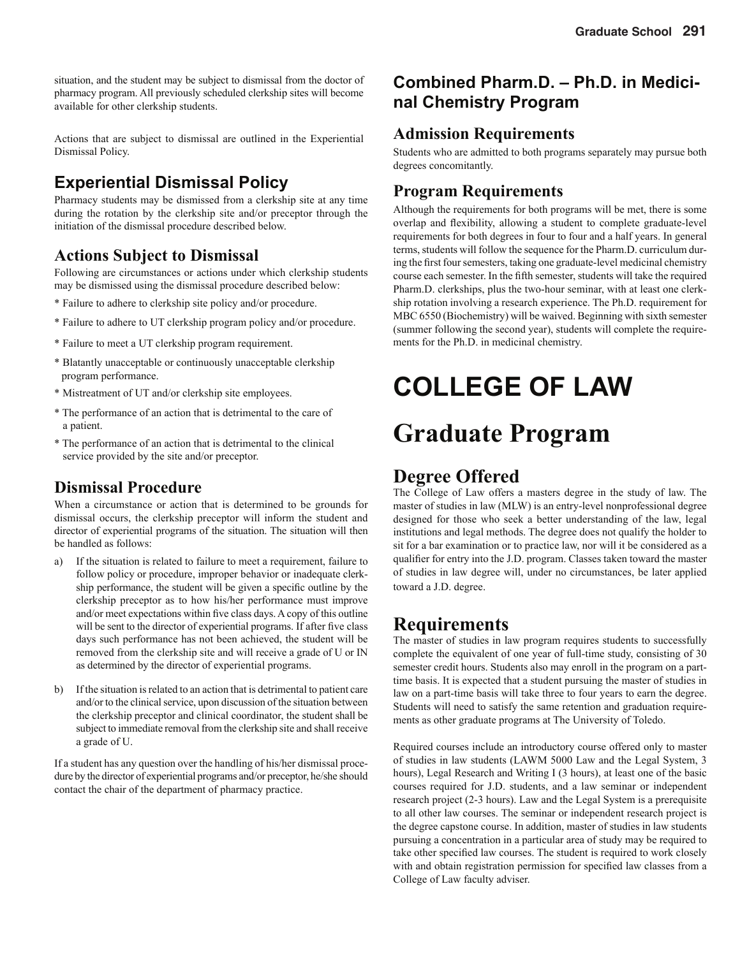situation, and the student may be subject to dismissal from the doctor of pharmacy program. All previously scheduled clerkship sites will become available for other clerkship students.

Actions that are subject to dismissal are outlined in the Experiential Dismissal Policy.

### **Experiential Dismissal Policy**

Pharmacy students may be dismissed from a clerkship site at any time during the rotation by the clerkship site and/or preceptor through the initiation of the dismissal procedure described below.

### **Actions Subject to Dismissal**

Following are circumstances or actions under which clerkship students may be dismissed using the dismissal procedure described below:

- \* Failure to adhere to clerkship site policy and/or procedure.
- \* Failure to adhere to UT clerkship program policy and/or procedure.
- \* Failure to meet a UT clerkship program requirement.
- \* Blatantly unacceptable or continuously unacceptable clerkship program performance.
- \* Mistreatment of UT and/or clerkship site employees.
- \* The performance of an action that is detrimental to the care of a patient.
- \* The performance of an action that is detrimental to the clinical service provided by the site and/or preceptor.

### **Dismissal Procedure**

When a circumstance or action that is determined to be grounds for dismissal occurs, the clerkship preceptor will inform the student and director of experiential programs of the situation. The situation will then be handled as follows:

- a) If the situation is related to failure to meet a requirement, failure to follow policy or procedure, improper behavior or inadequate clerkship performance, the student will be given a specific outline by the clerkship preceptor as to how his/her performance must improve and/or meet expectations within five class days. A copy of this outline will be sent to the director of experiential programs. If after five class days such performance has not been achieved, the student will be removed from the clerkship site and will receive a grade of U or IN as determined by the director of experiential programs.
- b) If the situation is related to an action that is detrimental to patient care and/or to the clinical service, upon discussion of the situation between the clerkship preceptor and clinical coordinator, the student shall be subject to immediate removal from the clerkship site and shall receive a grade of U.

If a student has any question over the handling of his/her dismissal procedure by the director of experiential programs and/or preceptor, he/she should contact the chair of the department of pharmacy practice.

### **Combined Pharm.D. – Ph.D. in Medicinal Chemistry Program**

### **Admission Requirements**

Students who are admitted to both programs separately may pursue both degrees concomitantly.

### **Program Requirements**

Although the requirements for both programs will be met, there is some overlap and flexibility, allowing a student to complete graduate-level requirements for both degrees in four to four and a half years. In general terms, students will follow the sequence for the Pharm.D. curriculum during the first four semesters, taking one graduate-level medicinal chemistry course each semester. In the fifth semester, students will take the required Pharm.D. clerkships, plus the two-hour seminar, with at least one clerkship rotation involving a research experience. The Ph.D. requirement for MBC 6550 (Biochemistry) will be waived. Beginning with sixth semester (summer following the second year), students will complete the requirements for the Ph.D. in medicinal chemistry.

# **COLLEGE OF LAW**

# **Graduate Program**

### **Degree Offered**

The College of Law offers a masters degree in the study of law. The master of studies in law (MLW) is an entry-level nonprofessional degree designed for those who seek a better understanding of the law, legal institutions and legal methods. The degree does not qualify the holder to sit for a bar examination or to practice law, nor will it be considered as a qualifier for entry into the J.D. program. Classes taken toward the master of studies in law degree will, under no circumstances, be later applied toward a J.D. degree.

### **Requirements**

The master of studies in law program requires students to successfully complete the equivalent of one year of full-time study, consisting of 30 semester credit hours. Students also may enroll in the program on a parttime basis. It is expected that a student pursuing the master of studies in law on a part-time basis will take three to four years to earn the degree. Students will need to satisfy the same retention and graduation requirements as other graduate programs at The University of Toledo.

Required courses include an introductory course offered only to master of studies in law students (LAWM 5000 Law and the Legal System, 3 hours), Legal Research and Writing I (3 hours), at least one of the basic courses required for J.D. students, and a law seminar or independent research project (2-3 hours). Law and the Legal System is a prerequisite to all other law courses. The seminar or independent research project is the degree capstone course. In addition, master of studies in law students pursuing a concentration in a particular area of study may be required to take other specified law courses. The student is required to work closely with and obtain registration permission for specified law classes from a College of Law faculty adviser.